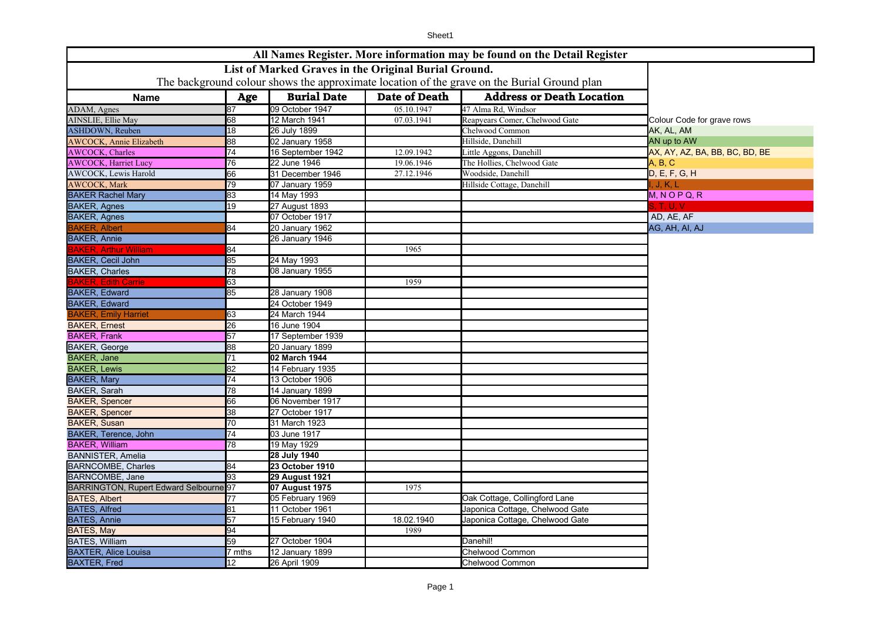|                                                                                             |                 |                                                      |                                    | All Names Register. More information may be found on the Detail Register |                                |
|---------------------------------------------------------------------------------------------|-----------------|------------------------------------------------------|------------------------------------|--------------------------------------------------------------------------|--------------------------------|
|                                                                                             |                 | List of Marked Graves in the Original Burial Ground. |                                    |                                                                          |                                |
| The background colour shows the approximate location of the grave on the Burial Ground plan |                 |                                                      |                                    |                                                                          |                                |
| <b>Name</b>                                                                                 |                 |                                                      |                                    |                                                                          |                                |
| ADAM, Agnes                                                                                 | Age<br>87       | <b>Burial Date</b><br>09 October 1947                | <b>Date of Death</b><br>05.10.1947 | <b>Address or Death Location</b><br>47 Alma Rd, Windsor                  |                                |
| AINSLIE, Ellie May                                                                          | 68              | 12 March 1941                                        | 07.03.1941                         | Reapyears Comer, Chelwood Gate                                           | Colour Code for grave rows     |
| <b>ASHDOWN, Reuben</b>                                                                      | 18              | 26 July 1899                                         |                                    | Chelwood Common                                                          | AK, AL, AM                     |
| <b>AWCOCK, Annie Elizabeth</b>                                                              | 88              | 02 January 1958                                      |                                    | Hillside, Danehill                                                       | AN up to AW                    |
| <b>AWCOCK</b> , Charles                                                                     | 74              | 16 September 1942                                    | 12.09.1942                         | Little Aggons, Danehill                                                  | AX, AY, AZ, BA, BB, BC, BD, BE |
| <b>AWCOCK</b> , Harriet Lucy                                                                | 76              | 22 June 1946                                         | 19.06.1946                         | The Hollies, Chelwood Gate                                               | A, B, C                        |
| <b>AWCOCK, Lewis Harold</b>                                                                 | 66              | 31 December 1946                                     | 27.12.1946                         | Woodside, Danehill                                                       | D, E, F, G, H                  |
| <b>AWCOCK, Mark</b>                                                                         | 79              | 07 January 1959                                      |                                    | Hillside Cottage, Danehill                                               | J. K. L                        |
| <b>BAKER Rachel Mary</b>                                                                    | $\overline{83}$ | 14 May 1993                                          |                                    |                                                                          | $M, N$ O P Q, R                |
| <b>BAKER, Agnes</b>                                                                         | 19              | 27 August 1893                                       |                                    |                                                                          | S, T, U, V                     |
| <b>BAKER, Agnes</b>                                                                         |                 | 07 October 1917                                      |                                    |                                                                          | AD, AE, AF                     |
| <b>BAKER, Albert</b>                                                                        | 84              | <b>20 January 1962</b>                               |                                    |                                                                          | AG, AH, AI, AJ                 |
| <b>BAKER, Annie</b>                                                                         |                 | 26 January 1946                                      |                                    |                                                                          |                                |
| <b>BAKER. Arthur William</b>                                                                | 84              |                                                      | 1965                               |                                                                          |                                |
| <b>BAKER, Cecil John</b>                                                                    | 85              | 24 May 1993                                          |                                    |                                                                          |                                |
| <b>BAKER, Charles</b>                                                                       | 78              | 08 January 1955                                      |                                    |                                                                          |                                |
| <b>BAKER, Edith Carrie</b>                                                                  | 63              |                                                      | 1959                               |                                                                          |                                |
| <b>BAKER, Edward</b>                                                                        | 85              | <b>28 January 1908</b>                               |                                    |                                                                          |                                |
| <b>BAKER, Edward</b>                                                                        |                 | 24 October 1949                                      |                                    |                                                                          |                                |
| <b>BAKER, Emily Harriet</b>                                                                 | 63              | 24 March 1944                                        |                                    |                                                                          |                                |
| <b>BAKER, Ernest</b>                                                                        | 26              | 16 June 1904                                         |                                    |                                                                          |                                |
| <b>BAKER, Frank</b>                                                                         | $\overline{57}$ | 17 September 1939                                    |                                    |                                                                          |                                |
| <b>BAKER, George</b>                                                                        | 88              | 20 January 1899                                      |                                    |                                                                          |                                |
| <b>BAKER, Jane</b>                                                                          | 71              | 02 March 1944                                        |                                    |                                                                          |                                |
| <b>BAKER, Lewis</b>                                                                         | 82              | 14 February 1935                                     |                                    |                                                                          |                                |
| <b>BAKER, Mary</b>                                                                          | $\overline{74}$ | 13 October 1906                                      |                                    |                                                                          |                                |
| <b>BAKER, Sarah</b>                                                                         | 78              | 14 January 1899                                      |                                    |                                                                          |                                |
| <b>BAKER, Spencer</b>                                                                       | 66              | 06 November 1917                                     |                                    |                                                                          |                                |
| <b>BAKER, Spencer</b>                                                                       | 38              | 27 October 1917                                      |                                    |                                                                          |                                |
| <b>BAKER, Susan</b>                                                                         | 70              | 31 March 1923                                        |                                    |                                                                          |                                |
| <b>BAKER, Terence, John</b>                                                                 | $\overline{74}$ | 03 June 1917                                         |                                    |                                                                          |                                |
| <b>BAKER, William</b>                                                                       | 78              | 19 May 1929                                          |                                    |                                                                          |                                |
| <b>BANNISTER, Amelia</b>                                                                    |                 | 28 July 1940                                         |                                    |                                                                          |                                |
| <b>BARNCOMBE, Charles</b>                                                                   | 84              | 23 October 1910                                      |                                    |                                                                          |                                |
| <b>BARNCOMBE, Jane</b>                                                                      | 93              | <b>29 August 1921</b>                                |                                    |                                                                          |                                |
| BARRINGTON, Rupert Edward Selbourne <sup>97</sup>                                           |                 | 07 August 1975                                       | 1975                               |                                                                          |                                |
| <b>BATES, Albert</b>                                                                        | 77              | 05 February 1969                                     |                                    | Oak Cottage, Collingford Lane                                            |                                |
| <b>BATES, Alfred</b>                                                                        | 81              | 11 October 1961                                      |                                    | Japonica Cottage, Chelwood Gate                                          |                                |
| <b>BATES, Annie</b>                                                                         | $\overline{57}$ | 15 February 1940                                     | 18.02.1940                         | Japonica Cottage, Chelwood Gate                                          |                                |
| BATES, May                                                                                  | 94              |                                                      | 1989                               |                                                                          |                                |
| <b>BATES, William</b>                                                                       | 59              | 27 October 1904                                      |                                    | Danehil!                                                                 |                                |
| <b>BAXTER, Alice Louisa</b>                                                                 | 7 mths          | 12 January 1899                                      |                                    | Chelwood Common                                                          |                                |
| <b>BAXTER, Fred</b>                                                                         | 12              | 26 April 1909                                        |                                    | <b>Chelwood Common</b>                                                   |                                |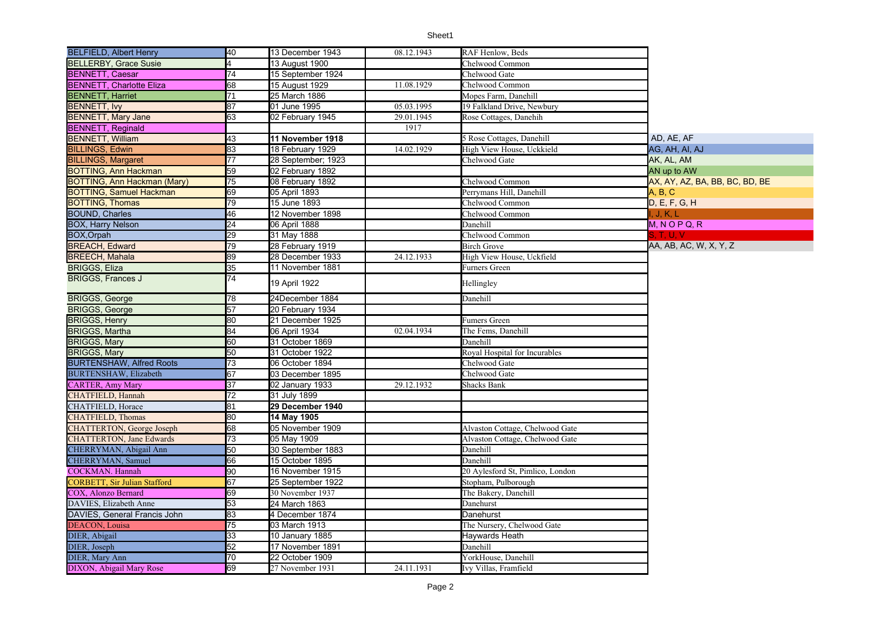| <b>BELFIELD, Albert Henry</b>       | 40              | 13 December 1943   | 08.12.1943 | <b>RAF Henlow, Beds</b>          |                                |
|-------------------------------------|-----------------|--------------------|------------|----------------------------------|--------------------------------|
| <b>BELLERBY, Grace Susie</b>        |                 | 13 August 1900     |            | Chelwood Common                  |                                |
| <b>BENNETT, Caesar</b>              | 74              | 15 September 1924  |            | Chelwood Gate                    |                                |
| <b>BENNETT, Charlotte Eliza</b>     | 68              | 15 August 1929     | 11.08.1929 | Chelwood Common                  |                                |
| <b>BENNETT, Harriet</b>             | 71              | 25 March 1886      |            | Mopes Farm, Danehill             |                                |
| <b>BENNETT, Ivy</b>                 | 87              | 01 June 1995       | 05.03.1995 | 19 Falkland Drive, Newbury       |                                |
| <b>BENNETT, Mary Jane</b>           | 63              | 02 February 1945   | 29.01.1945 | Rose Cottages, Danehih           |                                |
| <b>BENNETT, Reginald</b>            |                 |                    | 1917       |                                  |                                |
| <b>BENNETT, William</b>             | 43              | 11 November 1918   |            | 5 Rose Cottages, Danehill        | AD, AE, AF                     |
| <b>BILLINGS, Edwin</b>              | 83              | 18 February 1929   | 14.02.1929 | High View House, Uckkield        | AG, AH, AI, AJ                 |
| <b>BILLINGS, Margaret</b>           | 77              | 28 September; 1923 |            | Chelwood Gate                    | AK, AL, AM                     |
| <b>BOTTING, Ann Hackman</b>         | 59              | 02 February 1892   |            |                                  | AN up to AW                    |
| <b>BOTTING, Ann Hackman (Mary)</b>  | 75              | 08 February 1892   |            | Chelwood Common                  | AX, AY, AZ, BA, BB, BC, BD, BE |
| <b>BOTTING, Samuel Hackman</b>      | 69              | 05 April 1893      |            | Perrymans Hill, Danehill         | A, B, C                        |
| <b>BOTTING, Thomas</b>              | 79              | 15 June 1893       |            | Chelwood Common                  | D, E, F, G, H                  |
| <b>BOUND, Charles</b>               | 46              | 12 November 1898   |            | Chelwood Common                  | , J, K, L                      |
| <b>BOX, Harry Nelson</b>            | 24              | 06 April 1888      |            | Danehill                         | $M, N$ O P Q, R                |
| <b>BOX, Orpah</b>                   | 29              | 31 May 1888        |            | Chelwood Common                  | S, T, U, V                     |
| <b>BREACH, Edward</b>               | 79              | 28 February 1919   |            | <b>Birch Grove</b>               | AA, AB, AC, W, X, Y, Z         |
| <b>BREECH, Mahala</b>               | 89              | 28 December 1933   | 24.12.1933 | High View House, Uckfield        |                                |
| <b>BRIGGS, Eliza</b>                | 35              | 11 November 1881   |            | Furners Green                    |                                |
| <b>BRIGGS, Frances J</b>            | $\overline{74}$ | 19 April 1922      |            | Hellingley                       |                                |
| <b>BRIGGS, George</b>               | 78              | 24December 1884    |            | Danehill                         |                                |
| <b>BRIGGS, George</b>               | 57              | 20 February 1934   |            |                                  |                                |
| <b>BRIGGS, Henry</b>                | 80              | 21 December 1925   |            | Fumers Green                     |                                |
| <b>BRIGGS, Martha</b>               | 84              | 06 April 1934      | 02.04.1934 | The Fems, Danehill               |                                |
| <b>BRIGGS, Mary</b>                 | 60              | 31 October 1869    |            | Danehill                         |                                |
| <b>BRIGGS, Mary</b>                 | 50              | 31 October 1922    |            | Royal Hospital for Incurables    |                                |
| <b>BURTENSHAW, Alfred Roots</b>     | $\overline{73}$ | 06 October 1894    |            | Chelwood Gate                    |                                |
| <b>BURTENSHAW</b> , Elizabeth       | 67              | 03 December 1895   |            | Chelwood Gate                    |                                |
| <b>CARTER, Amy Mary</b>             | 37              | 02 January 1933    | 29.12.1932 | Shacks Bank                      |                                |
| <b>CHATFIELD, Hannah</b>            | 72              | 31 July 1899       |            |                                  |                                |
| CHATFIELD, Horace                   | 81              | 29 December 1940   |            |                                  |                                |
| <b>CHATFIELD, Thomas</b>            | 80              | 14 May 1905        |            |                                  |                                |
| <b>CHATTERTON</b> , George Joseph   | 68              | 05 November 1909   |            | Alvaston Cottage, Chelwood Gate  |                                |
| <b>CHATTERTON, Jane Edwards</b>     | 73              | 05 May 1909        |            | Alvaston Cottage, Chelwood Gate  |                                |
| CHERRYMAN, Abigail Ann              | 50              | 30 September 1883  |            | Danehill                         |                                |
| CHERRYMAN, Samuel                   | 66              | 15 October 1895    |            | Danehill                         |                                |
| COCKMAN. Hannah                     | 90              | 16 November 1915   |            | 20 Aylesford St, Pimlico, London |                                |
| <b>CORBETT, Sir Julian Stafford</b> | 67              | 25 September 1922  |            | Stopham, Pulborough              |                                |
| COX, Alonzo Bernard                 | 69              | 30 November 1937   |            | The Bakery, Danehill             |                                |
| DAVIES, Elizabeth Anne              | 53              | 24 March 1863      |            | Danehurst                        |                                |
| DAVIES, General Francis John        | 83              | 4 December 1874    |            | Danehurst                        |                                |
| <b>DEACON</b> . Louisa              | $\overline{75}$ | 03 March 1913      |            | The Nursery, Chelwood Gate       |                                |
| DIER, Abigail                       | 33              | 10 January 1885    |            | Haywards Heath                   |                                |
| DIER, Joseph                        | 52              | 17 November 1891   |            | Danehill                         |                                |
| DIER, Mary Ann                      | 70              | 22 October 1909    |            | YorkHouse, Danehill              |                                |
| DIXON, Abigail Mary Rose            | 69              | 27 November 1931   | 24.11.1931 | Ivy Villas, Framfield            |                                |
|                                     |                 |                    |            |                                  |                                |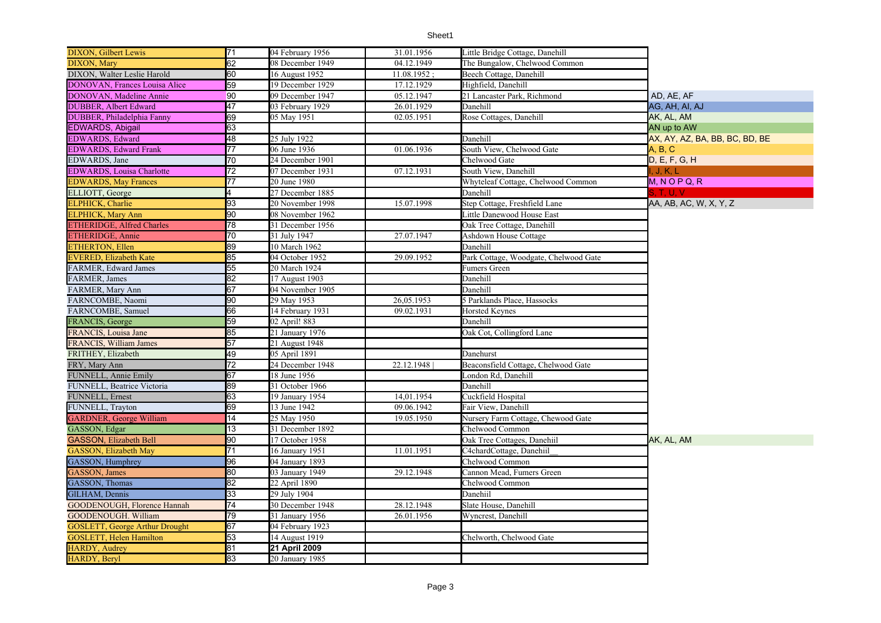| <b>DIXON, Gilbert Lewis</b>                 | 71              | 04 February 1956 | 31.01.1956  | Little Bridge Cottage, Danehill       |                                |
|---------------------------------------------|-----------------|------------------|-------------|---------------------------------------|--------------------------------|
| DIXON, Mary                                 | 62              | 08 December 1949 | 04.12.1949  | The Bungalow, Chelwood Common         |                                |
| DIXON, Walter Leslie Harold                 | 60              | 16 August 1952   | 11.08.1952: | Beech Cottage, Danehill               |                                |
| DONOVAN, Frances Louisa Alice               | 59              | 19 December 1929 | 17.12.1929  | Highfield, Danehill                   |                                |
| DONOVAN, Madeline Annie                     | 90              | 09 December 1947 | 05.12.1947  | 21 Lancaster Park, Richmond           | AD. AE. AF                     |
| DUBBER, Albert Edward                       | 47              | 03 February 1929 | 26.01.1929  | Danehill                              | AG, AH, AI, AJ                 |
| DUBBER, Philadelphia Fanny                  | 69              | 05 May 1951      | 02.05.1951  | Rose Cottages, Danehill               | AK, AL, AM                     |
| EDWARDS, Abigail                            | 63              |                  |             |                                       | AN up to AW                    |
| EDWARDS, Edward                             | 48              | 25 July 1922     |             | Danehill                              | AX, AY, AZ, BA, BB, BC, BD, BE |
| <b>EDWARDS</b> , Edward Frank               | $\overline{77}$ | 06 June 1936     | 01.06.1936  | South View, Chelwood Gate             | A, B, C                        |
| EDWARDS, Jane                               | $\overline{70}$ | 24 December 1901 |             | Chelwood Gate                         | D, E, F, G, H                  |
| <b>EDWARDS</b> , Louisa Charlotte           | $\overline{72}$ | 07 December 1931 | 07.12.1931  | South View, Danehill                  | , J, K, L                      |
| <b>EDWARDS</b> , May Frances                | 77              | 20 June 1980     |             | Whyteleaf Cottage, Chelwood Common    | $M, N$ O P Q, R                |
| ELLIOTT, George                             | 4               | 27 December 1885 |             | Danehill                              | S. T. U. V.                    |
| ELPHICK, Charlie                            | 93              | 20 November 1998 | 15.07.1998  | Step Cottage, Freshfield Lane         | AA, AB, AC, W, X, Y, Z         |
| <b>ELPHICK</b> , Mary Ann                   | 90              | 08 November 1962 |             | Little Danewood House East            |                                |
| ETHERIDGE, Alfred Charles                   | 78              | 31 December 1956 |             | Oak Tree Cottage, Danehill            |                                |
| ETHERIDGE, Annie                            | 70              | 31 July 1947     | 27.07.1947  | Ashdown House Cottage                 |                                |
|                                             | 89              | 10 March 1962    |             | Danehill                              |                                |
| ETHERTON, Ellen<br>EVERED, Elizabeth Kate   | 85              | 04 October 1952  | 29.09.1952  | Park Cottage, Woodgate, Chelwood Gate |                                |
| FARMER, Edward James                        | 55              | 20 March 1924    |             | Fumers Green                          |                                |
| FARMER, James                               | 82              | 17 August 1903   |             | Danehill                              |                                |
| FARMER, Mary Ann                            | 67              | 04 November 1905 |             | Danehill                              |                                |
| FARNCOMBE, Naomi                            | 90              | 29 May 1953      | 26,05.1953  | 5 Parklands Place, Hassocks           |                                |
| FARNCOMBE, Samuel                           | 66              | 14 February 1931 | 09.02.1931  | <b>Horsted Keynes</b>                 |                                |
| FRANCIS, George                             | 59              | 02 April! 883    |             | Danehill                              |                                |
| FRANCIS, Louisa Jane                        | 85              | 21 January 1976  |             | Oak Cot, Collingford Lane             |                                |
| FRANCIS, William James                      | 57              | 21 August 1948   |             |                                       |                                |
| FRITHEY, Elizabeth                          | 49              | 05 April 1891    |             | Danehurst                             |                                |
| FRY, Mary Ann                               | $\overline{72}$ | 24 December 1948 | 22.12.1948  | Beaconsfield Cottage, Chelwood Gate   |                                |
| FUNNELL, Annie Emily                        | 67              | 18 June 1956     |             | London Rd, Danehill                   |                                |
| FUNNELL, Beatrice Victoria                  | 89              | 31 October 1966  |             | Danehill                              |                                |
| FUNNELL, Ernest                             | 63              | 19 January 1954  | 14,01.1954  | Cuckfield Hospital                    |                                |
|                                             | 69              | 13 June 1942     | 09.06.1942  | Fair View, Danehill                   |                                |
| FUNNELL, Trayton<br>GARDNER, George William | $\overline{14}$ | 25 May 1950      | 19.05.1950  | Nursery Farm Cottage, Chewood Gate    |                                |
| GASSON, Edgar                               | 13              | 31 December 1892 |             | Chelwood Common                       |                                |
| <b>GASSON, Elizabeth Bell</b>               | 90              | 17 October 1958  |             | Oak Tree Cottages, Danehiil           | AK, AL, AM                     |
| <b>GASSON, Elizabeth May</b>                | $\overline{71}$ | 16 January 1951  | 11.01.1951  | 24chardCottage, Danehiil              |                                |
|                                             | 96              | 04 January 1893  |             | Chelwood Common                       |                                |
| GASSON, Humphrey<br>GASSON, James           | 80              | 03 January 1949  | 29.12.1948  | Cannon Mead, Fumers Green             |                                |
| GASSON, Thomas                              | 82              | 22 April 1890    |             | Chelwood Common                       |                                |
| GILHAM, Dennis                              | 33              | 29 July 1904     |             | Danehiil                              |                                |
| GOODENOUGH, Florence Hannah                 | $\overline{74}$ | 30 December 1948 | 28.12.1948  | Slate House, Danehill                 |                                |
| GOODENOUGH. William                         | 79              | 31 January 1956  | 26.01.1956  | Wyncrest, Danehill                    |                                |
| <b>GOSLETT, George Arthur Drought</b>       | 67              | 04 February 1923 |             |                                       |                                |
| <b>GOSLETT, Helen Hamilton</b>              | 53              | 14 August 1919   |             | Chelworth, Chelwood Gate              |                                |
|                                             | 81              | 21 April 2009    |             |                                       |                                |
| HARDY, Audrey<br>HARDY, Beryl               | 83              | 20 January 1985  |             |                                       |                                |
|                                             |                 |                  |             |                                       |                                |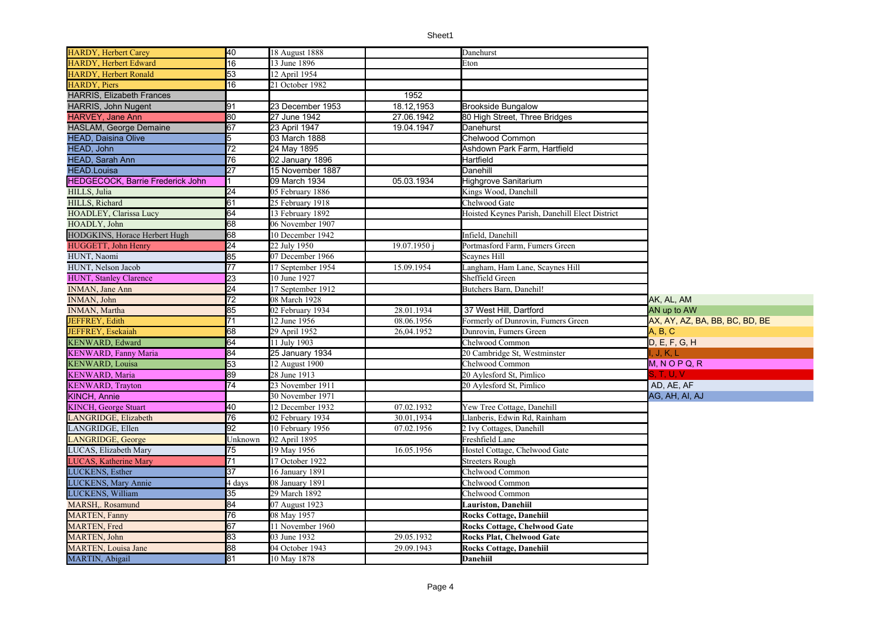| 16<br><b>HARDY, Herbert Edward</b><br>13 June 1896<br>Eton<br>53<br><b>HARDY, Herbert Ronald</b><br>12 April 1954<br>16<br><b>HARDY</b> , Piers<br>21 October 1982<br>1952<br>23 December 1953<br>91<br>18.12,1953<br><b>Brookside Bungalow</b><br>80<br>27 June 1942<br>27.06.1942<br>80 High Street, Three Bridges<br>67<br><b>HASLAM, George Demaine</b><br>23 April 1947<br>19.04.1947<br>Danehurst<br>Chelwood Common<br>03 March 1888<br>5<br>$\overline{72}$<br>24 May 1895<br>Ashdown Park Farm, Hartfield<br>76<br>02 January 1896<br>Hartfield<br>27<br>15 November 1887<br>Danehill<br><b>HEDGECOCK, Barrie Frederick John</b><br>05.03.1934<br><b>Highgrove Sanitarium</b><br>09 March 1934<br>24<br>05 February 1886<br>Kings Wood, Danehill<br>61<br>25 February 1918<br>Chelwood Gate<br>64<br>13 February 1892<br>Hoisted Keynes Parish, Danehill Elect District<br>68<br>06 November 1907<br>68<br>HODGKINS, Horace Herbert Hugh<br>10 December 1942<br>Infield, Danehill<br>24<br>22 July 1950<br>19.07.1950 i<br>Portmasford Farm, Fumers Green<br>85<br>07 December 1966<br><b>Scaynes Hill</b><br>77<br>15.09.1954<br>Langham, Ham Lane, Scaynes Hill<br>17 September 1954<br>23<br>10 June 1927<br>Sheffield Green<br>24<br>17 September 1912<br>Butchers Barn, Danehil!<br>$\overline{72}$<br>AK, AL, AM<br>08 March 1928<br>85<br>02 February 1934<br>28.01.1934<br>37 West Hill, Dartford<br>AN up to AW<br>$\overline{71}$<br>08.06.1956<br>12 June 1956<br>Formerly of Dunrovin, Fumers Green<br>AX, AY, AZ, BA, BB, BC, BD, BE<br>68<br>JEFFREY, Esekaiah<br>26,04.1952<br>Dunrovin, Fumers Green<br>A, B, C<br>29 April 1952<br>64<br><b>KENWARD, Edward</b><br>11 July 1903<br>Chelwood Common<br>D, E, F, G, H<br>84<br><b>KENWARD, Fanny Maria</b><br>25 January 1934<br>20 Cambridge St, Westminster<br>I. J. K. L<br>53<br><b>KENWARD, Louisa</b><br>Chelwood Common<br>$M, N$ O P Q, R<br>12 August 1900<br>89<br><b>S. T. U. V.</b><br><b>KENWARD</b> , Maria<br>28 June 1913<br>20 Aylesford St, Pimlico<br>$\overline{74}$<br>AD, AE, AF<br><b>KENWARD, Trayton</b><br>23 November 1911<br>20 Aylesford St, Pimlico<br>KINCH, Annie<br>AG, AH, AI, AJ<br>30 November 1971<br>40<br>07.02.1932<br><b>KINCH, George Stuart</b><br>12 December 1932<br>Yew Tree Cottage, Danehill<br>76<br>LANGRIDGE, Elizabeth<br>02 February 1934<br>30.01,1934<br>Llanberis, Edwin Rd, Rainham<br>92<br>2 Ivy Cottages, Danehill<br>LANGRIDGE, Ellen<br>10 February 1956<br>07.02.1956<br>LANGRIDGE, George<br>02 April 1895<br>Freshfield Lane<br>Unknown<br>19 May 1956<br>Hostel Cottage, Chelwood Gate<br>LUCAS, Elizabeth Mary<br>75<br>16.05.1956<br><b>LUCAS, Katherine Mary</b><br>71<br>17 October 1922<br><b>Streeters Rough</b><br>37<br>LUCKENS, Esther<br>16 January 1891<br>Chelwood Common<br>LUCKENS, Mary Annie<br>4 days<br>08 January 1891<br>Chelwood Common<br>LUCKENS, William<br>35<br>29 March 1892<br>Chelwood Common<br>84<br>07 August 1923<br>Lauriston, Danehiil<br>76<br><b>MARTEN, Fanny</b><br>08 May 1957<br><b>Rocks Cottage, Danehiil</b><br>67<br>11 November 1960<br><b>MARTEN, Fred</b><br><b>Rocks Cottage, Chelwood Gate</b><br>MARTEN, John<br>83<br>03 June 1932<br>29.05.1932<br><b>Rocks Plat, Chelwood Gate</b><br>88<br>04 October 1943<br>29.09.1943<br><b>MARTEN, Louisa Jane</b><br><b>Rocks Cottage, Danehiil</b> | <b>HARDY, Herbert Carey</b>      | 40 | 18 August 1888 | Danehurst       |  |
|-------------------------------------------------------------------------------------------------------------------------------------------------------------------------------------------------------------------------------------------------------------------------------------------------------------------------------------------------------------------------------------------------------------------------------------------------------------------------------------------------------------------------------------------------------------------------------------------------------------------------------------------------------------------------------------------------------------------------------------------------------------------------------------------------------------------------------------------------------------------------------------------------------------------------------------------------------------------------------------------------------------------------------------------------------------------------------------------------------------------------------------------------------------------------------------------------------------------------------------------------------------------------------------------------------------------------------------------------------------------------------------------------------------------------------------------------------------------------------------------------------------------------------------------------------------------------------------------------------------------------------------------------------------------------------------------------------------------------------------------------------------------------------------------------------------------------------------------------------------------------------------------------------------------------------------------------------------------------------------------------------------------------------------------------------------------------------------------------------------------------------------------------------------------------------------------------------------------------------------------------------------------------------------------------------------------------------------------------------------------------------------------------------------------------------------------------------------------------------------------------------------------------------------------------------------------------------------------------------------------------------------------------------------------------------------------------------------------------------------------------------------------------------------------------------------------------------------------------------------------------------------------------------------------------------------------------------------------------------------------------------------------------------------------------------------------------------------------------------------------------------------------------------------------------------------------------------------------------------------------------------------------------------------------------------------------------------------------------------------------------------------------|----------------------------------|----|----------------|-----------------|--|
|                                                                                                                                                                                                                                                                                                                                                                                                                                                                                                                                                                                                                                                                                                                                                                                                                                                                                                                                                                                                                                                                                                                                                                                                                                                                                                                                                                                                                                                                                                                                                                                                                                                                                                                                                                                                                                                                                                                                                                                                                                                                                                                                                                                                                                                                                                                                                                                                                                                                                                                                                                                                                                                                                                                                                                                                                                                                                                                                                                                                                                                                                                                                                                                                                                                                                                                                                                                           |                                  |    |                |                 |  |
|                                                                                                                                                                                                                                                                                                                                                                                                                                                                                                                                                                                                                                                                                                                                                                                                                                                                                                                                                                                                                                                                                                                                                                                                                                                                                                                                                                                                                                                                                                                                                                                                                                                                                                                                                                                                                                                                                                                                                                                                                                                                                                                                                                                                                                                                                                                                                                                                                                                                                                                                                                                                                                                                                                                                                                                                                                                                                                                                                                                                                                                                                                                                                                                                                                                                                                                                                                                           |                                  |    |                |                 |  |
|                                                                                                                                                                                                                                                                                                                                                                                                                                                                                                                                                                                                                                                                                                                                                                                                                                                                                                                                                                                                                                                                                                                                                                                                                                                                                                                                                                                                                                                                                                                                                                                                                                                                                                                                                                                                                                                                                                                                                                                                                                                                                                                                                                                                                                                                                                                                                                                                                                                                                                                                                                                                                                                                                                                                                                                                                                                                                                                                                                                                                                                                                                                                                                                                                                                                                                                                                                                           |                                  |    |                |                 |  |
|                                                                                                                                                                                                                                                                                                                                                                                                                                                                                                                                                                                                                                                                                                                                                                                                                                                                                                                                                                                                                                                                                                                                                                                                                                                                                                                                                                                                                                                                                                                                                                                                                                                                                                                                                                                                                                                                                                                                                                                                                                                                                                                                                                                                                                                                                                                                                                                                                                                                                                                                                                                                                                                                                                                                                                                                                                                                                                                                                                                                                                                                                                                                                                                                                                                                                                                                                                                           | <b>HARRIS, Elizabeth Frances</b> |    |                |                 |  |
|                                                                                                                                                                                                                                                                                                                                                                                                                                                                                                                                                                                                                                                                                                                                                                                                                                                                                                                                                                                                                                                                                                                                                                                                                                                                                                                                                                                                                                                                                                                                                                                                                                                                                                                                                                                                                                                                                                                                                                                                                                                                                                                                                                                                                                                                                                                                                                                                                                                                                                                                                                                                                                                                                                                                                                                                                                                                                                                                                                                                                                                                                                                                                                                                                                                                                                                                                                                           | HARRIS, John Nugent              |    |                |                 |  |
|                                                                                                                                                                                                                                                                                                                                                                                                                                                                                                                                                                                                                                                                                                                                                                                                                                                                                                                                                                                                                                                                                                                                                                                                                                                                                                                                                                                                                                                                                                                                                                                                                                                                                                                                                                                                                                                                                                                                                                                                                                                                                                                                                                                                                                                                                                                                                                                                                                                                                                                                                                                                                                                                                                                                                                                                                                                                                                                                                                                                                                                                                                                                                                                                                                                                                                                                                                                           | <b>HARVEY, Jane Ann</b>          |    |                |                 |  |
|                                                                                                                                                                                                                                                                                                                                                                                                                                                                                                                                                                                                                                                                                                                                                                                                                                                                                                                                                                                                                                                                                                                                                                                                                                                                                                                                                                                                                                                                                                                                                                                                                                                                                                                                                                                                                                                                                                                                                                                                                                                                                                                                                                                                                                                                                                                                                                                                                                                                                                                                                                                                                                                                                                                                                                                                                                                                                                                                                                                                                                                                                                                                                                                                                                                                                                                                                                                           |                                  |    |                |                 |  |
|                                                                                                                                                                                                                                                                                                                                                                                                                                                                                                                                                                                                                                                                                                                                                                                                                                                                                                                                                                                                                                                                                                                                                                                                                                                                                                                                                                                                                                                                                                                                                                                                                                                                                                                                                                                                                                                                                                                                                                                                                                                                                                                                                                                                                                                                                                                                                                                                                                                                                                                                                                                                                                                                                                                                                                                                                                                                                                                                                                                                                                                                                                                                                                                                                                                                                                                                                                                           | <b>HEAD, Daisina Olive</b>       |    |                |                 |  |
|                                                                                                                                                                                                                                                                                                                                                                                                                                                                                                                                                                                                                                                                                                                                                                                                                                                                                                                                                                                                                                                                                                                                                                                                                                                                                                                                                                                                                                                                                                                                                                                                                                                                                                                                                                                                                                                                                                                                                                                                                                                                                                                                                                                                                                                                                                                                                                                                                                                                                                                                                                                                                                                                                                                                                                                                                                                                                                                                                                                                                                                                                                                                                                                                                                                                                                                                                                                           | HEAD, John                       |    |                |                 |  |
|                                                                                                                                                                                                                                                                                                                                                                                                                                                                                                                                                                                                                                                                                                                                                                                                                                                                                                                                                                                                                                                                                                                                                                                                                                                                                                                                                                                                                                                                                                                                                                                                                                                                                                                                                                                                                                                                                                                                                                                                                                                                                                                                                                                                                                                                                                                                                                                                                                                                                                                                                                                                                                                                                                                                                                                                                                                                                                                                                                                                                                                                                                                                                                                                                                                                                                                                                                                           | HEAD, Sarah Ann                  |    |                |                 |  |
|                                                                                                                                                                                                                                                                                                                                                                                                                                                                                                                                                                                                                                                                                                                                                                                                                                                                                                                                                                                                                                                                                                                                                                                                                                                                                                                                                                                                                                                                                                                                                                                                                                                                                                                                                                                                                                                                                                                                                                                                                                                                                                                                                                                                                                                                                                                                                                                                                                                                                                                                                                                                                                                                                                                                                                                                                                                                                                                                                                                                                                                                                                                                                                                                                                                                                                                                                                                           | <b>HEAD.Louisa</b>               |    |                |                 |  |
|                                                                                                                                                                                                                                                                                                                                                                                                                                                                                                                                                                                                                                                                                                                                                                                                                                                                                                                                                                                                                                                                                                                                                                                                                                                                                                                                                                                                                                                                                                                                                                                                                                                                                                                                                                                                                                                                                                                                                                                                                                                                                                                                                                                                                                                                                                                                                                                                                                                                                                                                                                                                                                                                                                                                                                                                                                                                                                                                                                                                                                                                                                                                                                                                                                                                                                                                                                                           |                                  |    |                |                 |  |
|                                                                                                                                                                                                                                                                                                                                                                                                                                                                                                                                                                                                                                                                                                                                                                                                                                                                                                                                                                                                                                                                                                                                                                                                                                                                                                                                                                                                                                                                                                                                                                                                                                                                                                                                                                                                                                                                                                                                                                                                                                                                                                                                                                                                                                                                                                                                                                                                                                                                                                                                                                                                                                                                                                                                                                                                                                                                                                                                                                                                                                                                                                                                                                                                                                                                                                                                                                                           | HILLS, Julia                     |    |                |                 |  |
|                                                                                                                                                                                                                                                                                                                                                                                                                                                                                                                                                                                                                                                                                                                                                                                                                                                                                                                                                                                                                                                                                                                                                                                                                                                                                                                                                                                                                                                                                                                                                                                                                                                                                                                                                                                                                                                                                                                                                                                                                                                                                                                                                                                                                                                                                                                                                                                                                                                                                                                                                                                                                                                                                                                                                                                                                                                                                                                                                                                                                                                                                                                                                                                                                                                                                                                                                                                           | HILLS, Richard                   |    |                |                 |  |
|                                                                                                                                                                                                                                                                                                                                                                                                                                                                                                                                                                                                                                                                                                                                                                                                                                                                                                                                                                                                                                                                                                                                                                                                                                                                                                                                                                                                                                                                                                                                                                                                                                                                                                                                                                                                                                                                                                                                                                                                                                                                                                                                                                                                                                                                                                                                                                                                                                                                                                                                                                                                                                                                                                                                                                                                                                                                                                                                                                                                                                                                                                                                                                                                                                                                                                                                                                                           | HOADLEY, Clarissa Lucy           |    |                |                 |  |
|                                                                                                                                                                                                                                                                                                                                                                                                                                                                                                                                                                                                                                                                                                                                                                                                                                                                                                                                                                                                                                                                                                                                                                                                                                                                                                                                                                                                                                                                                                                                                                                                                                                                                                                                                                                                                                                                                                                                                                                                                                                                                                                                                                                                                                                                                                                                                                                                                                                                                                                                                                                                                                                                                                                                                                                                                                                                                                                                                                                                                                                                                                                                                                                                                                                                                                                                                                                           | HOADLY, John                     |    |                |                 |  |
|                                                                                                                                                                                                                                                                                                                                                                                                                                                                                                                                                                                                                                                                                                                                                                                                                                                                                                                                                                                                                                                                                                                                                                                                                                                                                                                                                                                                                                                                                                                                                                                                                                                                                                                                                                                                                                                                                                                                                                                                                                                                                                                                                                                                                                                                                                                                                                                                                                                                                                                                                                                                                                                                                                                                                                                                                                                                                                                                                                                                                                                                                                                                                                                                                                                                                                                                                                                           |                                  |    |                |                 |  |
|                                                                                                                                                                                                                                                                                                                                                                                                                                                                                                                                                                                                                                                                                                                                                                                                                                                                                                                                                                                                                                                                                                                                                                                                                                                                                                                                                                                                                                                                                                                                                                                                                                                                                                                                                                                                                                                                                                                                                                                                                                                                                                                                                                                                                                                                                                                                                                                                                                                                                                                                                                                                                                                                                                                                                                                                                                                                                                                                                                                                                                                                                                                                                                                                                                                                                                                                                                                           | HUGGETT, John Henry              |    |                |                 |  |
|                                                                                                                                                                                                                                                                                                                                                                                                                                                                                                                                                                                                                                                                                                                                                                                                                                                                                                                                                                                                                                                                                                                                                                                                                                                                                                                                                                                                                                                                                                                                                                                                                                                                                                                                                                                                                                                                                                                                                                                                                                                                                                                                                                                                                                                                                                                                                                                                                                                                                                                                                                                                                                                                                                                                                                                                                                                                                                                                                                                                                                                                                                                                                                                                                                                                                                                                                                                           | HUNT, Naomi                      |    |                |                 |  |
|                                                                                                                                                                                                                                                                                                                                                                                                                                                                                                                                                                                                                                                                                                                                                                                                                                                                                                                                                                                                                                                                                                                                                                                                                                                                                                                                                                                                                                                                                                                                                                                                                                                                                                                                                                                                                                                                                                                                                                                                                                                                                                                                                                                                                                                                                                                                                                                                                                                                                                                                                                                                                                                                                                                                                                                                                                                                                                                                                                                                                                                                                                                                                                                                                                                                                                                                                                                           | HUNT, Nelson Jacob               |    |                |                 |  |
|                                                                                                                                                                                                                                                                                                                                                                                                                                                                                                                                                                                                                                                                                                                                                                                                                                                                                                                                                                                                                                                                                                                                                                                                                                                                                                                                                                                                                                                                                                                                                                                                                                                                                                                                                                                                                                                                                                                                                                                                                                                                                                                                                                                                                                                                                                                                                                                                                                                                                                                                                                                                                                                                                                                                                                                                                                                                                                                                                                                                                                                                                                                                                                                                                                                                                                                                                                                           | <b>HUNT, Stanley Clarence</b>    |    |                |                 |  |
|                                                                                                                                                                                                                                                                                                                                                                                                                                                                                                                                                                                                                                                                                                                                                                                                                                                                                                                                                                                                                                                                                                                                                                                                                                                                                                                                                                                                                                                                                                                                                                                                                                                                                                                                                                                                                                                                                                                                                                                                                                                                                                                                                                                                                                                                                                                                                                                                                                                                                                                                                                                                                                                                                                                                                                                                                                                                                                                                                                                                                                                                                                                                                                                                                                                                                                                                                                                           | INMAN, Jane Ann                  |    |                |                 |  |
|                                                                                                                                                                                                                                                                                                                                                                                                                                                                                                                                                                                                                                                                                                                                                                                                                                                                                                                                                                                                                                                                                                                                                                                                                                                                                                                                                                                                                                                                                                                                                                                                                                                                                                                                                                                                                                                                                                                                                                                                                                                                                                                                                                                                                                                                                                                                                                                                                                                                                                                                                                                                                                                                                                                                                                                                                                                                                                                                                                                                                                                                                                                                                                                                                                                                                                                                                                                           | INMAN, John                      |    |                |                 |  |
|                                                                                                                                                                                                                                                                                                                                                                                                                                                                                                                                                                                                                                                                                                                                                                                                                                                                                                                                                                                                                                                                                                                                                                                                                                                                                                                                                                                                                                                                                                                                                                                                                                                                                                                                                                                                                                                                                                                                                                                                                                                                                                                                                                                                                                                                                                                                                                                                                                                                                                                                                                                                                                                                                                                                                                                                                                                                                                                                                                                                                                                                                                                                                                                                                                                                                                                                                                                           | INMAN, Martha                    |    |                |                 |  |
|                                                                                                                                                                                                                                                                                                                                                                                                                                                                                                                                                                                                                                                                                                                                                                                                                                                                                                                                                                                                                                                                                                                                                                                                                                                                                                                                                                                                                                                                                                                                                                                                                                                                                                                                                                                                                                                                                                                                                                                                                                                                                                                                                                                                                                                                                                                                                                                                                                                                                                                                                                                                                                                                                                                                                                                                                                                                                                                                                                                                                                                                                                                                                                                                                                                                                                                                                                                           | JEFFREY, Edith                   |    |                |                 |  |
|                                                                                                                                                                                                                                                                                                                                                                                                                                                                                                                                                                                                                                                                                                                                                                                                                                                                                                                                                                                                                                                                                                                                                                                                                                                                                                                                                                                                                                                                                                                                                                                                                                                                                                                                                                                                                                                                                                                                                                                                                                                                                                                                                                                                                                                                                                                                                                                                                                                                                                                                                                                                                                                                                                                                                                                                                                                                                                                                                                                                                                                                                                                                                                                                                                                                                                                                                                                           |                                  |    |                |                 |  |
|                                                                                                                                                                                                                                                                                                                                                                                                                                                                                                                                                                                                                                                                                                                                                                                                                                                                                                                                                                                                                                                                                                                                                                                                                                                                                                                                                                                                                                                                                                                                                                                                                                                                                                                                                                                                                                                                                                                                                                                                                                                                                                                                                                                                                                                                                                                                                                                                                                                                                                                                                                                                                                                                                                                                                                                                                                                                                                                                                                                                                                                                                                                                                                                                                                                                                                                                                                                           |                                  |    |                |                 |  |
|                                                                                                                                                                                                                                                                                                                                                                                                                                                                                                                                                                                                                                                                                                                                                                                                                                                                                                                                                                                                                                                                                                                                                                                                                                                                                                                                                                                                                                                                                                                                                                                                                                                                                                                                                                                                                                                                                                                                                                                                                                                                                                                                                                                                                                                                                                                                                                                                                                                                                                                                                                                                                                                                                                                                                                                                                                                                                                                                                                                                                                                                                                                                                                                                                                                                                                                                                                                           |                                  |    |                |                 |  |
|                                                                                                                                                                                                                                                                                                                                                                                                                                                                                                                                                                                                                                                                                                                                                                                                                                                                                                                                                                                                                                                                                                                                                                                                                                                                                                                                                                                                                                                                                                                                                                                                                                                                                                                                                                                                                                                                                                                                                                                                                                                                                                                                                                                                                                                                                                                                                                                                                                                                                                                                                                                                                                                                                                                                                                                                                                                                                                                                                                                                                                                                                                                                                                                                                                                                                                                                                                                           |                                  |    |                |                 |  |
|                                                                                                                                                                                                                                                                                                                                                                                                                                                                                                                                                                                                                                                                                                                                                                                                                                                                                                                                                                                                                                                                                                                                                                                                                                                                                                                                                                                                                                                                                                                                                                                                                                                                                                                                                                                                                                                                                                                                                                                                                                                                                                                                                                                                                                                                                                                                                                                                                                                                                                                                                                                                                                                                                                                                                                                                                                                                                                                                                                                                                                                                                                                                                                                                                                                                                                                                                                                           |                                  |    |                |                 |  |
|                                                                                                                                                                                                                                                                                                                                                                                                                                                                                                                                                                                                                                                                                                                                                                                                                                                                                                                                                                                                                                                                                                                                                                                                                                                                                                                                                                                                                                                                                                                                                                                                                                                                                                                                                                                                                                                                                                                                                                                                                                                                                                                                                                                                                                                                                                                                                                                                                                                                                                                                                                                                                                                                                                                                                                                                                                                                                                                                                                                                                                                                                                                                                                                                                                                                                                                                                                                           |                                  |    |                |                 |  |
|                                                                                                                                                                                                                                                                                                                                                                                                                                                                                                                                                                                                                                                                                                                                                                                                                                                                                                                                                                                                                                                                                                                                                                                                                                                                                                                                                                                                                                                                                                                                                                                                                                                                                                                                                                                                                                                                                                                                                                                                                                                                                                                                                                                                                                                                                                                                                                                                                                                                                                                                                                                                                                                                                                                                                                                                                                                                                                                                                                                                                                                                                                                                                                                                                                                                                                                                                                                           |                                  |    |                |                 |  |
|                                                                                                                                                                                                                                                                                                                                                                                                                                                                                                                                                                                                                                                                                                                                                                                                                                                                                                                                                                                                                                                                                                                                                                                                                                                                                                                                                                                                                                                                                                                                                                                                                                                                                                                                                                                                                                                                                                                                                                                                                                                                                                                                                                                                                                                                                                                                                                                                                                                                                                                                                                                                                                                                                                                                                                                                                                                                                                                                                                                                                                                                                                                                                                                                                                                                                                                                                                                           |                                  |    |                |                 |  |
|                                                                                                                                                                                                                                                                                                                                                                                                                                                                                                                                                                                                                                                                                                                                                                                                                                                                                                                                                                                                                                                                                                                                                                                                                                                                                                                                                                                                                                                                                                                                                                                                                                                                                                                                                                                                                                                                                                                                                                                                                                                                                                                                                                                                                                                                                                                                                                                                                                                                                                                                                                                                                                                                                                                                                                                                                                                                                                                                                                                                                                                                                                                                                                                                                                                                                                                                                                                           |                                  |    |                |                 |  |
|                                                                                                                                                                                                                                                                                                                                                                                                                                                                                                                                                                                                                                                                                                                                                                                                                                                                                                                                                                                                                                                                                                                                                                                                                                                                                                                                                                                                                                                                                                                                                                                                                                                                                                                                                                                                                                                                                                                                                                                                                                                                                                                                                                                                                                                                                                                                                                                                                                                                                                                                                                                                                                                                                                                                                                                                                                                                                                                                                                                                                                                                                                                                                                                                                                                                                                                                                                                           |                                  |    |                |                 |  |
|                                                                                                                                                                                                                                                                                                                                                                                                                                                                                                                                                                                                                                                                                                                                                                                                                                                                                                                                                                                                                                                                                                                                                                                                                                                                                                                                                                                                                                                                                                                                                                                                                                                                                                                                                                                                                                                                                                                                                                                                                                                                                                                                                                                                                                                                                                                                                                                                                                                                                                                                                                                                                                                                                                                                                                                                                                                                                                                                                                                                                                                                                                                                                                                                                                                                                                                                                                                           |                                  |    |                |                 |  |
|                                                                                                                                                                                                                                                                                                                                                                                                                                                                                                                                                                                                                                                                                                                                                                                                                                                                                                                                                                                                                                                                                                                                                                                                                                                                                                                                                                                                                                                                                                                                                                                                                                                                                                                                                                                                                                                                                                                                                                                                                                                                                                                                                                                                                                                                                                                                                                                                                                                                                                                                                                                                                                                                                                                                                                                                                                                                                                                                                                                                                                                                                                                                                                                                                                                                                                                                                                                           |                                  |    |                |                 |  |
|                                                                                                                                                                                                                                                                                                                                                                                                                                                                                                                                                                                                                                                                                                                                                                                                                                                                                                                                                                                                                                                                                                                                                                                                                                                                                                                                                                                                                                                                                                                                                                                                                                                                                                                                                                                                                                                                                                                                                                                                                                                                                                                                                                                                                                                                                                                                                                                                                                                                                                                                                                                                                                                                                                                                                                                                                                                                                                                                                                                                                                                                                                                                                                                                                                                                                                                                                                                           |                                  |    |                |                 |  |
|                                                                                                                                                                                                                                                                                                                                                                                                                                                                                                                                                                                                                                                                                                                                                                                                                                                                                                                                                                                                                                                                                                                                                                                                                                                                                                                                                                                                                                                                                                                                                                                                                                                                                                                                                                                                                                                                                                                                                                                                                                                                                                                                                                                                                                                                                                                                                                                                                                                                                                                                                                                                                                                                                                                                                                                                                                                                                                                                                                                                                                                                                                                                                                                                                                                                                                                                                                                           |                                  |    |                |                 |  |
|                                                                                                                                                                                                                                                                                                                                                                                                                                                                                                                                                                                                                                                                                                                                                                                                                                                                                                                                                                                                                                                                                                                                                                                                                                                                                                                                                                                                                                                                                                                                                                                                                                                                                                                                                                                                                                                                                                                                                                                                                                                                                                                                                                                                                                                                                                                                                                                                                                                                                                                                                                                                                                                                                                                                                                                                                                                                                                                                                                                                                                                                                                                                                                                                                                                                                                                                                                                           |                                  |    |                |                 |  |
|                                                                                                                                                                                                                                                                                                                                                                                                                                                                                                                                                                                                                                                                                                                                                                                                                                                                                                                                                                                                                                                                                                                                                                                                                                                                                                                                                                                                                                                                                                                                                                                                                                                                                                                                                                                                                                                                                                                                                                                                                                                                                                                                                                                                                                                                                                                                                                                                                                                                                                                                                                                                                                                                                                                                                                                                                                                                                                                                                                                                                                                                                                                                                                                                                                                                                                                                                                                           |                                  |    |                |                 |  |
|                                                                                                                                                                                                                                                                                                                                                                                                                                                                                                                                                                                                                                                                                                                                                                                                                                                                                                                                                                                                                                                                                                                                                                                                                                                                                                                                                                                                                                                                                                                                                                                                                                                                                                                                                                                                                                                                                                                                                                                                                                                                                                                                                                                                                                                                                                                                                                                                                                                                                                                                                                                                                                                                                                                                                                                                                                                                                                                                                                                                                                                                                                                                                                                                                                                                                                                                                                                           | MARSH,. Rosamund                 |    |                |                 |  |
|                                                                                                                                                                                                                                                                                                                                                                                                                                                                                                                                                                                                                                                                                                                                                                                                                                                                                                                                                                                                                                                                                                                                                                                                                                                                                                                                                                                                                                                                                                                                                                                                                                                                                                                                                                                                                                                                                                                                                                                                                                                                                                                                                                                                                                                                                                                                                                                                                                                                                                                                                                                                                                                                                                                                                                                                                                                                                                                                                                                                                                                                                                                                                                                                                                                                                                                                                                                           |                                  |    |                |                 |  |
|                                                                                                                                                                                                                                                                                                                                                                                                                                                                                                                                                                                                                                                                                                                                                                                                                                                                                                                                                                                                                                                                                                                                                                                                                                                                                                                                                                                                                                                                                                                                                                                                                                                                                                                                                                                                                                                                                                                                                                                                                                                                                                                                                                                                                                                                                                                                                                                                                                                                                                                                                                                                                                                                                                                                                                                                                                                                                                                                                                                                                                                                                                                                                                                                                                                                                                                                                                                           |                                  |    |                |                 |  |
|                                                                                                                                                                                                                                                                                                                                                                                                                                                                                                                                                                                                                                                                                                                                                                                                                                                                                                                                                                                                                                                                                                                                                                                                                                                                                                                                                                                                                                                                                                                                                                                                                                                                                                                                                                                                                                                                                                                                                                                                                                                                                                                                                                                                                                                                                                                                                                                                                                                                                                                                                                                                                                                                                                                                                                                                                                                                                                                                                                                                                                                                                                                                                                                                                                                                                                                                                                                           |                                  |    |                |                 |  |
|                                                                                                                                                                                                                                                                                                                                                                                                                                                                                                                                                                                                                                                                                                                                                                                                                                                                                                                                                                                                                                                                                                                                                                                                                                                                                                                                                                                                                                                                                                                                                                                                                                                                                                                                                                                                                                                                                                                                                                                                                                                                                                                                                                                                                                                                                                                                                                                                                                                                                                                                                                                                                                                                                                                                                                                                                                                                                                                                                                                                                                                                                                                                                                                                                                                                                                                                                                                           |                                  |    |                |                 |  |
|                                                                                                                                                                                                                                                                                                                                                                                                                                                                                                                                                                                                                                                                                                                                                                                                                                                                                                                                                                                                                                                                                                                                                                                                                                                                                                                                                                                                                                                                                                                                                                                                                                                                                                                                                                                                                                                                                                                                                                                                                                                                                                                                                                                                                                                                                                                                                                                                                                                                                                                                                                                                                                                                                                                                                                                                                                                                                                                                                                                                                                                                                                                                                                                                                                                                                                                                                                                           | <b>MARTIN</b> , Abigail          | 81 | 10 May 1878    | <b>Danehiil</b> |  |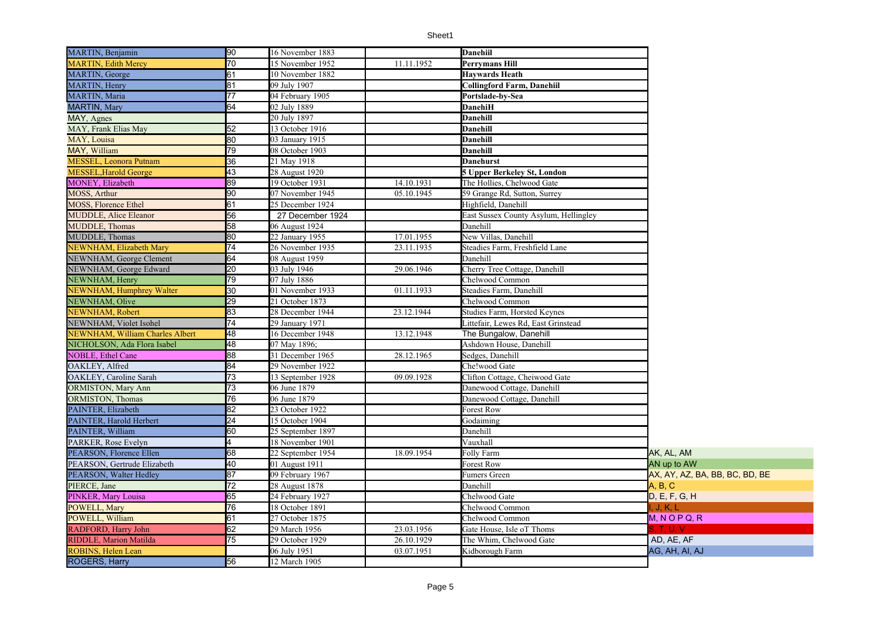| MARTIN, Benjamin                | $\overline{90}$ | 16 November 1883  |            | Danehiil                              |                                |
|---------------------------------|-----------------|-------------------|------------|---------------------------------------|--------------------------------|
| <b>MARTIN, Edith Mercy</b>      | 70              | 15 November 1952  | 11.11.1952 | Perrymans Hill                        |                                |
| MARTIN, George                  | 61              | 10 November 1882  |            | <b>Havwards Heath</b>                 |                                |
| <b>MARTIN, Henry</b>            | 81              | 09 July 1907      |            | <b>Collingford Farm, Danehiil</b>     |                                |
| <b>MARTIN, Maria</b>            | 77              | 04 February 1905  |            | Portslade-by-Sea                      |                                |
| <b>MARTIN, Mary</b>             | 64              | 02 July 1889      |            | <b>DanehiH</b>                        |                                |
| MAY, Agnes                      |                 | 20 July 1897      |            | Danehill                              |                                |
| MAY, Frank Elias May            | 52              | 13 October 1916   |            | Danehill                              |                                |
| MAY, Louisa                     | 80              | 03 January 1915   |            | <b>Danehill</b>                       |                                |
| MAY, William                    | 79              | 08 October 1903   |            | Danehill                              |                                |
| <b>MESSEL, Leonora Putnam</b>   | 36              | 21 May 1918       |            | Danehurst                             |                                |
| <b>MESSEL, Harold George</b>    | 43              | 28 August 1920    |            | <b>5 Upper Berkeley St, London</b>    |                                |
| MONEY, Elizabeth                | 89              | 19 October 1931   | 14.10.1931 | The Hollies, Chelwood Gate            |                                |
| MOSS, Arthur                    | 90              | 07 November 1945  | 05.10.1945 | 59 Grange Rd, Sutton, Surrey          |                                |
| <b>MOSS, Florence Ethel</b>     | 61              | 25 December 1924  |            | Highfield. Danehill                   |                                |
| <b>MUDDLE, Alice Eleanor</b>    | 56              | 27 December 1924  |            | East Sussex County Asylum, Hellingley |                                |
| <b>MUDDLE</b> , Thomas          | 58              | 06 August 1924    |            | Danehill                              |                                |
| <b>MUDDLE</b> , Thomas          | 80              | 22 January 1955   | 17.01.1955 | New Villas, Danehill                  |                                |
| NEWNHAM, Elizabeth Mary         | 74              | 26 November 1935  | 23.11.1935 | Steadies Farm, Freshfield Lane        |                                |
| NEWNHAM, George Clement         | 64              | 08 August 1959    |            | Danehill                              |                                |
| NEWNHAM, George Edward          | 20              | 03 July 1946      | 29.06.1946 | Cherry Tree Cottage, Danehill         |                                |
| NEWNHAM, Henry                  | 79              | 07 July 1886      |            | Chelwood Common                       |                                |
| NEWNHAM, Humphrey Walter        | 30              | 01 November 1933  | 01.11.1933 | Steadies Farm, Danehill               |                                |
| NEWNHAM, Olive                  | 29              | 21 October 1873   |            | Chelwood Common                       |                                |
| NEWNHAM, Robert                 | 83              | 28 December 1944  | 23.12.1944 | Studies Farm, Horsted Keynes          |                                |
| NEWNHAM, Violet Isohel          | 74              | 29 January 1971   |            | Littefair, Lewes Rd, East Grinstead   |                                |
| NEWNHAM, William Charles Albert | 48              | 16 December 1948  | 13.12.1948 | The Bungalow, Danehill                |                                |
| NICHOLSON, Ada Flora Isabel     | 48              | 07 May 1896;      |            | Ashdown House, Danehill               |                                |
| <b>NOBLE, Ethel Cane</b>        | 88              | 31 December 1965  | 28.12.1965 | Sedges, Danehill                      |                                |
| OAKLEY, Alfred                  | 84              | 29 November 1922  |            | Che!wood Gate                         |                                |
| OAKLEY, Caroline Sarah          | $\overline{73}$ | 13 September 1928 | 09.09.1928 | Clifton Cottage, Cheiwood Gate        |                                |
| <b>ORMISTON, Mary Ann</b>       | 73              | 06 June 1879      |            | Danewood Cottage, Danehill            |                                |
| <b>ORMISTON</b> , Thomas        | 76              | 06 June 1879      |            | Danewood Cottage, Danehill            |                                |
| PAINTER, Elizabeth              | 82              | 23 October 1922   |            | Forest Row                            |                                |
| PAINTER, Harold Herbert         | $\overline{24}$ | 15 October 1904   |            | Godaiming                             |                                |
| PAINTER, William                | 60              | 25 September 1897 |            | Danehill                              |                                |
| PARKER, Rose Evelyn             | 4               | 18 November 1901  |            | Vauxhall                              |                                |
| PEARSON, Florence Ellen         | 68              | 22 September 1954 | 18.09.1954 | Folly Farm                            | AK, AL, AM                     |
| PEARSON, Gertrude Elizabeth     | 40              | 01 August 1911    |            | Forest Row                            | AN up to AW                    |
| PEARSON, Walter Hedley          | 87              | 09 February 1967  |            | Fumers Green                          | AX, AY, AZ, BA, BB, BC, BD, BE |
| PIERCE, Jane                    | 72              | 28 August 1878    |            | Danehill                              | A, B, C                        |
| PINKER, Mary Louisa             | 65              | 24 February 1927  |            | Chelwood Gate                         | D, E, F, G, H                  |
| POWELL, Mary                    | 76              | 18 October 1891   |            | Chelwood Common                       | l, J, K, L                     |
| POWELL, William                 | 61              | 27 October 1875   |            | Chelwood Common                       | $M, N$ O P Q, R                |
| RADFORD, Harry John             | 62              | 29 March 1956     | 23.03.1956 | Gate House, Isle oT Thoms             | S, T, U, V                     |
| <b>RIDDLE, Marion Matilda</b>   | 75              | 29 October 1929   | 26.10.1929 | The Whim, Chelwood Gate               | AD, AE, AF                     |
| <b>ROBINS, Helen Lean</b>       |                 | 06 July 1951      | 03.07.1951 | Kidborough Farm                       | AG, AH, AI, AJ                 |
| <b>ROGERS, Harry</b>            | 56              | 12 March 1905     |            |                                       |                                |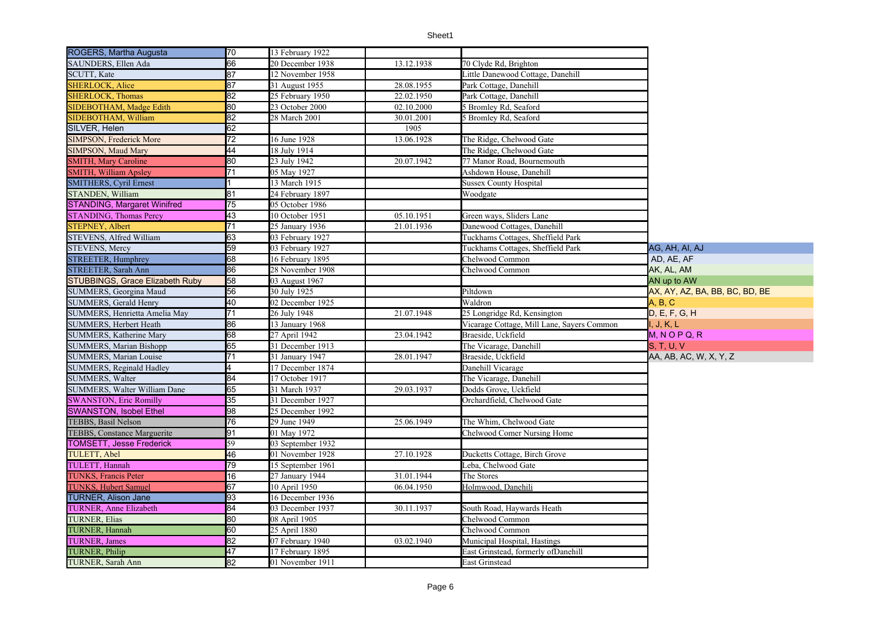| ROGERS, Martha Augusta                 | 70              | 13 February 1922  |            |                                            |                                |
|----------------------------------------|-----------------|-------------------|------------|--------------------------------------------|--------------------------------|
| SAUNDERS, Ellen Ada                    | 66              | 20 December 1938  | 13.12.1938 | 70 Clyde Rd, Brighton                      |                                |
| <b>SCUTT, Kate</b>                     | 87              | 12 November 1958  |            | Little Danewood Cottage, Danehill          |                                |
| <b>SHERLOCK, Alice</b>                 | 87              | 31 August 1955    | 28.08.1955 | Park Cottage, Danehill                     |                                |
| <b>SHERLOCK, Thomas</b>                | 82              | 25 February 1950  | 22.02.1950 | Park Cottage, Danehill                     |                                |
| SIDEBOTHAM, Madge Edith                | 80              | 23 October 2000   | 02.10.2000 | 5 Bromley Rd, Seaford                      |                                |
| SIDEBOTHAM. William                    | 82              | 28 March 2001     | 30.01.2001 | 5 Bromley Rd, Seaford                      |                                |
| SILVER, Helen                          | 62              |                   | 1905       |                                            |                                |
| <b>SIMPSON, Frederick More</b>         | 72              | 16 June 1928      | 13.06.1928 | The Ridge, Chelwood Gate                   |                                |
| <b>SIMPSON, Maud Mary</b>              | 44              | 18 July 1914      |            | The Ridge, Chelwood Gate                   |                                |
| <b>SMITH, Mary Caroline</b>            | 80              | 23 July 1942      | 20.07.1942 | 77 Manor Road, Bournemouth                 |                                |
| <b>SMITH, William Apsley</b>           | 71              | 05 May 1927       |            | Ashdown House, Danehill                    |                                |
| <b>SMITHERS, Cyril Ernest</b>          |                 | 13 March 1915     |            | <b>Sussex County Hospital</b>              |                                |
| STANDEN, William                       | $\overline{81}$ | 24 February 1897  |            | Woodgate                                   |                                |
| <b>STANDING, Margaret Winifred</b>     | 75              | 05 October 1986   |            |                                            |                                |
| <b>STANDING, Thomas Percy</b>          | 43              | 10 October 1951   | 05.10.1951 | Green ways, Sliders Lane                   |                                |
| <b>STEPNEY, Albert</b>                 | $\overline{71}$ | 25 January 1936   | 21.01.1936 | Danewood Cottages, Danehill                |                                |
| STEVENS, Alfred William                | 63              | 03 February 1927  |            | Tuckhams Cottages, Sheffield Park          |                                |
| <b>STEVENS, Mercy</b>                  | 59              | 03 February 1927  |            | Tuckhams Cottages, Sheffield Park          | AG, AH, AI, AJ                 |
| <b>STREETER, Humphrey</b>              | 68              | 16 February 1895  |            | Chelwood Common                            | AD, AE, AF                     |
| <b>STREETER, Sarah Ann</b>             | 86              | 28 November 1908  |            | Chelwood Common                            | AK, AL, AM                     |
| <b>STUBBINGS, Grace Elizabeth Ruby</b> | 58              | 03 August 1967    |            |                                            | AN up to AW                    |
| SUMMERS, Georgina Maud                 | 56              | 30 July 1925      |            | Piltdown                                   | AX, AY, AZ, BA, BB, BC, BD, BE |
| <b>SUMMERS, Gerald Henry</b>           | 40              | 02 December 1925  |            | Waldron                                    | A, B, C                        |
| SUMMERS, Henrietta Amelia May          | 71              | 26 July 1948      | 21.07.1948 | 25 Longridge Rd, Kensington                | D, E, F, G, H                  |
| <b>SUMMERS, Herbert Heath</b>          | 86              | 13 January 1968   |            | Vicarage Cottage, Mill Lane, Sayers Common | II, J, K, L                    |
| <b>SUMMERS, Katherine Mary</b>         | 68              | 27 April 1942     | 23.04.1942 | Braeside, Uckfield                         | M, NOPQ, R                     |
| <b>SUMMERS, Marian Bishopp</b>         | 65              | 31 December 1913  |            | The Vicarage, Danehill                     | <b>S. T. U. V</b>              |
| SUMMERS, Marian Louise                 | 71              | 31 January 1947   | 28.01.1947 | Braeside, Uckfield                         | AA, AB, AC, W, X, Y, Z         |
| <b>SUMMERS, Reginald Hadley</b>        | 4               | 17 December 1874  |            | Danehill Vicarage                          |                                |
| <b>SUMMERS, Walter</b>                 | 84              | 17 October 1917   |            | The Vicarage, Danehill                     |                                |
| SUMMERS, Walter William Dane           | 65              | 31 March 1937     | 29.03.1937 | Dodds Grove, Uckfield                      |                                |
| <b>SWANSTON, Eric Romilly</b>          | 35              | 31 December 1927  |            | Orchardfield, Chelwood Gate                |                                |
| <b>SWANSTON, Isobel Ethel</b>          | 98              | 25 December 1992  |            |                                            |                                |
| TEBBS, Basil Nelson                    | 76              | 29 June 1949      | 25.06.1949 | The Whim, Chelwood Gate                    |                                |
| TEBBS, Constance Marguerite            | 91              | 01 May 1972       |            | Chelwood Comer Nursing Home                |                                |
| <b>TOMSETT, Jesse Frederick</b>        | 59              | 03 September 1932 |            |                                            |                                |
| TULETT, Abel                           | 46              | 01 November 1928  | 27.10.1928 | Ducketts Cottage, Birch Grove              |                                |
| TULETT, Hannah                         | 79              | 15 September 1961 |            | Leba, Chelwood Gate                        |                                |
| <b>TUNKS, Francis Peter</b>            | 16              | 27 January 1944   | 31.01.1944 | The Stores                                 |                                |
| <b>TUNKS, Hubert Samuel</b>            | 67              | 10 April 1950     | 06.04.1950 | Holmwood, Danehili                         |                                |
| <b>TURNER, Alison Jane</b>             | 93              | 16 December 1936  |            |                                            |                                |
| TURNER, Anne Elizabeth                 | 84              | 03 December 1937  | 30.11.1937 | South Road, Haywards Heath                 |                                |
| <b>TURNER, Elias</b>                   | 80              | 08 April 1905     |            | Chelwood Common                            |                                |
| TURNER, Hannah                         | 60              | 25 April 1880     |            | Chelwood Common                            |                                |
| <b>TURNER</b> , James                  | 82              | 07 February 1940  | 03.02.1940 | Municipal Hospital, Hastings               |                                |
| TURNER, Philip                         | 47              | 17 February 1895  |            | East Grinstead, formerly ofDanehill        |                                |
| TURNER, Sarah Ann                      | 82              | 01 November 1911  |            | <b>East Grinstead</b>                      |                                |
|                                        |                 |                   |            |                                            |                                |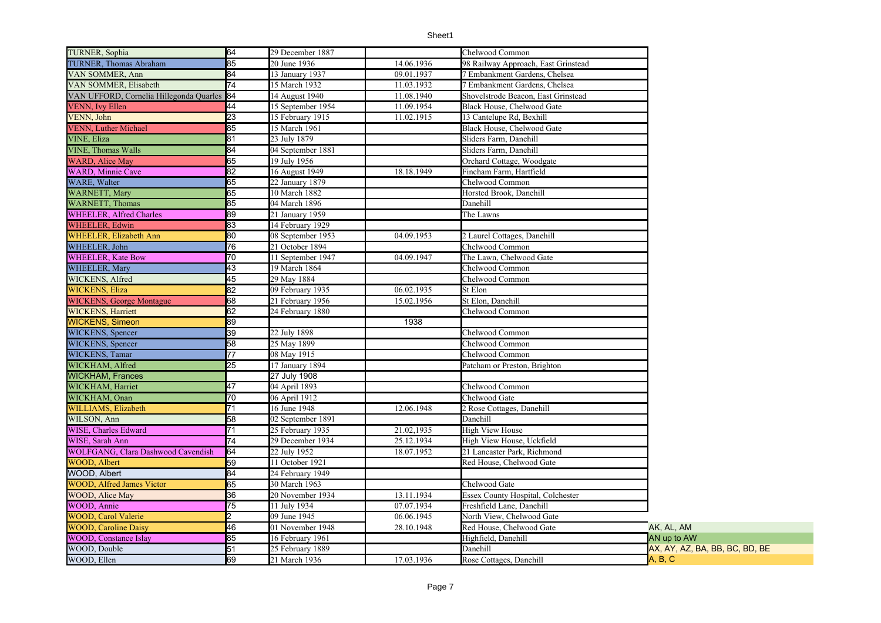| TURNER, Sophia                            | 64              | 29 December 1887  |            | Chelwood Common                          |                                |
|-------------------------------------------|-----------------|-------------------|------------|------------------------------------------|--------------------------------|
| TURNER, Thomas Abraham                    | 85              | 20 June 1936      | 14.06.1936 | 98 Railway Approach, East Grinstead      |                                |
| VAN SOMMER, Ann                           | 84              | 13 January 1937   | 09.01.1937 | 7 Embankment Gardens, Chelsea            |                                |
| VAN SOMMER, Elisabeth                     | 74              | 15 March 1932     | 11.03.1932 | 7 Embankment Gardens, Chelsea            |                                |
| VAN UFFORD, Cornelia Hillegonda Quarles   | 84              | 14 August 1940    | 11.08.1940 | Shovelstrode Beacon, East Grinstead      |                                |
| <b>VENN</b> , Ivy Ellen                   | 44              | 15 September 1954 | 11.09.1954 | Black House, Chelwood Gate               |                                |
| VENN, John                                | 23              | 15 February 1915  | 11.02.1915 | 13 Cantelupe Rd, Bexhill                 |                                |
| <b>VENN, Luther Michael</b>               | 85              | 15 March 1961     |            | Black House, Chelwood Gate               |                                |
| <b>VINE, Eliza</b>                        | 81              | 23 July 1879      |            | Sliders Farm, Danehill                   |                                |
| <b>VINE, Thomas Walls</b>                 | 84              | 04 September 1881 |            | Sliders Farm, Danehill                   |                                |
| <b>WARD, Alice May</b>                    | 65              | 19 July 1956      |            | Orchard Cottage, Woodgate                |                                |
| <b>WARD, Minnie Cave</b>                  | 82              | 16 August 1949    | 18.18.1949 | Fincham Farm, Hartfield                  |                                |
| WARE, Walter                              | 65              | 22 January 1879   |            | Chelwood Common                          |                                |
| <b>WARNETT, Mary</b>                      | 65              | 10 March 1882     |            | Horsted Brook, Danehill                  |                                |
| <b>WARNETT</b> , Thomas                   | 85              | 04 March 1896     |            | Danehill                                 |                                |
| <b>WHEELER, Alfred Charles</b>            | 89              | 21 January 1959   |            | The Lawns                                |                                |
| <b>WHEELER, Edwin</b>                     | 83              | 14 February 1929  |            |                                          |                                |
| <b>WHEELER, Elizabeth Ann</b>             | 80              | 08 September 1953 | 04.09.1953 | 2 Laurel Cottages, Danehill              |                                |
| WHEELER, John                             | 76              | 21 October 1894   |            | Chelwood Common                          |                                |
| <b>WHEELER, Kate Bow</b>                  | 70              | 11 September 1947 | 04.09.1947 | The Lawn, Chelwood Gate                  |                                |
| <b>WHEELER, Mary</b>                      | 43              | 19 March 1864     |            | Chelwood Common                          |                                |
| WICKENS, Alfred                           | 45              | 29 May 1884       |            | Chelwood Common                          |                                |
| <b>WICKENS, Eliza</b>                     | $\overline{82}$ | 09 February 1935  | 06.02.1935 | St Elon                                  |                                |
| <b>WICKENS</b> , George Montague          | 68              | 21 February 1956  | 15.02.1956 | St Elon, Danehill                        |                                |
| <b>WICKENS, Harriett</b>                  | 62              | 24 February 1880  |            | Chelwood Common                          |                                |
| <b>WICKENS, Simeon</b>                    | 89              |                   | 1938       |                                          |                                |
| WICKENS, Spencer                          | 39              | 22 July 1898      |            | Chelwood Common                          |                                |
| WICKENS, Spencer                          | 58              | 25 May 1899       |            | Chelwood Common                          |                                |
| WICKENS, Tamar                            | 77              | 08 May 1915       |            | Chelwood Common                          |                                |
| WICKHAM, Alfred                           | 25              | 17 January 1894   |            | Patcham or Preston, Brighton             |                                |
| <b>WICKHAM, Frances</b>                   |                 | 27 July 1908      |            |                                          |                                |
| WICKHAM, Harriet                          | 47              | 04 April 1893     |            | Chelwood Common                          |                                |
| WICKHAM, Onan                             | 70              | 06 April 1912     |            | Chelwood Gate                            |                                |
| <b>WILLIAMS, Elizabeth</b>                | 71              | 16 June 1948      | 12.06.1948 | 2 Rose Cottages, Danehill                |                                |
| WILSON, Ann                               | 58              | 02 September 1891 |            | Danehill                                 |                                |
| WISE, Charles Edward                      | 71              | 25 February 1935  | 21.02,1935 | <b>High View House</b>                   |                                |
| WISE, Sarah Ann                           | 74              | 29 December 1934  | 25.12.1934 | High View House, Uckfield                |                                |
| <b>WOLFGANG, Clara Dashwood Cavendish</b> | 64              | 22 July 1952      | 18.07.1952 | 21 Lancaster Park, Richmond              |                                |
| <b>WOOD, Albert</b>                       | 59              | 11 October 1921   |            | Red House, Chelwood Gate                 |                                |
| WOOD, Albert                              | 84              | 24 February 1949  |            |                                          |                                |
| <b>WOOD, Alfred James Victor</b>          | 65              | 30 March 1963     |            | Chelwood Gate                            |                                |
| WOOD, Alice May                           | 36              | 20 November 1934  | 13.11.1934 | <b>Essex County Hospital, Colchester</b> |                                |
| WOOD, Annie                               | $\overline{75}$ | 11 July 1934      | 07.07.1934 | Freshfield Lane, Danehill                |                                |
| <b>WOOD, Carol Valerie</b>                | 2               | 09 June 1945      | 06.06.1945 | North View, Chelwood Gate                |                                |
| <b>WOOD, Caroline Daisy</b>               | 46              | 01 November 1948  | 28.10.1948 | Red House, Chelwood Gate                 | AK, AL, AM                     |
| <b>WOOD, Constance Islay</b>              | 85              | 16 February 1961  |            | Highfield, Danehill                      | AN up to AW                    |
| WOOD, Double                              | 51              | 25 February 1889  |            | Danehill                                 | AX, AY, AZ, BA, BB, BC, BD, BE |
| WOOD, Ellen                               | 69              | 21 March 1936     | 17.03.1936 | Rose Cottages, Danehill                  | A. B. C                        |
|                                           |                 |                   |            |                                          |                                |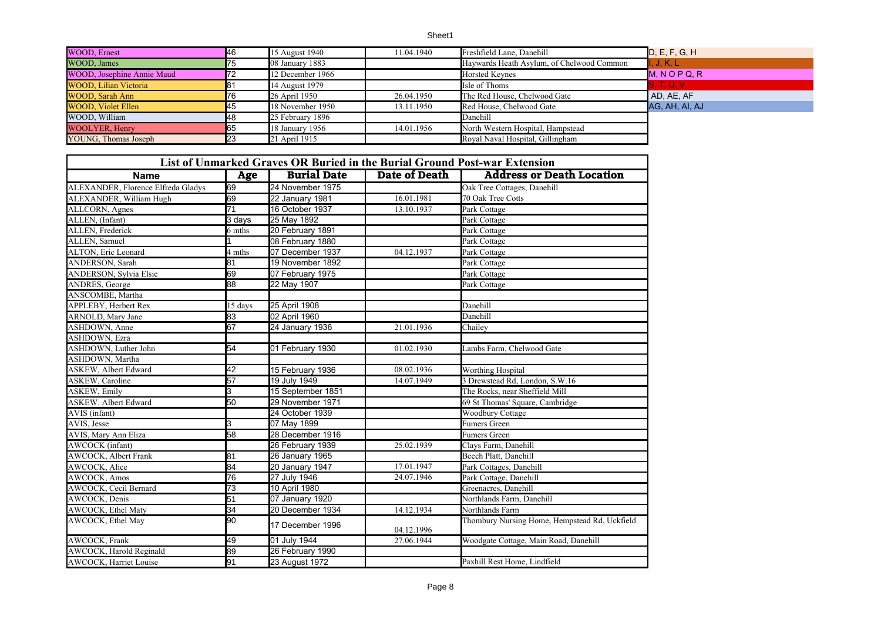| WOOD, Ernest               | <b>146</b> | 15 August 1940    | 11.04.1940 | Freshfield Lane, Danehill                 | D, E, F, G, H   |
|----------------------------|------------|-------------------|------------|-------------------------------------------|-----------------|
| WOOD, James                | 75         | 08 January 1883   |            | Haywards Heath Asylum, of Chelwood Common | , J, K, L       |
| WOOD, Josephine Annie Maud | 172        | 12 December 1966  |            | <b>Horsted Keynes</b>                     | $M, N$ O P Q, R |
| WOOD, Lilian Victoria      |            | 14 August 1979    |            | Isle of Thoms                             | S, T, U, V      |
| WOOD, Sarah Ann            | 76         | 26 April 1950     | 26.04.1950 | The Red House, Chelwood Gate              | AD, AE, AF      |
| <b>WOOD, Violet Ellen</b>  | 45         | 18 November 1950  | 13.11.1950 | Red House, Chelwood Gate                  | AG, AH, AI, AJ  |
| WOOD, William              | 48         | 25 February 1896  |            | Danehill                                  |                 |
| <b>WOOLYER, Henry</b>      | 65         | $18$ January 1956 | 14.01.1956 | North Western Hospital, Hampstead         |                 |
| YOUNG, Thomas Joseph       | 123        | 21 April 1915     |            | Royal Naval Hospital, Gillingham          |                 |

| <b>Name</b>                        | Age               | List of Unmarked Graves OR Buried in the Burial Ground Post-war Extension<br><b>Burial Date</b> | <b>Date of Death</b> | <b>Address or Death Location</b>              |  |
|------------------------------------|-------------------|-------------------------------------------------------------------------------------------------|----------------------|-----------------------------------------------|--|
| ALEXANDER, Florence Elfreda Gladys | 69                | 24 November 1975                                                                                |                      | Oak Tree Cottages, Danehill                   |  |
| ALEXANDER, William Hugh            | 69                | 22 January 1981                                                                                 | 16.01.1981           | 70 Oak Tree Cotts                             |  |
| ALLCORN, Agnes                     | $\overline{71}$   | 16 October 1937                                                                                 | 13.10.1937           | Park Cottage                                  |  |
| ALLEN, (Infant)                    | $3$ days          | 25 May 1892                                                                                     |                      | Park Cottage                                  |  |
| <b>ALLEN, Frederick</b>            | 6 mths            | 20 February 1891                                                                                |                      | Park Cottage                                  |  |
| ALLEN, Samuel                      |                   | 08 February 1880                                                                                |                      |                                               |  |
| ALTON, Eric Leonard                | 4 mths            | 07 December 1937                                                                                | 04.12.1937           | Park Cottage                                  |  |
|                                    | 81                |                                                                                                 |                      | Park Cottage                                  |  |
| ANDERSON, Sarah                    |                   | 19 November 1892                                                                                |                      | Park Cottage                                  |  |
| ANDERSON, Sylvia Elsie             | 69                | 07 February 1975                                                                                |                      | Park Cottage                                  |  |
| ANDRES, George                     | $\overline{88}$   | 22 May 1907                                                                                     |                      | Park Cottage                                  |  |
| ANSCOMBE, Martha                   |                   |                                                                                                 |                      |                                               |  |
| APPLEBY, Herbert Rex               | $15 \text{ days}$ | 25 April 1908                                                                                   |                      | Danehill                                      |  |
| ARNOLD, Mary Jane                  | 83                | 02 April 1960                                                                                   |                      | Danehill                                      |  |
| ASHDOWN, Anne                      | 67                | 24 January 1936                                                                                 | 21.01.1936           | Chailey                                       |  |
| <b>ASHDOWN</b> , Ezra              |                   |                                                                                                 |                      |                                               |  |
| ASHDOWN, Luther John               | 54                | 01 February 1930                                                                                | 01.02.1930           | Lambs Farm, Chelwood Gate                     |  |
| ASHDOWN, Martha                    |                   |                                                                                                 |                      |                                               |  |
| <b>ASKEW</b> , Albert Edward       | 42                | 15 February 1936                                                                                | 08.02.1936           | Worthing Hospital                             |  |
| <b>ASKEW</b> , Caroline            | 57                | 19 July 1949                                                                                    | 14.07.1949           | 3 Drewstead Rd, London, S.W.16                |  |
| <b>ASKEW, Emily</b>                | З                 | 15 September 1851                                                                               |                      | The Rocks, near Sheffield Mill                |  |
| <b>ASKEW. Albert Edward</b>        | 50                | 29 November 1971                                                                                |                      | 69 St Thomas' Square, Cambridge               |  |
| AVIS (infant)                      |                   | 24 October 1939                                                                                 |                      | Woodbury Cottage                              |  |
| AVIS, Jesse                        | 3                 | 07 May 1899                                                                                     |                      | <b>Fumers Green</b>                           |  |
| AVIS, Mary Ann Eliza               | 58                | 28 December 1916                                                                                |                      | <b>Fumers Green</b>                           |  |
| <b>AWCOCK</b> (infant)             |                   | 26 February 1939                                                                                | 25.02.1939           | Clays Farm, Danehill                          |  |
| <b>AWCOCK</b> , Albert Frank       | 81                | 26 January 1965                                                                                 |                      | Beech Platt, Danehill                         |  |
| <b>AWCOCK</b> , Alice              | 84                | 20 January 1947                                                                                 | 17.01.1947           | Park Cottages, Danehill                       |  |
| AWCOCK, Amos                       | 76                | 27 July 1946                                                                                    | 24.07.1946           | Park Cottage, Danehill                        |  |
| <b>AWCOCK</b> , Cecil Bernard      | $\overline{73}$   | 10 April 1980                                                                                   |                      | Greenacres, Danehill                          |  |
| <b>AWCOCK</b> , Denis              | 51                | 07 January 1920                                                                                 |                      | Northlands Farm, Danehill                     |  |
| AWCOCK, Ethel Maty                 | 34                | 20 December 1934                                                                                | 14.12.1934           | Northlands Farm                               |  |
| AWCOCK, Ethel May                  | 90                | 17 December 1996                                                                                | 04.12.1996           | Thombury Nursing Home, Hempstead Rd, Uckfield |  |
| AWCOCK, Frank                      | 49                | 01 July 1944                                                                                    | 27.06.1944           | Woodgate Cottage, Main Road, Danehill         |  |
| AWCOCK, Harold Reginald            | 89                | 26 February 1990                                                                                |                      |                                               |  |
| AWCOCK, Harriet Louise             | 91                | 23 August 1972                                                                                  |                      | Paxhill Rest Home, Lindfield                  |  |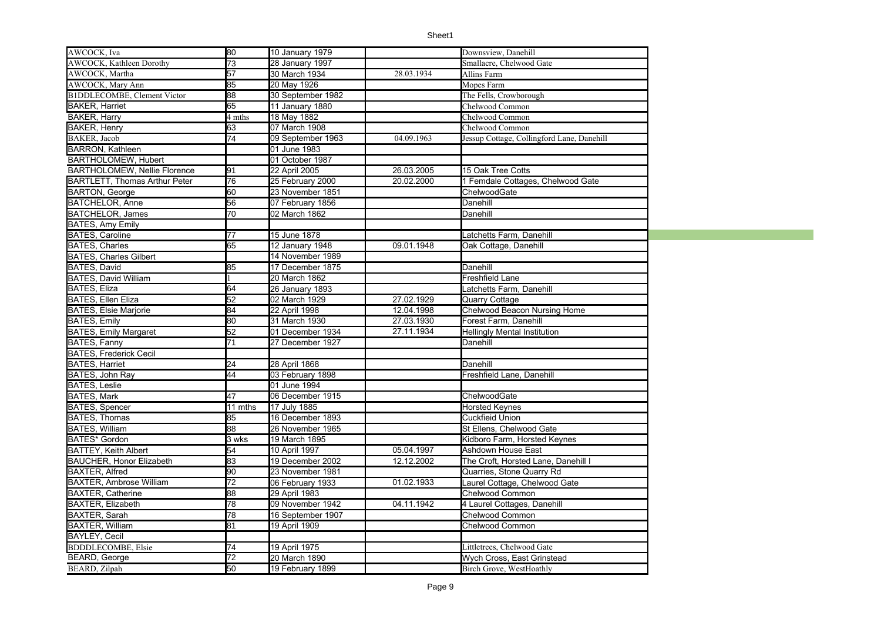| AWCOCK, Iva                          | 80              | 10 January 1979   |            | Downsview, Danehill                        |  |
|--------------------------------------|-----------------|-------------------|------------|--------------------------------------------|--|
| <b>AWCOCK</b> , Kathleen Dorothy     | $\overline{73}$ | 28 January 1997   |            | Smallacre, Chelwood Gate                   |  |
| AWCOCK, Martha                       | 57              | 30 March 1934     | 28.03.1934 | Allins Farm                                |  |
| <b>AWCOCK</b> , Mary Ann             | 85              | 20 May 1926       |            | Mopes Farm                                 |  |
| <b>B1DDLECOMBE, Clement Victor</b>   | 88              | 30 September 1982 |            | The Fells, Crowborough                     |  |
| <b>BAKER, Harriet</b>                | $\overline{65}$ | 11 January 1880   |            | Chelwood Common                            |  |
| BAKER, Harry                         | 4 mths          | 18 May 1882       |            | Chelwood Common                            |  |
| <b>BAKER, Henry</b>                  | 63              | 07 March 1908     |            | Chelwood Common                            |  |
| BAKER, Jacob                         | $\overline{74}$ | 09 September 1963 | 04.09.1963 | Jessup Cottage, Collingford Lane, Danehill |  |
| <b>BARRON, Kathleen</b>              |                 | 01 June 1983      |            |                                            |  |
| BARTHOLOMEW, Hubert                  |                 | 01 October 1987   |            |                                            |  |
| <b>BARTHOLOMEW, Nellie Florence</b>  | 91              | 22 April 2005     | 26.03.2005 | 15 Oak Tree Cotts                          |  |
| <b>BARTLETT, Thomas Arthur Peter</b> | 76              | 25 February 2000  | 20.02.2000 | 1 Femdale Cottages, Chelwood Gate          |  |
|                                      | 60              | 23 November 1851  |            | ChelwoodGate                               |  |
| <b>BARTON, George</b>                |                 |                   |            |                                            |  |
| <b>BATCHELOR, Anne</b>               | 56              | 07 February 1856  |            | Danehill                                   |  |
| BATCHELOR, James                     | $\overline{70}$ | 02 March 1862     |            | Danehill                                   |  |
| <b>BATES, Amy Emily</b>              |                 |                   |            |                                            |  |
| <b>BATES, Caroline</b>               | 77              | 15 June 1878      |            | Latchetts Farm, Danehill                   |  |
| <b>BATES, Charles</b>                | 65              | 12 January 1948   | 09.01.1948 | Oak Cottage, Danehill                      |  |
| <b>BATES, Charles Gilbert</b>        |                 | 14 November 1989  |            |                                            |  |
| BATES, David                         | 85              | 17 December 1875  |            | Danehill                                   |  |
| <b>BATES, David William</b>          |                 | 20 March 1862     |            | <b>Freshfield Lane</b>                     |  |
| <b>BATES, Eliza</b>                  | 64              | 26 January 1893   |            | Latchetts Farm, Danehill                   |  |
| <b>BATES, Ellen Eliza</b>            | $\overline{52}$ | 02 March 1929     | 27.02.1929 | Quarry Cottage                             |  |
| <b>BATES, Elsie Marjorie</b>         | 84              | 22 April 1998     | 12.04.1998 | Chelwood Beacon Nursing Home               |  |
| BATES, Emily                         | 80              | 31 March 1930     | 27.03.1930 | Forest Farm. Danehill                      |  |
| <b>BATES, Emily Margaret</b>         | 52              | 01 December 1934  | 27.11.1934 | <b>Hellingly Mental Institution</b>        |  |
| <b>BATES, Fanny</b>                  | 71              | 27 December 1927  |            | Danehill                                   |  |
| <b>BATES, Frederick Cecil</b>        |                 |                   |            |                                            |  |
| <b>BATES, Harriet</b>                | 24              | 28 April 1868     |            | Danehill                                   |  |
| BATES, John Ray                      | 44              | 03 February 1898  |            | Freshfield Lane, Danehill                  |  |
| <b>BATES, Leslie</b>                 |                 | 01 June 1994      |            |                                            |  |
| <b>BATES, Mark</b>                   | 47              | 06 December 1915  |            | ChelwoodGate                               |  |
| <b>BATES, Spencer</b>                | 11 mths         | 17 July 1885      |            | <b>Horsted Keynes</b>                      |  |
| <b>BATES, Thomas</b>                 | 85              | 16 December 1893  |            | <b>Cuckfieid Union</b>                     |  |
| <b>BATES, William</b>                | 88              | 26 November 1965  |            | St Ellens, Chelwood Gate                   |  |
| BATES* Gordon                        | 3 wks           | 19 March 1895     |            | Kidboro Farm, Horsted Keynes               |  |
| <b>BATTEY, Keith Albert</b>          | 54              | 10 April 1997     | 05.04.1997 | Ashdown House East                         |  |
| BAUCHER, Honor Elizabeth             | 83              | 19 December 2002  | 12.12.2002 | The Croft, Horsted Lane, Danehill I        |  |
| <b>BAXTER, Alfred</b>                | 90              | 23 November 1981  |            | Quarries, Stone Quarry Rd                  |  |
| <b>BAXTER, Ambrose William</b>       | $\overline{72}$ | 06 February 1933  | 01.02.1933 | Laurel Cottage, Chelwood Gate              |  |
| <b>BAXTER, Catherine</b>             | 88              | 29 April 1983     |            | Chelwood Common                            |  |
| <b>BAXTER, Elizabeth</b>             | 78              | 09 November 1942  | 04.11.1942 | 4 Laurel Cottages, Danehill                |  |
| BAXTER, Sarah                        | 78              | 16 September 1907 |            | Chelwood Common                            |  |
| <b>BAXTER, William</b>               | 81              | 19 April 1909     |            | Chelwood Common                            |  |
| <b>BAYLEY, Cecil</b>                 |                 |                   |            |                                            |  |
| <b>BDDDLECOMBE, Elsie</b>            | 74              | 19 April 1975     |            | Littletrees, Chelwood Gate                 |  |
|                                      |                 |                   |            |                                            |  |
| <b>BEARD, George</b>                 | $\overline{72}$ | 20 March 1890     |            | Wych Cross, East Grinstead                 |  |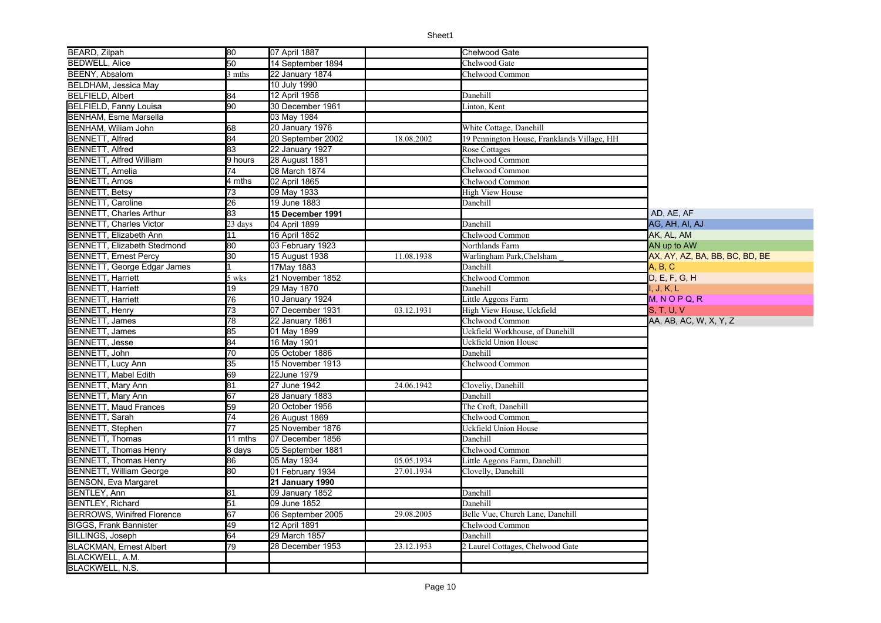| BEARD, Zilpah                      | 80                  | 07 April 1887     |            | <b>Chelwood Gate</b>                        |                                |
|------------------------------------|---------------------|-------------------|------------|---------------------------------------------|--------------------------------|
| <b>BEDWELL, Alice</b>              | 50                  | 14 September 1894 |            | Chelwood Gate                               |                                |
| BEENY, Absalom                     | 3 mths              | 22 January 1874   |            | Chelwood Common                             |                                |
| BELDHAM, Jessica May               |                     | 10 July 1990      |            |                                             |                                |
| <b>BELFIELD, Albert</b>            | 84                  | 12 April 1958     |            | Danehill                                    |                                |
| <b>BELFIELD, Fanny Louisa</b>      | 90                  | 30 December 1961  |            | Linton, Kent                                |                                |
| <b>BENHAM, Esme Marsella</b>       |                     | 03 May 1984       |            |                                             |                                |
| BENHAM, Wiliam John                | 68                  | 20 January 1976   |            | White Cottage, Danehill                     |                                |
| <b>BENNETT, Alfred</b>             | 84                  | 20 September 2002 | 18.08.2002 | 19 Pennington House, Franklands Village, HH |                                |
| <b>BENNETT, Alfred</b>             | $\overline{83}$     | 22 January 1927   |            | Rose Cottages                               |                                |
| <b>BENNETT, Alfred William</b>     | 9 hours             | 28 August 1881    |            | Chelwood Common                             |                                |
| <b>BENNETT, Amelia</b>             | 74                  | 08 March 1874     |            | Chelwood Common                             |                                |
| <b>BENNETT, Amos</b>               | 4 mths              | 02 April 1865     |            | Chelwood Common                             |                                |
| <b>BENNETT, Betsy</b>              | 73                  | 09 May 1933       |            | <b>High View House</b>                      |                                |
| <b>BENNETT, Caroline</b>           | 26                  | 19 June 1883      |            | Danehill                                    |                                |
| <b>BENNETT, Charles Arthur</b>     | $\overline{83}$     | 15 December 1991  |            |                                             | AD, AE, AF                     |
| <b>BENNETT, Charles Victor</b>     | 23 days             | 04 April 1899     |            | Danehill                                    | AG, AH, AI, AJ                 |
| <b>BENNETT, Elizabeth Ann</b>      | 11                  | 16 April 1852     |            | Chelwood Common                             | AK, AL, AM                     |
| <b>BENNETT, Elizabeth Stedmond</b> | 80                  | 03 February 1923  |            | Northlands Farm                             | AN up to AW                    |
| <b>BENNETT, Ernest Percy</b>       | $\overline{30}$     | 15 August 1938    | 11.08.1938 | Warlingham Park, Chelsham                   | AX, AY, AZ, BA, BB, BC, BD, BE |
| BENNETT, George Edgar James        |                     | 17May 1883        |            | Danehill                                    | A, B, C                        |
| <b>BENNETT, Harriett</b>           | 5 wks               | 21 November 1852  |            | Chelwood Common                             | D, E, F, G, H                  |
| <b>BENNETT, Harriett</b>           | $\overline{19}$     | 29 May 1870       |            | Danehill                                    | , J, K, L                      |
| <b>BENNETT, Harriett</b>           | $\overline{76}$     | 10 January 1924   |            | Little Aggons Farm                          | $M, N$ O P Q, R                |
| <b>BENNETT, Henry</b>              | $\overline{73}$     | 07 December 1931  | 03.12.1931 | High View House, Uckfield                   | S, T, U, V                     |
| <b>BENNETT, James</b>              | 78                  | 22 January 1861   |            | Chelwood Common                             | AA, AB, AC, W, X, Y, Z         |
| <b>BENNETT, James</b>              | 85                  | 01 May 1899       |            | Uckfield Workhouse, of Danehill             |                                |
| <b>BENNETT, Jesse</b>              | 84                  | 16 May 1901       |            | Uckfield Union House                        |                                |
| BENNETT, John                      | 70                  | 05 October 1886   |            | Danehill                                    |                                |
| <b>BENNETT, Lucy Ann</b>           | 35                  | 15 November 1913  |            | Chelwood Common                             |                                |
| <b>BENNETT, Mabel Edith</b>        | 69                  | 22June 1979       |            |                                             |                                |
| <b>BENNETT, Mary Ann</b>           | 81                  | 27 June 1942      | 24.06.1942 | Cloveliy, Danehill                          |                                |
| <b>BENNETT, Mary Ann</b>           | 67                  | 28 January 1883   |            | Danehill                                    |                                |
| <b>BENNETT, Maud Frances</b>       | 59                  | 20 October 1956   |            | The Croft, Danehill                         |                                |
| <b>BENNETT, Sarah</b>              | $\overline{74}$     | 26 August 1869    |            | Chelwood Common                             |                                |
| <b>BENNETT, Stephen</b>            | 77                  | 25 November 1876  |            | Uckfield Union House                        |                                |
| <b>BENNETT, Thomas</b>             | 11 mths             | 07 December 1856  |            | Danehill                                    |                                |
| <b>BENNETT, Thomas Henry</b>       | $\overline{8}$ days | 05 September 1881 |            | Chelwood Common                             |                                |
| <b>BENNETT, Thomas Henry</b>       | 86                  | 05 May 1934       | 05.05.1934 | Little Aggons Farm, Danehill                |                                |
| <b>BENNETT, William George</b>     | $\overline{80}$     | 01 February 1934  | 27.01.1934 | Clovelly, Danehill                          |                                |
| <b>BENSON, Eva Margaret</b>        |                     | 21 January 1990   |            |                                             |                                |
| <b>BENTLEY, Ann</b>                | 81                  | 09 January 1852   |            | Danehill                                    |                                |
| <b>BENTLEY, Richard</b>            | $\overline{51}$     | 09 June 1852      |            | Danehill                                    |                                |
| <b>BERROWS, Winifred Florence</b>  | $\overline{67}$     | 06 September 2005 | 29.08.2005 | Belle Vue, Church Lane, Danehill            |                                |
| <b>BIGGS, Frank Bannister</b>      | 49                  | 12 April 1891     |            | Chelwood Common                             |                                |
| BILLINGS, Joseph                   | 64                  | 29 March 1857     |            | Danehill                                    |                                |
| <b>BLACKMAN, Ernest Albert</b>     | 79                  | 28 December 1953  | 23.12.1953 | 2 Laurel Cottages, Chelwood Gate            |                                |
| BLACKWELL, A.M.                    |                     |                   |            |                                             |                                |
| BLACKWELL, N.S.                    |                     |                   |            |                                             |                                |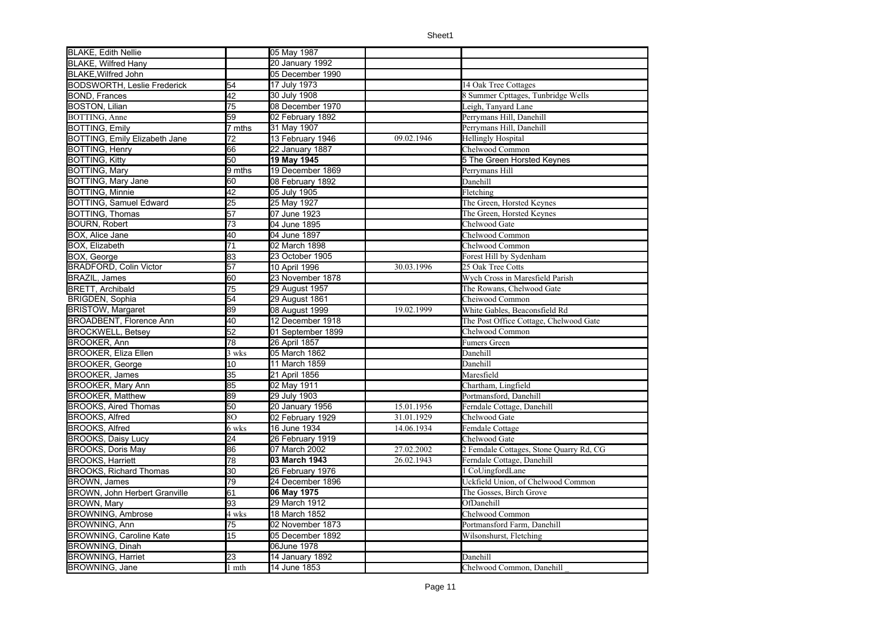| <b>BLAKE, Edith Nellie</b>            |                 | 05 May 1987       |            |                                         |
|---------------------------------------|-----------------|-------------------|------------|-----------------------------------------|
| <b>BLAKE, Wilfred Hany</b>            |                 | 20 January 1992   |            |                                         |
| <b>BLAKE, Wilfred John</b>            |                 | 05 December 1990  |            |                                         |
| <b>BODSWORTH, Leslie Frederick</b>    | 54              | 17 July 1973      |            | 14 Oak Tree Cottages                    |
| <b>BOND, Frances</b>                  | 42              | 30 July 1908      |            | 8 Summer Cpttages, Tunbridge Wells      |
| <b>BOSTON, Lilian</b>                 | $\overline{75}$ | 08 December 1970  |            | Leigh, Tanvard Lane                     |
| BOTTING, Anne                         | 59              | 02 February 1892  |            | Perrymans Hill, Danehill                |
| <b>BOTTING, Emily</b>                 | 7 mths          | 31 May 1907       |            | Perrymans Hill, Danehill                |
| <b>BOTTING, Emily Elizabeth Jane</b>  | 72              | 13 February 1946  | 09.02.1946 | <b>Hellingly Hospital</b>               |
| <b>BOTTING, Henry</b>                 | 66              | 22 January 1887   |            | Chelwood Common                         |
| <b>BOTTING, Kitty</b>                 | 50              | 19 May 1945       |            | 5 The Green Horsted Keynes              |
| BOTTING, Mary                         | 9 mths          | 19 December 1869  |            | Perrymans Hill                          |
| BOTTING, Mary Jane<br>BOTTING, Minnie | 60              | 08 February 1892  |            | Danehill                                |
|                                       | 42              | 05 July 1905      |            | Fletching                               |
| <b>BOTTING, Samuel Edward</b>         | 25              | 25 May 1927       |            | The Green, Horsted Keynes               |
| <b>BOTTING, Thomas</b>                | 57              | 07 June 1923      |            | The Green, Horsted Keynes               |
| <b>BOURN, Robert</b>                  | $\overline{73}$ | 04 June 1895      |            | Chelwood Gate                           |
| BOX, Alice Jane                       | 40              | 04 June 1897      |            | Chelwood Common                         |
| BOX, Elizabeth                        | 71              | 02 March 1898     |            | Chelwood Common                         |
| BOX, George                           | 83              | 23 October 1905   |            | Forest Hill by Sydenham                 |
| <b>BRADFORD, Colin Victor</b>         | 57              | 10 April 1996     | 30.03.1996 | 25 Oak Tree Cotts                       |
| <b>BRAZIL, James</b>                  | 60              | 23 November 1878  |            | Wych Cross in Maresfield Parish         |
| <b>BRETT, Archibald</b>               | 75              | 29 August 1957    |            | The Rowans, Chelwood Gate               |
| BRIGDEN, Sophia                       | 54              | 29 August 1861    |            | Cheiwood Common                         |
| <b>BRISTOW, Margaret</b>              | 89              | 08 August 1999    | 19.02.1999 | White Gables, Beaconsfield Rd           |
| <b>BROADBENT, Florence Ann</b>        | 40              | 12 December 1918  |            | The Post Office Cottage, Chelwood Gate  |
| <b>BROCKWELL, Betsey</b>              | 52              | 01 September 1899 |            | Chelwood Common                         |
| <b>BROOKER, Ann</b>                   | 78              | 26 April 1857     |            | Fumers Green                            |
| <b>BROOKER, Eliza Ellen</b>           | 3 wks           | 05 March 1862     |            | Danehill                                |
| <b>BROOKER, George</b>                | 10              | 11 March 1859     |            | Danehill                                |
| <b>BROOKER, James</b>                 | 35              | 21 April 1856     |            | Maresfield                              |
| <b>BROOKER, Mary Ann</b>              | 85              | 02 May 1911       |            | Chartham, Lingfield                     |
| <b>BROOKER, Matthew</b>               | 89              | 29 July 1903      |            | Portmansford, Danehill                  |
| <b>BROOKS, Aired Thomas</b>           | 50              | 20 January 1956   | 15.01.1956 | Ferndale Cottage, Danehill              |
| <b>BROOKS, Alfred</b>                 | 80              | 02 February 1929  | 31.01.1929 | Chelwood Gate                           |
| <b>BROOKS, Alfred</b>                 | 6 wks           | 16 June 1934      | 14.06.1934 | Femdale Cottage                         |
| <b>BROOKS, Daisy Lucy</b>             | 24              | 26 February 1919  |            | Chelwood Gate                           |
| <b>BROOKS, Doris May</b>              | 86              | 07 March 2002     | 27.02.2002 | 2 Femdale Cottages, Stone Quarry Rd, CG |
| <b>BROOKS, Harriett</b>               | 78              | 03 March 1943     | 26.02.1943 | Ferndale Cottage, Danehill              |
| <b>BROOKS, Richard Thomas</b>         | 30              | 26 February 1976  |            | 1 CoUingfordLane                        |
| <b>BROWN, James</b>                   | 79              | 24 December 1896  |            | Uckfield Union, of Chelwood Common      |
| <b>BROWN, John Herbert Granville</b>  | 61              | 06 May 1975       |            | The Gosses, Birch Grove                 |
| <b>BROWN, Mary</b>                    | 93              | 29 March 1912     |            | OfDanehill                              |
| <b>BROWNING, Ambrose</b>              | 4 wks           | 18 March 1852     |            | Chelwood Common                         |
| <b>BROWNING, Ann</b>                  | 75              | 02 November 1873  |            | Portmansford Farm, Danehill             |
| <b>BROWNING, Caroline Kate</b>        | 15              | 05 December 1892  |            | Wilsonshurst, Fletching                 |
| <b>BROWNING, Dinah</b>                |                 | 06June 1978       |            |                                         |
| <b>BROWNING, Harriet</b>              | 23              | 14 January 1892   |            | Danehill                                |
| <b>BROWNING, Jane</b>                 | 1 mth           | 14 June 1853      |            | Chelwood Common, Danehill               |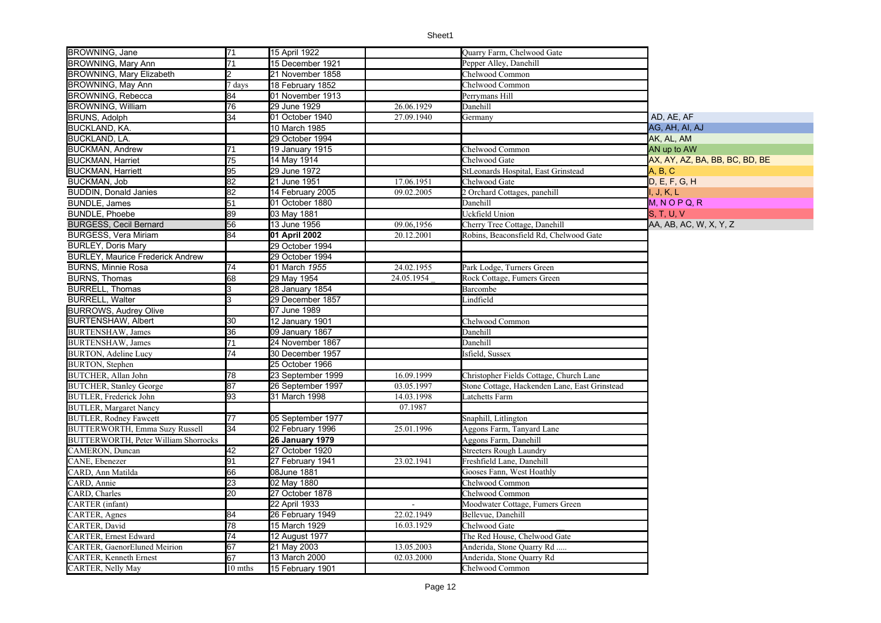| <b>BROWNING, Jane</b>                                 | 71              | 15 April 1922     |              | Quarry Farm, Chelwood Gate                    |                                |
|-------------------------------------------------------|-----------------|-------------------|--------------|-----------------------------------------------|--------------------------------|
| BROWNING, Mary Ann                                    | 71              | 15 December 1921  |              | Pepper Alley, Danehill                        |                                |
| <b>BROWNING, Mary Elizabeth</b>                       |                 | 21 November 1858  |              | Chelwood Common                               |                                |
| BROWNING, May Ann                                     | days            | 18 February 1852  |              | Chelwood Common                               |                                |
| BROWNING, Rebecca                                     | 84              | 01 November 1913  |              | Perrymans Hill                                |                                |
| <b>BROWNING, William</b>                              | 76              | 29 June 1929      | 26.06.1929   | Danehill                                      |                                |
| <b>BRUNS, Adolph</b>                                  | 34              | 01 October 1940   | 27.09.1940   | Germany                                       | AD, AE, AF                     |
| <b>BUCKLAND, KA.</b>                                  |                 | 10 March 1985     |              |                                               | AG, AH, AI, AJ                 |
| <b>BUCKLAND, LA.</b>                                  |                 | 29 October 1994   |              |                                               | AK, AL, AM                     |
| <b>BUCKMAN, Andrew</b>                                | 71              | 19 January 1915   |              | Chelwood Common                               | AN up to AW                    |
| <b>BUCKMAN, Harriet</b>                               | 75              | 14 May 1914       |              | Chelwood Gate                                 | AX, AY, AZ, BA, BB, BC, BD, BE |
| <b>BUCKMAN, Harriett</b>                              | 95              | 29 June 1972      |              | StLeonards Hospital, East Grinstead           | A, B, C                        |
| BUCKMAN, Job                                          | 82              | 21 June 1951      | 17.06.1951   | Chelwood Gate                                 | D, E, F, G, H                  |
| <b>BUDDIN, Donald Janies</b>                          | $\overline{82}$ | 14 February 2005  | 09.02.2005   | 2 Orchard Cottages, panehill                  | I, J, K, L                     |
| <b>BUNDLE, James</b>                                  | 51              | 01 October 1880   |              | Danehill                                      | $M, N$ O P Q, R                |
| <b>BUNDLE, Phoebe</b>                                 | 89              | 03 May 1881       |              | Uckfield Union                                | S, T, U, V                     |
| <b>BURGESS, Cecil Bernard</b>                         | 56              | 13 June 1956      | 09.06,1956   | Cherry Tree Cottage, Danehill                 | AA, AB, AC, W, X, Y, Z         |
| <b>BURGESS, Vera Miriam</b>                           | 84              | 01 April 2002     | 20.12.2001   | Robins, Beaconsfield Rd, Chelwood Gate        |                                |
| <b>BURLEY, Doris Mary</b>                             |                 | 29 October 1994   |              |                                               |                                |
| <b>BURLEY, Maurice Frederick Andrew</b>               |                 | 29 October 1994   |              |                                               |                                |
| <b>BURNS, Minnie Rosa</b>                             | 74              | 01 March 1955     | 24.02.1955   | Park Lodge, Turners Green                     |                                |
| <b>BURNS, Thomas</b>                                  | 68              | 29 May 1954       | 24.05.1954   | Rock Cottage, Fumers Green                    |                                |
| <b>BURRELL, Thomas</b>                                | 3               | 28 January 1854   |              | Barcombe                                      |                                |
| <b>BURRELL, Walter</b>                                |                 | 29 December 1857  |              | Lindfield                                     |                                |
| <b>BURROWS, Audrey Olive</b>                          |                 | 07 June 1989      |              |                                               |                                |
| <b>BURTENSHAW, Albert</b>                             | 30              | 12 January 1901   |              | Chelwood Common                               |                                |
| <b>BURTENSHAW</b> , James                             | 36              | 09 January 1867   |              | Danehill                                      |                                |
| <b>BURTENSHAW</b> , James                             | $\overline{71}$ | 24 November 1867  |              | Danehill                                      |                                |
| <b>BURTON</b> , Adeline Lucy                          | 74              | 30 December 1957  |              | Isfield, Sussex                               |                                |
| <b>BURTON</b> , Stephen                               |                 | 25 October 1966   |              |                                               |                                |
| <b>BUTCHER</b> , Allan John                           | 78              | 23 September 1999 | 16.09.1999   | Christopher Fields Cottage, Church Lane       |                                |
| <b>BUTCHER, Stanley George</b>                        | 87              | 26 September 1997 | 03.05.1997   | Stone Cottage, Hackenden Lane, East Grinstead |                                |
| <b>BUTLER</b> , Frederick John                        | 93              | 31 March 1998     | 14.03.1998   | Latchetts Farm                                |                                |
| <b>BUTLER, Margaret Nancy</b>                         |                 |                   | 07.1987      |                                               |                                |
| <b>BUTLER, Rodney Fawcett</b>                         | 77              | 05 September 1977 |              | Snaphill, Litlington                          |                                |
| <b>BUTTERWORTH, Emma Suzy Russell</b>                 | 34              | 02 February 1996  | 25.01.1996   | Aggons Farm, Tanyard Lane                     |                                |
| BUTTERWORTH, Peter William Shorrocks                  |                 | 26 January 1979   |              | Aggons Farm, Danehill                         |                                |
| CAMERON, Duncan                                       | 42              | 27 October 1920   |              | <b>Streeters Rough Laundry</b>                |                                |
| CANE, Ebenezer                                        | 91              | 27 February 1941  | 23.02.1941   | Freshfield Lane, Danehill                     |                                |
| CARD, Ann Matilda<br>CARD, Annie                      | 66              | 08June 1881       |              | Gooses Fann, West Hoathly                     |                                |
|                                                       | 23              | 02 May 1880       |              | Chelwood Common                               |                                |
| CARD, Charles<br><b>CARTER</b> (infant)               | 20              | 27 October 1878   |              | Chelwood Common                               |                                |
|                                                       |                 | 22 April 1933     | $\mathbf{r}$ | Moodwater Cottage, Fumers Green               |                                |
| CARTER, Agnes<br>CARTER, David                        | 84<br>78        | 26 February 1949  | 22.02.1949   | Bellevue, Danehill                            |                                |
|                                                       |                 | 15 March 1929     | 16.03.1929   | Chelwood Gate                                 |                                |
| CARTER, Ernest Edward<br>CARTER, GaenorEluned Meirion | 74              | 12 August 1977    |              | The Red House, Chelwood Gate                  |                                |
|                                                       | 67              | 21 May 2003       | 13.05.2003   | Anderida, Stone Quarry Rd                     |                                |
| CARTER, Kenneth Ernest                                | 67              | 13 March 2000     | 02.03.2000   | Anderida, Stone Quarry Rd                     |                                |
| CARTER, Nelly May                                     | 10 mths         | 15 February 1901  |              | Chelwood Common                               |                                |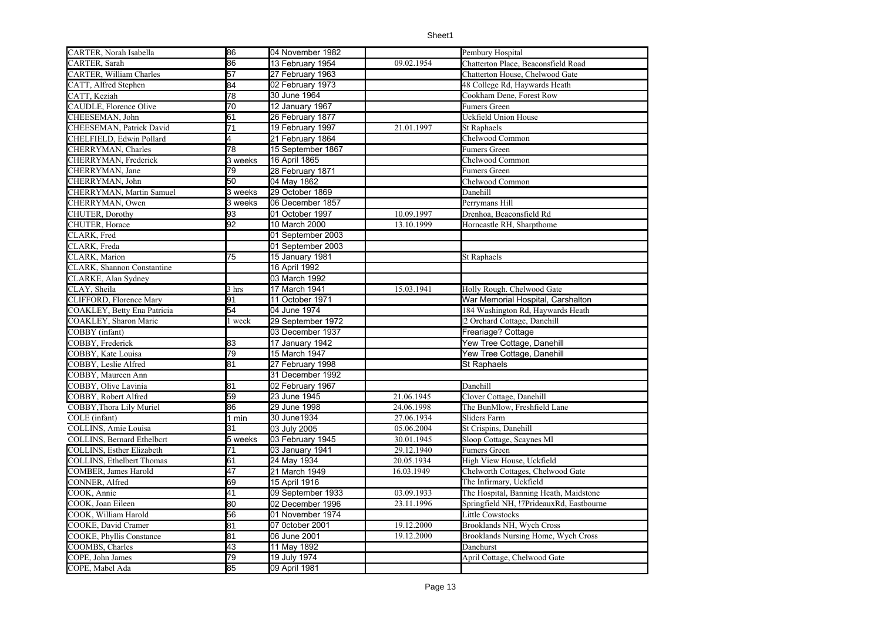| CARTER, Norah Isabella           | 86              | 04 November 1982  |            | Pembury Hospital                           |
|----------------------------------|-----------------|-------------------|------------|--------------------------------------------|
| CARTER, Sarah                    | 86              | 13 February 1954  | 09.02.1954 | Chatterton Place, Beaconsfield Road        |
| CARTER, William Charles          | 57              | 27 February 1963  |            | Chatterton House, Chelwood Gate            |
| CATT, Alfred Stephen             | 84              | 02 February 1973  |            | 48 College Rd, Haywards Heath              |
| CATT, Keziah                     | 78              | 30 June 1964      |            | Cookham Dene, Forest Row                   |
| CAUDLE, Florence Olive           | $\overline{70}$ | 12 January 1967   |            | Fumers Green                               |
| CHEESEMAN, John                  | 61              | 26 February 1877  |            | Uckfield Union House                       |
| CHEESEMAN, Patrick David         | $\overline{71}$ | 19 February 1997  | 21.01.1997 | St Raphaels                                |
| CHELFIELD, Edwin Pollard         | $\overline{4}$  | 21 February 1864  |            | Chelwood Common                            |
| CHERRYMAN, Charles               | 78              | 15 September 1867 |            | Fumers Green                               |
| CHERRYMAN, Frederick             | 3 weeks         | 16 April 1865     |            | Chelwood Common                            |
| CHERRYMAN, Jane                  | 79              | 28 February 1871  |            | Fumers Green                               |
| CHERRYMAN, John                  | 50              | 04 May 1862       |            | Chelwood Common                            |
| CHERRYMAN, Martin Samuel         | 3 weeks         | 29 October 1869   |            | Danehill                                   |
| CHERRYMAN, Owen                  | 3 weeks         | 06 December 1857  |            | Perrymans Hill                             |
| CHUTER, Dorothy                  | 93              | 01 October 1997   | 10.09.1997 | Drenhoa, Beaconsfield Rd                   |
| CHUTER, Horace                   | 92              | 10 March 2000     | 13.10.1999 | Horncastle RH, Sharpthome                  |
| CLARK, Fred                      |                 | 01 September 2003 |            |                                            |
| CLARK, Freda                     |                 | 01 September 2003 |            |                                            |
| CLARK, Marion                    | 75              | 15 January 1981   |            | St Raphaels                                |
| CLARK, Shannon Constantine       |                 | 16 April 1992     |            |                                            |
| CLARKE, Alan Sydney              |                 | 03 March 1992     |            |                                            |
| CLAY, Sheila                     | 3 hrs           | 17 March 1941     | 15.03.1941 | Holly Rough. Chelwood Gate                 |
| CLIFFORD, Florence Mary          | 91              | 11 October 1971   |            | War Memorial Hospital, Carshalton          |
| COAKLEY, Betty Ena Patricia      | 54              | 04 June 1974      |            | 184 Washington Rd, Haywards Heath          |
| COAKLEY, Sharon Marie            | l week          | 29 September 1972 |            | 2 Orchard Cottage, Danehill                |
| COBBY (infant)                   |                 | 03 December 1937  |            | Freariage? Cottage                         |
| COBBY, Frederick                 | 83              | 17 January 1942   |            | Yew Tree Cottage, Danehill                 |
| COBBY, Kate Louisa               | 79              | 15 March 1947     |            | Yew Tree Cottage, Danehill                 |
| COBBY, Leslie Alfred             | 81              | 27 February 1998  |            | <b>St Raphaels</b>                         |
| COBBY, Maureen Ann               |                 | 31 December 1992  |            |                                            |
| COBBY, Olive Lavinia             | 81              | 02 February 1967  |            | Danehill                                   |
| COBBY, Robert Alfred             | 59              | 23 June 1945      | 21.06.1945 | Clover Cottage, Danehill                   |
| COBBY, Thora Lily Muriel         | 86              | 29 June 1998      | 24.06.1998 | The BunMlow, Freshfield Lane               |
| COLE (infant)                    | 1 min           | 30 June1934       | 27.06.1934 | Sliders Farm                               |
| COLLINS, Amie Louisa             | 31              | 03 July 2005      | 05.06.2004 | St Crispins, Danehill                      |
| COLLINS, Bernard Ethelbcrt       | 5 weeks         | 03 February 1945  | 30.01.1945 | Sloop Cottage, Scaynes Ml                  |
| <b>COLLINS, Esther Elizabeth</b> | 71              | 03 January 1941   | 29.12.1940 | Fumers Green                               |
| COLLINS, Ethelbert Thomas        | 61              | 24 May 1934       | 20.05.1934 | High View House, Uckfield                  |
| COMBER, James Harold             | 47              | 21 March 1949     | 16.03.1949 | Chelworth Cottages, Chelwood Gate          |
| CONNER, Alfred                   | 69              | 15 April 1916     |            | The Infirmary, Uckfield                    |
| COOK, Annie                      | 41              | 09 September 1933 | 03.09.1933 | The Hospital, Banning Heath, Maidstone     |
| COOK, Joan Eileen                | 80              | 02 December 1996  | 23.11.1996 | Springfield NH, !7PrideauxRd, Eastbourne   |
| COOK, William Harold             | 56              | 01 November 1974  |            | Little Cowstocks                           |
| COOKE, David Cramer              | 81              | 07 0ctober 2001   | 19.12.2000 | Brooklands NH, Wych Cross                  |
| COOKE, Phyllis Constance         | 81              | 06 June 2001      | 19.12.2000 | <b>Brooklands Nursing Home, Wych Cross</b> |
| COOMBS, Charles                  | 43              | 11 May 1892       |            | Danehurst                                  |
| COPE, John James                 | 79              | 19 July 1974      |            | April Cottage, Chelwood Gate               |
| COPE, Mabel Ada                  | 85              | 09 April 1981     |            |                                            |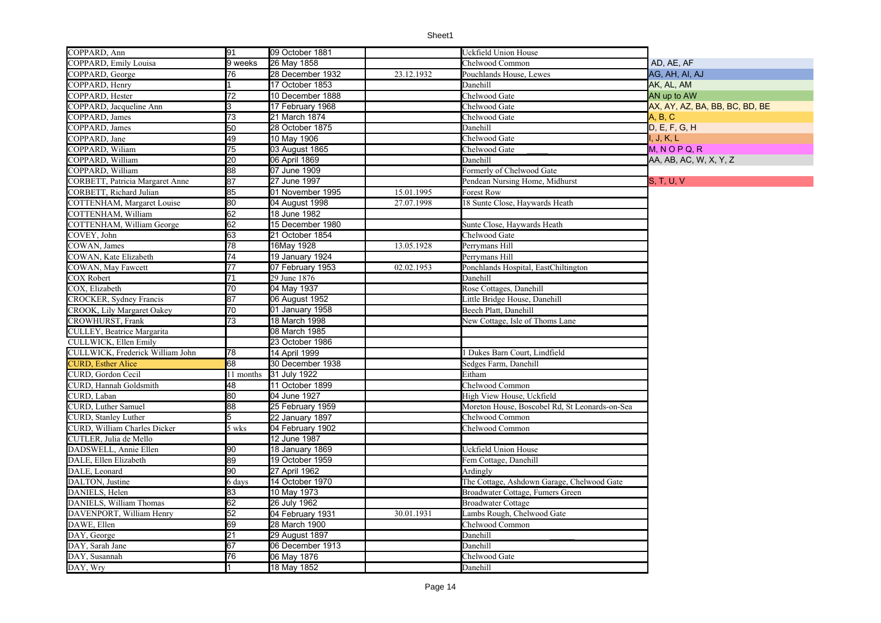| COPPARD, Ann                     | 91              | 09 October 1881  |            | Uckfield Union House                           |                                |
|----------------------------------|-----------------|------------------|------------|------------------------------------------------|--------------------------------|
| COPPARD, Emily Louisa            | 9 weeks         | 26 May 1858      |            | Chelwood Common                                | AD, AE, AF                     |
| COPPARD, George                  | 76              | 28 December 1932 | 23.12.1932 | Pouchlands House, Lewes                        | AG, AH, AI, AJ                 |
| COPPARD, Henry                   |                 | 17 October 1853  |            | Danehill                                       | AK, AL, AM                     |
| COPPARD, Hester                  | 72              | 10 December 1888 |            | Chelwood Gate                                  | AN up to AW                    |
| COPPARD, Jacqueline Ann          | l3              | 17 February 1968 |            | Chelwood Gate                                  | AX, AY, AZ, BA, BB, BC, BD, BE |
| COPPARD, James                   | 73              | 21 March 1874    |            | Chelwood Gate                                  | A, B, C                        |
| COPPARD, James                   | $\overline{50}$ | 28 October 1875  |            | Danehill                                       | D, E, F, G, H                  |
| COPPARD, Jane                    | 49              | 10 May 1906      |            | Chelwood Gate                                  | I. J. K. L                     |
| COPPARD, Wiliam                  | 75              | 03 August 1865   |            | Chelwood Gate                                  | $M, N$ O P Q, R                |
| COPPARD, William                 | $\overline{20}$ | 06 April 1869    |            | Danehill                                       | AA, AB, AC, W, X, Y, Z         |
| COPPARD, William                 | 88              | 07 June 1909     |            | Formerly of Chelwood Gate                      |                                |
| CORBETT, Patricia Margaret Anne  | 87              | 27 June 1997     |            | Pendean Nursing Home, Midhurst                 | S, T, U, V                     |
| CORBETT, Richard Julian          | 85              | 01 November 1995 | 15.01.1995 | <b>Forest Row</b>                              |                                |
| COTTENHAM, Margaret Louise       | 80              | 04 August 1998   | 27.07.1998 | 18 Sunte Close, Haywards Heath                 |                                |
| COTTENHAM, William               | 62              | 18 June 1982     |            |                                                |                                |
| COTTENHAM, William George        | 62              | 15 December 1980 |            | Sunte Close, Haywards Heath                    |                                |
| COVEY, John                      | 63              | 21 October 1854  |            | Chelwood Gate                                  |                                |
| COWAN, James                     | 78              | 16May 1928       | 13.05.1928 | Perrymans Hill                                 |                                |
| COWAN, Kate Elizabeth            | $\overline{74}$ | 19 January 1924  |            | Perrvmans Hill                                 |                                |
| COWAN, May Fawcett               | $\overline{77}$ | 07 February 1953 | 02.02.1953 | Ponchlands Hospital, EastChiltington           |                                |
| <b>COX Robert</b>                | $\overline{71}$ | 29 June 1876     |            | Danehill                                       |                                |
| COX, Elizabeth                   | 70              | 04 May 1937      |            | Rose Cottages, Danehill                        |                                |
| CROCKER, Sydney Francis          | 87              | 06 August 1952   |            | ittle Bridge House, Danehill                   |                                |
| CROOK, Lily Margaret Oakey       | 70              | 01 January 1958  |            | Beech Platt, Danehill                          |                                |
| CROWHURST, Frank                 | 73              | 18 March 1998    |            | New Cottage, Isle of Thoms Lane                |                                |
| CULLEY, Beatrice Margarita       |                 | 08 March 1985    |            |                                                |                                |
| CULLWICK, Ellen Emily            |                 | 23 October 1986  |            |                                                |                                |
| CULLWICK, Frederick William John | 78              | 14 April 1999    |            | l Dukes Barn Court, Lindfield                  |                                |
| <b>CURD</b> , Esther Alice       | 68              | 30 December 1938 |            | Sedges Farm, Danehill                          |                                |
| CURD, Gordon Cecil               | 11 months       | 31 July 1922     |            | Eitham                                         |                                |
| CURD, Hannah Goldsmith           | 48              | 11 October 1899  |            | Chelwood Common                                |                                |
| CURD, Laban                      | 80              | 04 June 1927     |            | High View House, Uckfield                      |                                |
| CURD, Luther Samuel              | 88              | 25 February 1959 |            | Moreton House, Boscobel Rd, St Leonards-on-Sea |                                |
| <b>CURD</b> , Stanley Luther     |                 | 22 January 1897  |            | Chelwood Common                                |                                |
| CURD, William Charles Dicker     | 5 wks           | 04 February 1902 |            | Chelwood Common                                |                                |
| CUTLER, Julia de Mello           |                 | 12 June 1987     |            |                                                |                                |
| DADSWELL, Annie Ellen            | 90              | 18 January 1869  |            | Uckfield Union House                           |                                |
| DALE, Ellen Elizabeth            | 89              | 19 October 1959  |            | Fem Cottage, Danehill                          |                                |
| DALE, Leonard                    | 90              | 27 April 1962    |            | Ardingly                                       |                                |
| DALTON, Justine                  | 6 days          | 14 October 1970  |            | The Cottage, Ashdown Garage, Chelwood Gate     |                                |
| DANIELS, Helen                   | 83              | 10 May 1973      |            | Broadwater Cottage, Fumers Green               |                                |
| DANIELS, William Thomas          | 62              | 26 July 1962     |            | <b>Broadwater Cottage</b>                      |                                |
| DAVENPORT, William Henry         | 52              | 04 February 1931 | 30.01.1931 | Lambs Rough, Chelwood Gate                     |                                |
| DAWE, Ellen                      | 69              | 28 March 1900    |            | Chelwood Common                                |                                |
| DAY, George                      | 21              | 29 August 1897   |            | Danehill                                       |                                |
| DAY, Sarah Jane                  | 67              | 06 December 1913 |            | Danehill                                       |                                |
| DAY, Susannah                    | 76              | 06 May 1876      |            | Chelwood Gate                                  |                                |
| DAY, Wry                         |                 | 18 May 1852      |            | Danehill                                       |                                |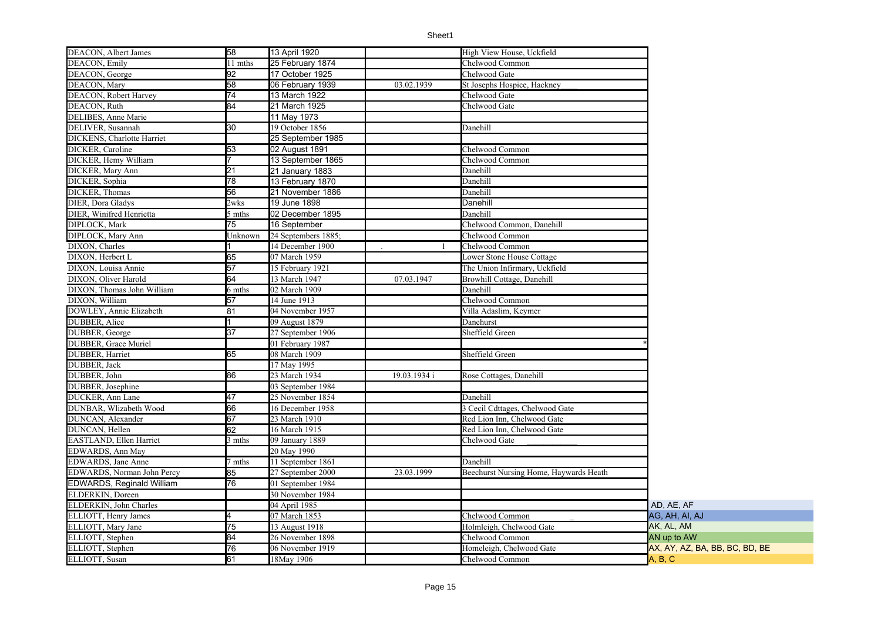| DEACON, Albert James       | 58              | 13 April 1920       |              | High View House, Uckfield              |                                |
|----------------------------|-----------------|---------------------|--------------|----------------------------------------|--------------------------------|
| DEACON, Emily              | 11 mths         | 25 February 1874    |              | Chelwood Common                        |                                |
| DEACON, George             | 92              | 17 October 1925     |              | Chelwood Gate                          |                                |
| DEACON, Mary               | 58              | 06 February 1939    | 03.02.1939   | St Josephs Hospice, Hackney            |                                |
| DEACON, Robert Harvey      | $\overline{74}$ | 13 March 1922       |              | Chelwood Gate                          |                                |
| DEACON, Ruth               | 84              | 21 March 1925       |              | Chelwood Gate                          |                                |
| DELIBES, Anne Marie        |                 | 11 May 1973         |              |                                        |                                |
| DELIVER, Susannah          | 30              | 19 October 1856     |              | Danehill                               |                                |
| DICKENS, Charlotte Harriet |                 | 25 September 1985   |              |                                        |                                |
| DICKER, Caroline           | 53              | 02 August 1891      |              | Chelwood Common                        |                                |
| DICKER, Hemy William       |                 | 13 September 1865   |              | Chelwood Common                        |                                |
| DICKER, Mary Ann           | 21              | 21 January 1883     |              | Danehill                               |                                |
| DICKER, Sophia             | 78              | 13 February 1870    |              | Danehill                               |                                |
| DICKER, Thomas             | 56              | 21 November 1886    |              | Danehill                               |                                |
| DIER. Dora Gladys          | 2wks            | 19 June 1898        |              | Danehill                               |                                |
| DIER, Winifred Henrietta   | 5 mths          | 02 December 1895    |              | Danehill                               |                                |
| DIPLOCK, Mark              | 75              | 16 September        |              | Chelwood Common, Danehill              |                                |
| DIPLOCK, Mary Ann          | Jnknown         | 24 Septembers 1885; |              | Chelwood Common                        |                                |
| DIXON, Charles             |                 | 14 December 1900    |              | Chelwood Common                        |                                |
| DIXON, Herbert L           | 65              | 07 March 1959       |              | Lower Stone House Cottage              |                                |
| DIXON, Louisa Annie        | 57              | 15 February 1921    |              | The Union Infirmary, Uckfield          |                                |
| DIXON, Oliver Harold       | 64              | 13 March 1947       | 07.03.1947   | Browhill Cottage, Danehill             |                                |
| DIXON, Thomas John William | 6 mths          | 02 March 1909       |              | Danehill                               |                                |
| DIXON, William             |                 | 14 June 1913        |              | Chelwood Common                        |                                |
|                            | 57              |                     |              |                                        |                                |
| DOWLEY, Annie Elizabeth    | 81              | 04 November 1957    |              | Villa Adaslim, Keymer                  |                                |
| DUBBER, Alice              |                 | 09 August $1879$    |              | Danehurst                              |                                |
| DUBBER, George             | $\overline{37}$ | 27 September 1906   |              | Sheffield Green                        |                                |
| DUBBER, Grace Muriel       |                 | 01 February 1987    |              |                                        |                                |
| DUBBER, Harriet            | 65              | 08 March 1909       |              | Sheffield Green                        |                                |
| DUBBER, Jack               |                 | 17 May 1995         |              |                                        |                                |
| DUBBER, John               | 86              | 23 March 1934       | 19.03.1934 i | Rose Cottages, Danehill                |                                |
| DUBBER, Josephine          |                 | 03 September 1984   |              |                                        |                                |
| DUCKER, Ann Lane           | 47              | 25 November 1854    |              | Danehill                               |                                |
| DUNBAR, Wlizabeth Wood     | 66              | 16 December 1958    |              | 3 Cecil Cdttages, Chelwood Gate        |                                |
| DUNCAN, Alexander          | 67              | 23 March 1910       |              | Red Lion Inn. Chelwood Gate            |                                |
| DUNCAN, Hellen             | 62              | 16 March 1915       |              | Red Lion Inn, Chelwood Gate            |                                |
| EASTLAND, Ellen Harriet    | 3 mths          | 09 January 1889     |              | Chelwood Gate                          |                                |
| EDWARDS, Ann May           |                 | 20 May 1990         |              |                                        |                                |
| EDWARDS, Jane Anne         | 7 mths          | 11 September 1861   |              | Danehill                               |                                |
| EDWARDS, Norman John Percy | 85              | 27 September 2000   | 23.03.1999   | Beechurst Nursing Home, Haywards Heath |                                |
| EDWARDS, Reginald William  | 76              | 01 September 1984   |              |                                        |                                |
| ELDERKIN, Doreen           |                 | 30 November 1984    |              |                                        |                                |
| ELDERKIN, John Charles     |                 | 04 April 1985       |              |                                        | AD, AE, AF                     |
| ELLIOTT, Henry James       |                 | 07 March 1853       |              | Chelwood Common                        | AG, AH, AI, AJ                 |
| ELLIOTT, Mary Jane         | 75              | 13 August 1918      |              | Holmleigh, Chelwood Gate               | AK, AL, AM                     |
| ELLIOTT, Stephen           | 84              | 26 November 1898    |              | Chelwood Common                        | AN up to AW                    |
| ELLIOTT, Stephen           | 76              | 06 November 1919    |              | Homeleigh, Chelwood Gate               | AX, AY, AZ, BA, BB, BC, BD, BE |
| ELLIOTT, Susan             | 61              | 18May 1906          |              | Chelwood Common                        | A, B, C                        |
|                            |                 |                     |              |                                        |                                |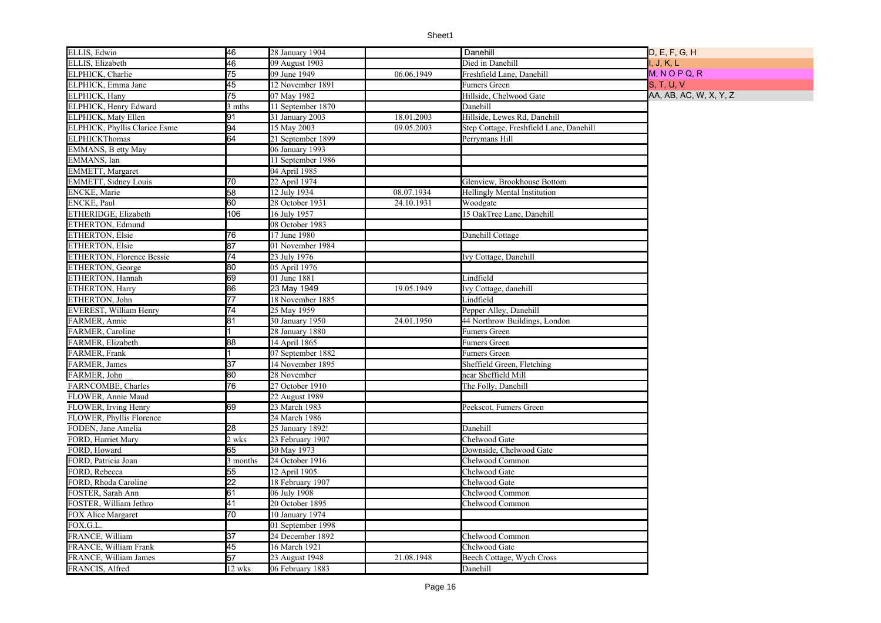| ELLIS, Edwin                  | 46              | 28 January 1904   |            | Danehill                                | D, E, F, G, H          |
|-------------------------------|-----------------|-------------------|------------|-----------------------------------------|------------------------|
| ELLIS, Elizabeth              | 46              | 09 August 1903    |            | Died in Danehill                        | I, J, K, L             |
| ELPHICK, Charlie              | 75              | 09 June 1949      | 06.06.1949 | Freshfield Lane, Danehill               | $M, N$ O P Q, R        |
| ELPHICK, Emma Jane            | 45              | 12 November 1891  |            | Fumers Green                            | S, T, U, V             |
| ELPHICK, Hany                 | 75              | 07 May 1982       |            | Hillside, Chelwood Gate                 | AA, AB, AC, W, X, Y, Z |
| ELPHICK, Henry Edward         | 3 mths          | 11 September 1870 |            | Danehill                                |                        |
| <b>ELPHICK, Maty Ellen</b>    | 91              | 31 January 2003   | 18.01.2003 | Hillside, Lewes Rd, Danehill            |                        |
| ELPHICK, Phyllis Clarice Esme | 94              | 15 May 2003       | 09.05.2003 | Step Cottage, Freshfield Lane, Danehill |                        |
| <b>ELPHICKThomas</b>          | 64              | 21 September 1899 |            | Perrymans Hill                          |                        |
| EMMANS, B etty May            |                 | 06 January 1993   |            |                                         |                        |
| EMMANS, Ian                   |                 | 11 September 1986 |            |                                         |                        |
| <b>EMMETT, Margaret</b>       |                 | 04 April 1985     |            |                                         |                        |
| <b>EMMETT, Sidney Louis</b>   | 70              | 22 April 1974     |            | Glenview, Brookhouse Bottom             |                        |
| <b>ENCKE, Marie</b>           | 58              | 12 July 1934      | 08.07.1934 | Hellingly Mental Institution            |                        |
| <b>ENCKE, Paul</b>            | 60              | 28 October 1931   | 24.10.1931 | Woodgate                                |                        |
| ETHERIDGE, Elizabeth          | 106             | 16 July 1957      |            | 15 OakTree Lane, Danehill               |                        |
| ETHERTON, Edmund              |                 | 08 October 1983   |            |                                         |                        |
| ETHERTON, Elsie               | 76              | 17 June 1980      |            | Danehill Cottage                        |                        |
| <b>ETHERTON, Elsie</b>        | 87              | 01 November 1984  |            |                                         |                        |
| ETHERTON, Florence Bessie     | 74              | 23 July 1976      |            | Ivy Cottage, Danehill                   |                        |
| ETHERTON, George              | 80              | 05 April 1976     |            |                                         |                        |
| ETHERTON, Hannah              | 69              | 01 June 1881      |            | Lindfield                               |                        |
| <b>ETHERTON, Harry</b>        | 86              | 23 May 1949       | 19.05.1949 | Ivy Cottage, danehill                   |                        |
| ETHERTON, John                | $\overline{77}$ | 18 November 1885  |            | Lindfield                               |                        |
| EVEREST, William Henry        | 74              | 25 May 1959       |            | Pepper Alley, Danehill                  |                        |
| FARMER, Annie                 | 81              | 30 January 1950   | 24.01.1950 | 44 Northrow Buildings, London           |                        |
| FARMER, Caroline              |                 | 28 January 1880   |            | Fumers Green                            |                        |
| FARMER, Elizabeth             | 88              | 14 April 1865     |            | Fumers Green                            |                        |
| FARMER, Frank                 |                 | 07 September 1882 |            | Fumers Green                            |                        |
| FARMER, James                 | 37              | 14 November 1895  |            | Sheffield Green, Fletching              |                        |
| FARMER, John                  | 80              | 28 November       |            | near Sheffield Mill                     |                        |
| FARNCOMBE, Charles            | 76              | 27 October 1910   |            | The Folly, Danehill                     |                        |
| FLOWER, Annie Maud            |                 | 22 August 1989    |            |                                         |                        |
| FLOWER, Irving Henry          | 69              | 23 March 1983     |            | Peekscot, Fumers Green                  |                        |
| FLOWER, Phyllis Florence      |                 | 24 March 1986     |            |                                         |                        |
| FODEN, Jane Amelia            | 28              | 25 January 1892!  |            | Danehill                                |                        |
| FORD, Harriet Mary            | 2 wks           | 23 February 1907  |            | Chelwood Gate                           |                        |
| FORD, Howard                  | 65              | 30 May 1973       |            | Downside, Chelwood Gate                 |                        |
| FORD, Patricia Joan           | 3 months        | 24 October 1916   |            | Chelwood Common                         |                        |
| FORD, Rebecca                 | 55              | 12 April 1905     |            | Chelwood Gate                           |                        |
| FORD, Rhoda Caroline          | $\overline{22}$ | 18 February 1907  |            | Chelwood Gate                           |                        |
| FOSTER, Sarah Ann             | 61              | 06 July 1908      |            | Chelwood Common                         |                        |
| FOSTER, William Jethro        | 41              | 20 October 1895   |            | Chelwood Common                         |                        |
| FOX Alice Margaret            | 70              | 10 January 1974   |            |                                         |                        |
| FOX.G.L.                      |                 | 01 September 1998 |            |                                         |                        |
| FRANCE, William               | 37              | 24 December 1892  |            | Chelwood Common                         |                        |
| FRANCE, William Frank         | 45              | 16 March 1921     |            | Chelwood Gate                           |                        |
| FRANCE, William James         | 57              | 23 August 1948    | 21.08.1948 | Beech Cottage, Wych Cross               |                        |
| FRANCIS, Alfred               | 12 wks          | 06 February 1883  |            | Danehill                                |                        |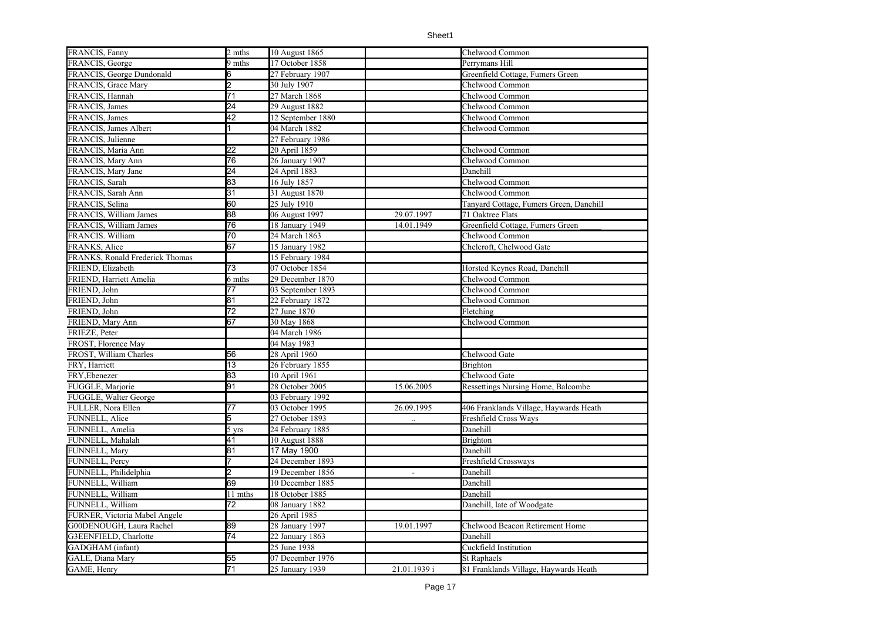| FRANCIS, Fanny                  | 2 mths          | 10 August 1865    |                      | Chelwood Common                           |
|---------------------------------|-----------------|-------------------|----------------------|-------------------------------------------|
| FRANCIS, George                 | 9 mths          | 17 October 1858   |                      | Perrymans Hill                            |
| FRANCIS, George Dundonald       |                 | 27 February 1907  |                      | Greenfield Cottage, Fumers Green          |
| FRANCIS, Grace Mary             |                 | 30 July 1907      |                      | Chelwood Common                           |
| FRANCIS, Hannah                 | $\overline{71}$ | 27 March 1868     |                      | Chelwood Common                           |
| FRANCIS, James                  | 24              | 29 August 1882    |                      | Chelwood Common                           |
| FRANCIS, James                  | 42              | 12 September 1880 |                      | Chelwood Common                           |
| FRANCIS, James Albert           |                 | 04 March 1882     |                      | Chelwood Common                           |
| FRANCIS, Julienne               |                 | 27 February 1986  |                      |                                           |
| FRANCIS, Maria Ann              | 22              | 20 April 1859     |                      | Chelwood Common                           |
| FRANCIS, Mary Ann               | 76              | 26 January 1907   |                      | Chelwood Common                           |
| FRANCIS, Mary Jane              | 24              | 24 April 1883     |                      | Danehill                                  |
| FRANCIS, Sarah                  | 83              | 16 July 1857      |                      | Chelwood Common                           |
| FRANCIS, Sarah Ann              | 31              | 31 August 1870    |                      | Chelwood Common                           |
| FRANCIS, Selina                 | 60              | 25 July 1910      |                      | Tanyard Cottage, Fumers Green, Danehill   |
| FRANCIS, William James          | 88              | 06 August 1997    | 29.07.1997           | 71 Oaktree Flats                          |
| FRANCIS, William James          | 76              | 18 January 1949   | 14.01.1949           | Greenfield Cottage, Fumers Green          |
| FRANCIS. William                | 70              | 24 March 1863     |                      | Chelwood Common                           |
| FRANKS, Alice                   | 67              | 15 January 1982   |                      | Chelcroft. Chelwood Gate                  |
| FRANKS, Ronald Frederick Thomas |                 | 15 February 1984  |                      |                                           |
| FRIEND, Elizabeth               | 73              | 07 October 1854   |                      | Horsted Keynes Road, Danehill             |
| FRIEND, Harriett Amelia         | 6 mths          | 29 December 1870  |                      | Chelwood Common                           |
| FRIEND, John                    | 77              | 03 September 1893 |                      | Chelwood Common                           |
| FRIEND, John                    | 81              | 22 February 1872  |                      | Chelwood Common                           |
| FRIEND, John                    | 72              | 27 June 1870      |                      | Fletching                                 |
| FRIEND, Mary Ann                | 67              | 30 May 1868       |                      | Chelwood Common                           |
| FRIEZE, Peter                   |                 | 04 March 1986     |                      |                                           |
| FROST, Florence May             |                 | 04 May 1983       |                      |                                           |
| FROST, William Charles          | 56              | 28 April 1960     |                      | Chelwood Gate                             |
| FRY, Harriett                   | 13              | 26 February 1855  |                      | Brighton                                  |
| FRY, Ebenezer                   | 83              | 10 April 1961     |                      | Chelwood Gate                             |
| FUGGLE, Marjorie                | 91              | 28 October 2005   | 15.06.2005           | <b>Ressettings Nursing Home, Balcombe</b> |
| FUGGLE, Walter George           |                 | 03 February 1992  |                      |                                           |
| FULLER, Nora Ellen              | 77              | 03 October 1995   | 26.09.1995           | 406 Franklands Village, Haywards Heath    |
| FUNNELL, Alice                  | 5               | 27 October 1893   | $\ddot{\phantom{a}}$ | Freshfield Cross Ways                     |
| FUNNELL, Amelia                 | 5 yrs           | 24 February 1885  |                      | Danehill                                  |
| FUNNELL, Mahalah                | 41              | 10 August 1888    |                      | Brighton                                  |
| FUNNELL, Mary                   | $\overline{81}$ | 17 May 1900       |                      | Danehill                                  |
| FUNNELL, Percy                  |                 | 24 December 1893  |                      | Freshfield Crossways                      |
| FUNNELL, Philidelphia           |                 | 19 December 1856  | $\blacksquare$       | Danehill                                  |
| FUNNELL, William                | 69              | 10 December 1885  |                      | Danehill                                  |
| FUNNELL, William                | 11 mths         | 18 October 1885   |                      | Danehill                                  |
| FUNNELL, William                | 72              | 08 January 1882   |                      | Danehill, late of Woodgate                |
| FURNER, Victoria Mabel Angele   |                 | 26 April 1985     |                      |                                           |
| G00DENOUGH, Laura Rachel        | 89              | 28 January 1997   | 19.01.1997           | Chelwood Beacon Retirement Home           |
| G3EENFIELD, Charlotte           | 74              | 22 January 1863   |                      | Danehill                                  |
| GADGHAM (infant)                |                 | 25 June 1938      |                      | Cuckfield Institution                     |
| GALE, Diana Mary                | 55              | 07 December 1976  |                      | St Raphaels                               |
| GAME, Henry                     | $\overline{71}$ | 25 January 1939   | 21.01.1939 i         | 81 Franklands Village, Haywards Heath     |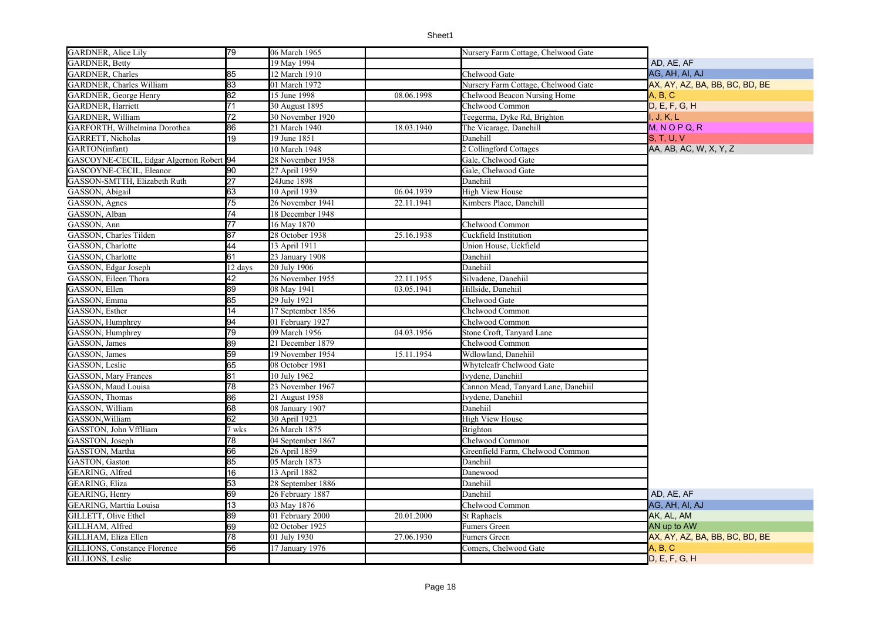| <b>GARDNER</b> , Alice Lily              | 79              | 06 March 1965     |            | Nursery Farm Cottage, Chelwood Gate |                                |
|------------------------------------------|-----------------|-------------------|------------|-------------------------------------|--------------------------------|
| <b>GARDNER</b> , Betty                   |                 | 19 May 1994       |            |                                     | AD, AE, AF                     |
| GARDNER, Charles                         | 85              | 12 March 1910     |            | Chelwood Gate                       | AG, AH, AI, AJ                 |
| <b>GARDNER</b> , Charles William         | 83              | 01 March 1972     |            | Nursery Farm Cottage, Chelwood Gate | AX, AY, AZ, BA, BB, BC, BD, BE |
| <b>GARDNER</b> , George Henry            | 82              | 15 June 1998      | 08.06.1998 | Chelwood Beacon Nursing Home        | A, B, C                        |
| <b>GARDNER</b> , Harriett                | 71              | 30 August 1895    |            | Chelwood Common                     | D, E, F, G, H                  |
| GARDNER, William                         | $\overline{72}$ | 30 November 1920  |            | Teegerma, Dyke Rd, Brighton         | I, J, K, L                     |
| GARFORTH, Wilhelmina Dorothea            | 86              | 21 March 1940     | 18.03.1940 | The Vicarage, Danehill              | $M, N$ O P Q, R                |
| GARRETT, Nicholas                        | 19              | 19 June 1851      |            | Danehill                            | <b>S. T. U. V</b>              |
| GARTON(infant)                           |                 | 10 March 1948     |            | 2 Collingford Cottages              | AA, AB, AC, W, X, Y, Z         |
| GASCOYNE-CECIL, Edgar Algernon Robert 94 |                 | 28 November 1958  |            | Gale, Chelwood Gate                 |                                |
| GASCOYNE-CECIL, Eleanor                  | 90              | 27 April 1959     |            | Gale, Chelwood Gate                 |                                |
| GASSON-SMTTH, Elizabeth Ruth             | $\overline{27}$ | 24June 1898       |            | Danehiil                            |                                |
| GASSON, Abigail                          | 63              | 10 April 1939     | 06.04.1939 | <b>High View House</b>              |                                |
| GASSON, Agnes                            | 75              | 26 November 1941  | 22.11.1941 | Kimbers Place, Danehill             |                                |
| GASSON, Alban                            | 74              | 18 December 1948  |            |                                     |                                |
| GASSON, Ann                              | $\overline{77}$ | 16 May 1870       |            | Chelwood Common                     |                                |
| GASSON, Charles Tilden                   | 87              | 28 October 1938   | 25.16.1938 | Cuckfield Institution               |                                |
| GASSON, Charlotte                        | 44              | 13 April 1911     |            | Union House, Uckfield               |                                |
| GASSON, Charlotte                        | 61              | 23 January 1908   |            | Danehiil                            |                                |
| GASSON, Edgar Joseph                     | 12 days         | 20 July 1906      |            | Danehiil                            |                                |
| GASSON, Eileen Thora                     | 42              | 26 November 1955  | 22.11.1955 | Silvadene, Danehiil                 |                                |
| GASSON, Ellen<br>GASSON, Emma            | 89              | 08 May 1941       | 03.05.1941 | Hillside, Danehiil                  |                                |
|                                          | 85              | 29 July 1921      |            | Chelwood Gate                       |                                |
| GASSON, Esther                           | 14              | 17 September 1856 |            | Chelwood Common                     |                                |
| GASSON, Humphrey                         | 94              | 01 February 1927  |            | Chelwood Common                     |                                |
| GASSON, Humphrey                         | 79              | 09 March 1956     | 04.03.1956 | Stone Croft, Tanyard Lane           |                                |
| GASSON, James                            | 89              | 21 December 1879  |            | Chelwood Common                     |                                |
| GASSON, James                            | 59              | 19 November 1954  | 15.11.1954 | Wdlowland, Danehiil                 |                                |
| GASSON, Leslie<br>GASSON, Mary Frances   | 65              | 08 October 1981   |            | Whyteleafr Chelwood Gate            |                                |
|                                          | 81              | 10 July 1962      |            | Ivydene, Danehiil                   |                                |
| GASSON, Maud Louisa                      | 78              | 23 November 1967  |            | Cannon Mead, Tanyard Lane, Danehiil |                                |
| GASSON, Thomas                           | 86              | 21 August 1958    |            | Ivvdene, Danehiil                   |                                |
| GASSON, William                          | 68              | 08 January 1907   |            | Danehiil                            |                                |
| GASSON, William                          | 62              | 30 April 1923     |            | <b>High View House</b>              |                                |
| GASSTON, John Vfflliam                   | 7 wks           | 26 March 1875     |            | <b>Brighton</b>                     |                                |
| GASSTON, Joseph                          | 78              | 04 September 1867 |            | Chelwood Common                     |                                |
| GASSTON, Martha                          | 66              | 26 April 1859     |            | Greenfield Farm, Chelwood Common    |                                |
| GASTON, Gaston                           | 85              | 05 March 1873     |            | Danehiil                            |                                |
| <b>GEARING</b> , Alfred                  | 16              | 13 April 1882     |            | Danewood                            |                                |
| GEARING, Eliza                           | 53              | 28 September 1886 |            | Danehiil                            |                                |
| <b>GEARING</b> , Henry                   | 69              | 26 February 1887  |            | Danehiil                            | AD, AE, AF                     |
| GEARING, Marttia Louisa                  | 13              | 03 May 1876       |            | Chelwood Common                     | AG, AH, AI, AJ                 |
| GILLETT, Olive Ethel                     | 89              | 01 February 2000  | 20.01.2000 | St Raphaels                         | AK, AL, AM                     |
| GILLHAM, Alfred                          | 69              | 02 October 1925   |            | Fumers Green                        | AN up to AW                    |
| GILLHAM, Eliza Ellen                     | 78              | 01 July 1930      | 27.06.1930 | Fumers Green                        | AX, AY, AZ, BA, BB, BC, BD, BE |
| <b>GILLIONS, Constance Florence</b>      | 56              | 17 January 1976   |            | Comers, Chelwood Gate               | A, B, C                        |
| GILLIONS, Leslie                         |                 |                   |            |                                     | D, E, F, G, H                  |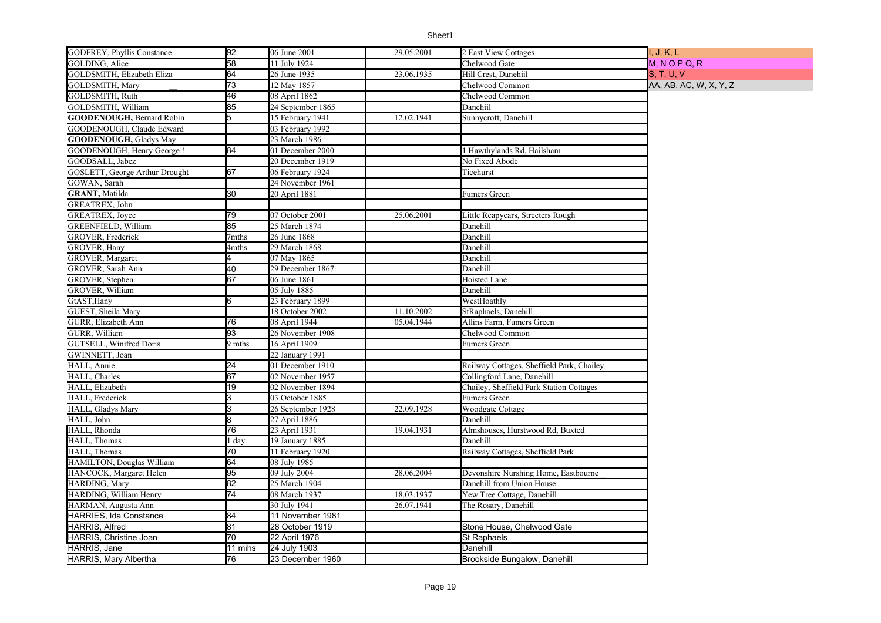| <b>GODFREY, Phyllis Constance</b> | 92              | 06 June 2001      | 29.05.2001 | 2 East View Cottages                      | I, J, K, L             |
|-----------------------------------|-----------------|-------------------|------------|-------------------------------------------|------------------------|
| GOLDING, Alice                    | $\overline{58}$ | 11 July 1924      |            | Chelwood Gate                             | $M, N$ O P Q, R        |
| GOLDSMITH, Elizabeth Eliza        | 64              | 26 June 1935      | 23.06.1935 | Hill Crest, Danehiil                      | <b>S, T, U, V</b>      |
| GOLDSMITH, Mary                   | $\overline{73}$ | 12 May 1857       |            | Chelwood Common                           | AA, AB, AC, W, X, Y, Z |
| GOLDSMITH, Ruth                   | 46              | 08 April 1862     |            | Chelwood Common                           |                        |
| GOLDSMITH, William                | 85              | 24 September 1865 |            | Danehiil                                  |                        |
| <b>GOODENOUGH, Bernard Robin</b>  | 5               | 15 February 1941  | 12.02.1941 | Sunnycroft, Danehill                      |                        |
| GOODENOUGH, Claude Edward         |                 | 03 February 1992  |            |                                           |                        |
| <b>GOODENOUGH, Gladys May</b>     |                 | 23 March 1986     |            |                                           |                        |
| GOODENOUGH, Henry George !        | 84              | 01 December 2000  |            | l Hawthylands Rd, Hailsham                |                        |
| GOODSALL, Jabez                   |                 | 20 December 1919  |            | No Fixed Abode                            |                        |
| GOSLETT, George Arthur Drought    | 67              | 06 February 1924  |            | Ticehurst                                 |                        |
| GOWAN, Sarah                      |                 | 24 November 1961  |            |                                           |                        |
| <b>GRANT, Matilda</b>             | 30              | 20 April 1881     |            | Fumers Green                              |                        |
| GREATREX, John                    |                 |                   |            |                                           |                        |
| GREATREX, Joyce                   | 79              | 07 October 2001   | 25.06.2001 | Little Reapyears, Streeters Rough         |                        |
| GREENFIELD, William               | 85              | 25 March 1874     |            | Danehill                                  |                        |
| GROVER, Frederick                 | 7mths           | 26 June 1868      |            | Danehill                                  |                        |
| GROVER, Hany                      | 4mths           | 29 March 1868     |            | Danehill                                  |                        |
| GROVER, Margaret                  |                 | 07 May 1865       |            | Danehill                                  |                        |
| GROVER, Sarah Ann                 | 40              | 29 December 1867  |            | Danehill                                  |                        |
| GROVER, Stephen                   | 67              | 06 June 1861      |            | Hoisted Lane                              |                        |
| GROVER, William                   |                 | 05 July 1885      |            | Danehill                                  |                        |
| GtAST, Hany                       | 6               | 23 February 1899  |            | WestHoathly                               |                        |
| GUEST, Sheila Mary                |                 | 18 October 2002   | 11.10.2002 | StRaphaels, Danehill                      |                        |
| GURR, Elizabeth Ann               | 76              | 08 April 1944     | 05.04.1944 | Allins Farm, Fumers Green                 |                        |
| GURR. William                     | 93              | 26 November 1908  |            | Chelwood Common                           |                        |
| GUTSELL, Winifred Doris           | 9 mths          | 16 April 1909     |            | Fumers Green                              |                        |
| GWINNETT, Joan                    |                 | 22 January 1991   |            |                                           |                        |
| HALL, Annie                       | 24              | 01 December 1910  |            | Railway Cottages, Sheffield Park, Chailey |                        |
| HALL, Charles                     | 67              | 02 November 1957  |            | Collingford Lane, Danehill                |                        |
| HALL, Elizabeth                   | 19              | 02 November 1894  |            | Chailey, Sheffield Park Station Cottages  |                        |
| HALL, Frederick                   | ß.              | 03 October 1885   |            | Fumers Green                              |                        |
| HALL, Gladys Mary                 | ß.              | 26 September 1928 | 22.09.1928 | Woodgate Cottage                          |                        |
| HALL, John                        | R               | 27 April 1886     |            | Danehill                                  |                        |
| HALL, Rhonda                      | $\overline{76}$ | 23 April 1931     | 19.04.1931 | Almshouses, Hurstwood Rd, Buxted          |                        |
| HALL, Thomas                      | 1 day           | 19 January 1885   |            | Danehill                                  |                        |
| HALL, Thomas                      | 70              | 11 February 1920  |            | Railway Cottages, Sheffield Park          |                        |
| HAMILTON, Douglas William         | 64              | 08 July 1985      |            |                                           |                        |
| HANCOCK, Margaret Helen           | 95              | 09 July 2004      | 28.06.2004 | Devonshire Nurshing Home, Eastbourne      |                        |
| HARDING, Mary                     | 82              | 25 March 1904     |            | Danehill from Union House                 |                        |
| HARDING, William Henry            | 74              | 08 March 1937     | 18.03.1937 | Yew Tree Cottage, Danehill                |                        |
| HARMAN, Augusta Ann               |                 | 30 July 1941      | 26.07.1941 | The Rosary, Danehill                      |                        |
| <b>HARRIES, Ida Constance</b>     | 84              | 11 November 1981  |            |                                           |                        |
| <b>HARRIS, Alfred</b>             | 81              | 28 October 1919   |            | Stone House, Chelwood Gate                |                        |
| <b>HARRIS, Christine Joan</b>     | 70              | 22 April 1976     |            | <b>St Raphaels</b>                        |                        |
| HARRIS, Jane                      | 11 mihs         | 24 July 1903      |            | Danehill                                  |                        |
| HARRIS, Mary Albertha             | 76              | 23 December 1960  |            | Brookside Bungalow, Danehill              |                        |
|                                   |                 |                   |            |                                           |                        |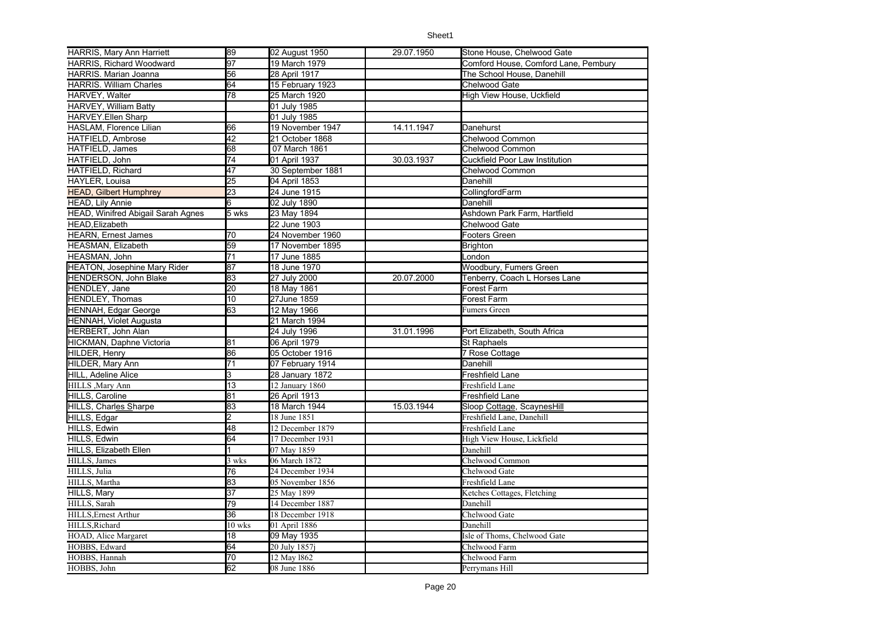| HARRIS, Mary Ann Harriett           | 89              | 02 August 1950    | 29.07.1950 | Stone House, Chelwood Gate           |
|-------------------------------------|-----------------|-------------------|------------|--------------------------------------|
| <b>HARRIS, Richard Woodward</b>     | 97              | 19 March 1979     |            | Comford House, Comford Lane, Pembury |
| HARRIS. Marian Joanna               | 56              | 28 April 1917     |            | The School House, Danehill           |
| <b>HARRIS. William Charles</b>      | 64              | 15 February 1923  |            | Chelwood Gate                        |
| HARVEY, Walter                      | 78              | 25 March 1920     |            | High View House, Uckfield            |
| HARVEY, William Batty               |                 | 01 July 1985      |            |                                      |
| <b>HARVEY.Ellen Sharp</b>           |                 | 01 July 1985      |            |                                      |
| HASLAM, Florence Lilian             | 66              | 19 November 1947  | 14.11.1947 | Danehurst                            |
| HATFIELD, Ambrose                   | $\overline{42}$ | 21 October 1868   |            | <b>Chelwood Common</b>               |
| HATFIELD, James                     | 68              | 07 March 1861     |            | Chelwood Common                      |
| HATFIELD, John                      | 74              | 01 April 1937     | 30.03.1937 | Cuckfield Poor Law Institution       |
| HATFIELD, Richard                   | 47              | 30 September 1881 |            | Chelwood Common                      |
| HAYLER, Louisa                      | 25              | 04 April 1853     |            | Danehill                             |
| <b>HEAD, Gilbert Humphrey</b>       | 23              | 24 June 1915      |            | CollingfordFarm                      |
| HEAD, Lily Annie                    | 6               | 02 July 1890      |            | Danehill                             |
| HEAD, Winifred Abigail Sarah Agnes  | 5 wks           | 23 May 1894       |            | Ashdown Park Farm, Hartfield         |
| <b>HEAD.Elizabeth</b>               |                 | 22 June 1903      |            | Chelwood Gate                        |
| <b>HEARN, Ernest James</b>          | 70              | 24 November 1960  |            | Footers Green                        |
| HEASMAN, Elizabeth                  | 59              | 17 November 1895  |            | <b>Brighton</b>                      |
| HEASMAN, John                       | 71              | 17 June 1885      |            | London                               |
| <b>HEATON, Josephine Mary Rider</b> | 87              | 18 June 1970      |            | Woodbury, Fumers Green               |
| HENDERSON, John Blake               | 83              | 27 July 2000      | 20.07.2000 | Tenberry, Coach L Horses Lane        |
| HENDLEY, Jane                       | $\overline{20}$ | 18 May 1861       |            | Forest Farm                          |
| <b>HENDLEY, Thomas</b>              | 10              | 27June 1859       |            | Forest Farm                          |
| <b>HENNAH, Edgar George</b>         | 63              | 12 May 1966       |            | Fumers Green                         |
| <b>HENNAH, Violet Augusta</b>       |                 | 21 March 1994     |            |                                      |
| <b>HERBERT, John Alan</b>           |                 | 24 July 1996      | 31.01.1996 | Port Elizabeth, South Africa         |
| HICKMAN, Daphne Victoria            | 81              | 06 April 1979     |            | St Raphaels                          |
| HILDER, Henry                       | 86              | 05 October 1916   |            | <b>7 Rose Cottage</b>                |
| HILDER, Mary Ann                    | 71              | 07 February 1914  |            | Danehill                             |
| HILL, Adeline Alice                 | 3               | 28 January 1872   |            | Freshfield Lane                      |
| HILLS , Mary Ann                    | 13              | 12 January 1860   |            | Freshfield Lane                      |
| HILLS, Caroline                     | 81              | 26 April 1913     |            | Freshfield Lane                      |
| HILLS, Charles Sharpe               | 83              | 18 March 1944     | 15.03.1944 | Sloop Cottage, ScaynesHill           |
| HILLS, Edgar                        | 2               | 18 June 1851      |            | Freshfield Lane, Danehill            |
| HILLS, Edwin                        | 48              | 12 December 1879  |            | Freshfield Lane                      |
| HILLS, Edwin                        | 64              | 17 December 1931  |            | High View House, Lickfield           |
| HILLS, Elizabeth Ellen              |                 | 07 May 1859       |            | Danehill                             |
| HILLS, James                        | 3 wks           | 06 March 1872     |            | Chelwood Common                      |
| HILLS, Julia                        | 76              | 24 December 1934  |            | Chelwood Gate                        |
| HILLS, Martha                       | 83              | 05 November 1856  |            | Freshfield Lane                      |
| <b>HILLS, Mary</b>                  | 37              | 25 May 1899       |            | Ketches Cottages, Fletching          |
| HILLS, Sarah                        | 79              | 14 December 1887  |            | Danehill                             |
| HILLS, Ernest Arthur                | 36              | 18 December 1918  |            | Chelwood Gate                        |
| HILLS, Richard                      | 10 wks          | 01 April 1886     |            | Danehill                             |
| HOAD, Alice Margaret                | 18              | 09 May 1935       |            | Isle of Thoms, Chelwood Gate         |
| HOBBS, Edward                       | 64              | 20 July 1857i     |            | Chelwood Farm                        |
| HOBBS, Hannah                       | 70              | 12 May 1862       |            | Chelwood Farm                        |
| HOBBS, John                         | 62              | 08 June 1886      |            | Perrymans Hill                       |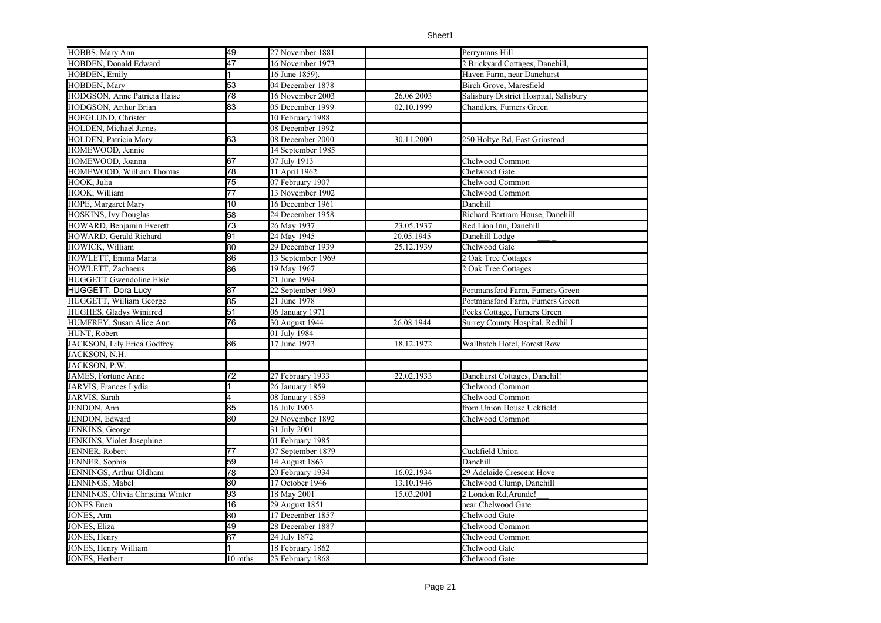| HOBBS, Mary Ann                   | 49              | 27 November 1881  |            | Perrymans Hill                         |
|-----------------------------------|-----------------|-------------------|------------|----------------------------------------|
| HOBDEN, Donald Edward             | 47              | 16 November 1973  |            | 2 Brickyard Cottages, Danehill,        |
| HOBDEN, Emily                     |                 | 16 June 1859).    |            | Haven Farm, near Danehurst             |
| HOBDEN, Mary                      | 53              | 04 December 1878  |            | Birch Grove, Maresfield                |
| HODGSON, Anne Patricia Haise      | 78              | 16 November 2003  | 26.06 2003 | Salisbury District Hospital, Salisbury |
| HODGSON, Arthur Brian             | 83              | 05 December 1999  | 02.10.1999 | Chandlers, Fumers Green                |
| HOEGLUND, Christer                |                 | 10 February 1988  |            |                                        |
| HOLDEN, Michael James             |                 | 08 December 1992  |            |                                        |
| HOLDEN, Patricia Mary             | 63              | 08 December 2000  | 30.11.2000 | 250 Holtye Rd, East Grinstead          |
| HOMEWOOD, Jennie                  |                 | 14 September 1985 |            |                                        |
| HOMEWOOD, Joanna                  | 67              | 07 July 1913      |            | Chelwood Common                        |
| HOMEWOOD, William Thomas          | 78              | 11 April 1962     |            | Chelwood Gate                          |
| HOOK, Julia                       | 75              | 07 February 1907  |            | Chelwood Common                        |
| HOOK, William                     | 77              | 13 November 1902  |            | Chelwood Common                        |
| HOPE, Margaret Mary               | 10              | 16 December 1961  |            | Danehill                               |
| <b>HOSKINS, Ivy Douglas</b>       | 58              | 24 December 1958  |            | Richard Bartram House, Danehill        |
| HOWARD, Benjamin Everett          | 73              | 26 May 1937       | 23.05.1937 | Red Lion Inn, Danehill                 |
| HOWARD, Gerald Richard            | 91              | 24 May 1945       | 20.05.1945 | Danehill Lodge                         |
| HOWICK, William                   | 80              | 29 December 1939  | 25.12.1939 | Chelwood Gate                          |
| HOWLETT, Emma Maria               | 86              | 13 September 1969 |            | 2 Oak Tree Cottages                    |
| HOWLETT, Zachaeus                 | 86              | 19 May 1967       |            | 2 Oak Tree Cottages                    |
| <b>HUGGETT Gwendoline Elsie</b>   |                 | 21 June 1994      |            |                                        |
| <b>HUGGETT, Dora Lucy</b>         | 87              | 22 September 1980 |            | Portmansford Farm, Fumers Green        |
| HUGGETT, William George           | 85              | 21 June 1978      |            | Portmansford Farm, Fumers Green        |
| HUGHES, Gladys Winifred           | 51              | 06 January 1971   |            | Pecks Cottage, Fumers Green            |
| HUMFREY, Susan Alice Ann          | 76              | 30 August 1944    | 26.08.1944 | Surrey County Hospital, Redhil I       |
| HUNT, Robert                      |                 | 01 July 1984      |            |                                        |
| JACKSON, Lily Erica Godfrey       | 86              | 17 June 1973      | 18.12.1972 | Wallhatch Hotel, Forest Row            |
| JACKSON, N.H.                     |                 |                   |            |                                        |
| JACKSON, P.W.                     |                 |                   |            |                                        |
| JAMES, Fortune Anne               | 72              | 27 February 1933  | 22.02.1933 | Danehurst Cottages, Danehil!           |
| JARVIS, Frances Lydia             |                 | 26 January 1859   |            | Chelwood Common                        |
| JARVIS, Sarah                     | 4               | 08 January 1859   |            | Chelwood Common                        |
| JENDON, Ann                       | 85              | 16 July 1903      |            | from Union House Uckfield              |
| JENDON, Edward                    | 80              | 29 November 1892  |            | Chelwood Common                        |
| JENKINS, George                   |                 | 31 July 2001      |            |                                        |
| JENKINS, Violet Josephine         |                 | 01 February 1985  |            |                                        |
| JENNER, Robert                    | 77              | 07 September 1879 |            | Cuckfield Union                        |
| JENNER, Sophia                    | 59              | 14 August 1863    |            | Danehill                               |
| JENNINGS, Arthur Oldham           | 78              | 20 February 1934  | 16.02.1934 | 29 Adelaide Crescent Hove              |
| JENNINGS, Mabel                   | 80              | 17 October 1946   | 13.10.1946 | Chelwood Clump, Danehill               |
| JENNINGS, Olivia Christina Winter | 93              | 18 May 2001       | 15.03.2001 | 2 London Rd.Arunde!                    |
| <b>JONES</b> Euen                 | $\overline{16}$ | 29 August 1851    |            | near Chelwood Gate                     |
| JONES, Ann                        | 80              | 17 December 1857  |            | Chelwood Gate                          |
| JONES, Eliza                      | 49              | 28 December 1887  |            | Chelwood Common                        |
| JONES, Henry                      | 67              | 24 July 1872      |            | Chelwood Common                        |
| JONES, Henry William              |                 | 18 February 1862  |            | Chelwood Gate                          |
| JONES, Herbert                    | 10 mths         | 23 February 1868  |            | Chelwood Gate                          |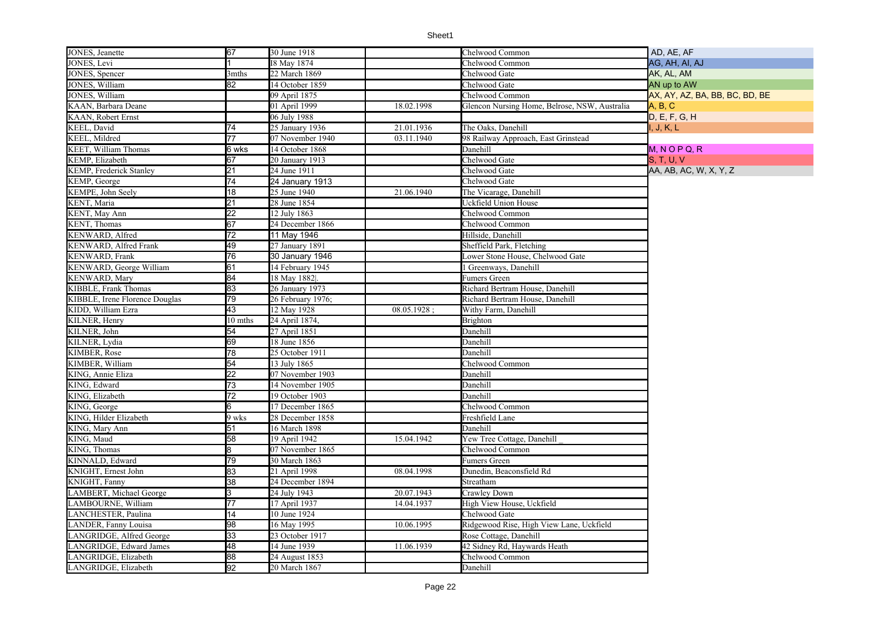| JONES, Jeanette                 | 67              | 30 June 1918      |             | Chelwood Common                               | AD, AE, AF                     |
|---------------------------------|-----------------|-------------------|-------------|-----------------------------------------------|--------------------------------|
| JONES, Levi                     |                 | I8 May 1874       |             | Chelwood Common                               | AG, AH, AI, AJ                 |
| JONES, Spencer                  | 3mths           | 22 March 1869     |             | Chelwood Gate                                 | AK, AL, AM                     |
| <b>JONES</b> , William          | $\overline{82}$ | 14 October 1859   |             | Chelwood Gate                                 | AN up to AW                    |
| JONES, William                  |                 | 09 April 1875     |             | Chelwood Common                               | AX, AY, AZ, BA, BB, BC, BD, BE |
| KAAN, Barbara Deane             |                 | 01 April 1999     | 18.02.1998  | Glencon Nursing Home, Belrose, NSW, Australia | A, B, C                        |
| KAAN, Robert Ernst              |                 | 06 July 1988      |             |                                               | D, E, F, G, H                  |
| KEEL, David                     | 74              | 25 January 1936   | 21.01.1936  | The Oaks, Danehill                            | I, J, K, L                     |
| <b>KEEL, Mildred</b>            | 77              | 07 November 1940  | 03.11.1940  | 98 Railway Approach, East Grinstead           |                                |
| KEET, William Thomas            | 6 wks           | 14 October 1868   |             | Danehill                                      | $M, N$ O P Q, R                |
| KEMP, Elizabeth                 | 67              | 20 January 1913   |             | Chelwood Gate                                 | S, T, U, V                     |
| <b>KEMP</b> , Frederick Stanley | 21              | 24 June 1911      |             | Chelwood Gate                                 | AA, AB, AC, W, X, Y, Z         |
| KEMP, George                    | 74              | 24 January 1913   |             | Chelwood Gate                                 |                                |
| KEMPE, John Seely               | 18              | 25 June 1940      | 21.06.1940  | The Vicarage, Danehill                        |                                |
| KENT, Maria                     | $\overline{21}$ | 28 June 1854      |             | Uckfield Union House                          |                                |
| KENT, May Ann                   | $\overline{22}$ | 12 July 1863      |             | Chelwood Common                               |                                |
| KENT, Thomas                    | 67              | 24 December 1866  |             | Chelwood Common                               |                                |
| KENWARD, Alfred                 | $\overline{72}$ | 11 May 1946       |             | Hillside, Danehill                            |                                |
| KENWARD, Alfred Frank           | 49              | 27 January 1891   |             | Sheffield Park, Fletching                     |                                |
| KENWARD, Frank                  | 76              | 30 January 1946   |             | Lower Stone House, Chelwood Gate              |                                |
| KENWARD, George William         | 61              | 14 February 1945  |             | l Greenways, Danehill                         |                                |
| <b>KENWARD, Mary</b>            | 84              | 18 May 1882.      |             | Fumers Green                                  |                                |
| <b>KIBBLE, Frank Thomas</b>     | 83              | 26 January 1973   |             | Richard Bertram House, Danehill               |                                |
| KIBBLE, Irene Florence Douglas  | 79              | 26 February 1976; |             | Richard Bertram House, Danehill               |                                |
| KIDD, William Ezra              | 43              | 12 May 1928       | 08.05.1928; | Withy Farm, Danehill                          |                                |
| KILNER, Henry                   | 10 mths         | 24 April 1874,    |             | Brighton                                      |                                |
| KILNER, John                    | 54              | 27 April 1851     |             | Danehill                                      |                                |
| KILNER, Lydia                   | 69              | 18 June 1856      |             | Danehill                                      |                                |
| <b>KIMBER, Rose</b>             | 78              | 25 October 1911   |             | Danehill                                      |                                |
| KIMBER, William                 | 54              | 13 July 1865      |             | Chelwood Common                               |                                |
| KING, Annie Eliza               | 22              | 07 November 1903  |             | Danehill                                      |                                |
| KING, Edward                    | 73              | 14 November 1905  |             | Danehill                                      |                                |
| KING, Elizabeth                 | 72              | 19 October 1903   |             | Danehill                                      |                                |
| KING, George                    | 6               | 17 December 1865  |             | Chelwood Common                               |                                |
| KING, Hilder Elizabeth          | 9 wks           | 28 December 1858  |             | Freshfield Lane                               |                                |
| KING, Mary Ann                  | 51              | 16 March 1898     |             | Danehill                                      |                                |
| KING, Maud                      | 58              | 19 April 1942     | 15.04.1942  | Yew Tree Cottage, Danehill                    |                                |
| KING, Thomas                    | 8               | 07 November 1865  |             | Chelwood Common                               |                                |
| KINNALD, Edward                 | 79              | 30 March 1863     |             | Fumers Green                                  |                                |
| KNIGHT, Ernest John             | 83              | 21 April 1998     | 08.04.1998  | Dunedin, Beaconsfield Rd                      |                                |
| KNIGHT, Fanny                   | 38              | 24 December 1894  |             | Streatham                                     |                                |
| LAMBERT, Michael George         | 3               | 24 July 1943      | 20.07.1943  | Crawley Down                                  |                                |
| LAMBOURNE, William              | 77              | 17 April 1937     | 14.04.1937  | High View House, Uckfield                     |                                |
| LANCHESTER, Paulina             | 14              | 10 June 1924      |             | Chelwood Gate                                 |                                |
| LANDER, Fanny Louisa            | 98              | 16 May 1995       | 10.06.1995  | Ridgewood Rise, High View Lane, Uckfield      |                                |
| LANGRIDGE, Alfred George        | 33              | 23 October 1917   |             | Rose Cottage, Danehill                        |                                |
| LANGRIDGE, Edward James         | 48              | 14 June 1939      | 11.06.1939  | 42 Sidney Rd, Haywards Heath                  |                                |
| LANGRIDGE, Elizabeth            | 88              | 24 August 1853    |             | Chelwood Common                               |                                |
| LANGRIDGE, Elizabeth            | 92              | 20 March 1867     |             | Danehill                                      |                                |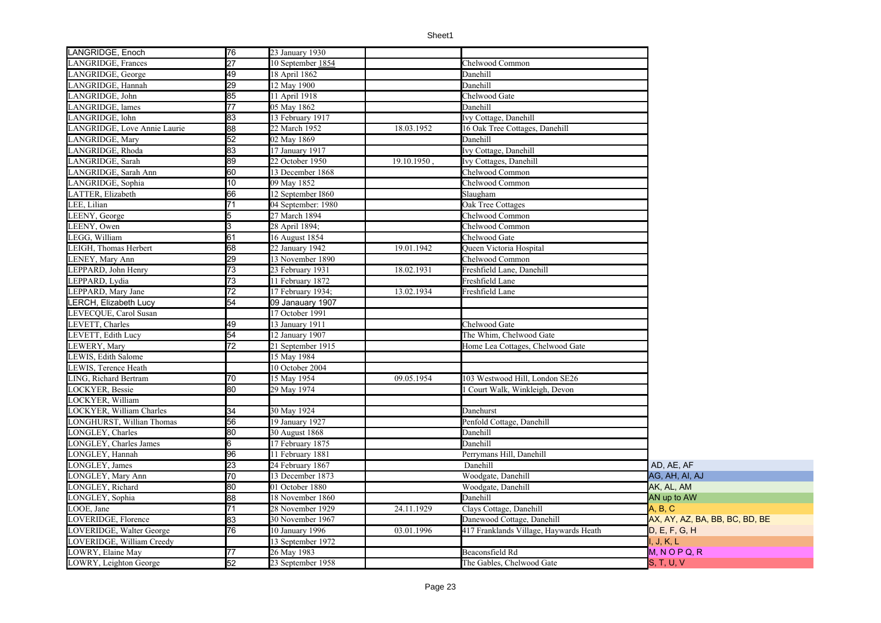| LANGRIDGE, Enoch              | 76              | 23 January 1930    |             |                                        |                                |
|-------------------------------|-----------------|--------------------|-------------|----------------------------------------|--------------------------------|
| LANGRIDGE, Frances            | 27              | 10 September 1854  |             | Chelwood Common                        |                                |
| LANGRIDGE, George             | 49              | 18 April 1862      |             | Danehill                               |                                |
| LANGRIDGE, Hannah             | 29              | 12 May 1900        |             | Danehill                               |                                |
| LANGRIDGE, John               | 85              | 11 April 1918      |             | Chelwood Gate                          |                                |
| LANGRIDGE, lames              | $\overline{77}$ | 05 May 1862        |             | Danehill                               |                                |
| LANGRIDGE, lohn               | 83              | 13 February 1917   |             | Ivy Cottage, Danehill                  |                                |
| LANGRIDGE, Love Annie Laurie  | 88              | 22 March 1952      | 18.03.1952  | 16 Oak Tree Cottages, Danehill         |                                |
| LANGRIDGE, Mary               | $\overline{52}$ | 02 May 1869        |             | Danehill                               |                                |
| LANGRIDGE, Rhoda              | 83              | 17 January 1917    |             | Ivy Cottage, Danehill                  |                                |
| LANGRIDGE, Sarah              | 89              | 22 October 1950    | 19.10.1950, | Ivy Cottages, Danehill                 |                                |
| LANGRIDGE, Sarah Ann          | 60              | 13 December 1868   |             | Chelwood Common                        |                                |
| LANGRIDGE, Sophia             | 10              | 09 May 1852        |             | Chelwood Common                        |                                |
| LATTER, Elizabeth             | 66              | 12 September I860  |             | Slaugham                               |                                |
| LEE, Lilian                   | 71              | 04 September: 1980 |             | Oak Tree Cottages                      |                                |
| LEENY, George                 |                 | 27 March 1894      |             | Chelwood Common                        |                                |
| LEENY, Owen                   |                 | 28 April 1894;     |             | Chelwood Common                        |                                |
| LEGG, William                 | 61              | 16 August 1854     |             | Chelwood Gate                          |                                |
| LEIGH, Thomas Herbert         | 68              | 22 January 1942    | 19.01.1942  | Queen Victoria Hospital                |                                |
| LENEY, Mary Ann               | 29              | 13 November 1890   |             | Chelwood Common                        |                                |
| LEPPARD, John Henry           | $\overline{73}$ | 23 February 1931   | 18.02.1931  | Freshfield Lane, Danehill              |                                |
| LEPPARD, Lydia                | $\overline{73}$ | 11 February 1872   |             | Freshfield Lane                        |                                |
| LEPPARD, Mary Jane            | $\overline{72}$ | 17 February 1934;  | 13.02.1934  | Freshfield Lane                        |                                |
| <b>LERCH, Elizabeth Lucy</b>  | $\overline{54}$ | 09 Janauary 1907   |             |                                        |                                |
| LEVECQUE, Carol Susan         |                 | 17 October 1991    |             |                                        |                                |
| LEVETT, Charles               | 49              | 13 January 1911    |             | Chelwood Gate                          |                                |
| LEVETT, Edith Lucy            | 54              | 12 January 1907    |             | The Whim, Chelwood Gate                |                                |
| LEWERY, Mary                  | 72              | 21 September 1915  |             | Home Lea Cottages, Chelwood Gate       |                                |
| LEWIS, Edith Salome           |                 | 15 May 1984        |             |                                        |                                |
| LEWIS, Terence Heath          |                 | 10 October 2004    |             |                                        |                                |
| LING, Richard Bertram         | 70              | 15 May 1954        | 09.05.1954  | 103 Westwood Hill, London SE26         |                                |
| <b>LOCKYER, Bessie</b>        | 80              | 29 May 1974        |             | Court Walk, Winkleigh, Devon           |                                |
| LOCKYER, William              |                 |                    |             |                                        |                                |
| LOCKYER, William Charles      | 34              | 30 May 1924        |             | Danehurst                              |                                |
| CONGHURST, Willian Thomas     | 56              | 19 January 1927    |             | Penfold Cottage, Danehill              |                                |
| LONGLEY, Charles              | $\overline{80}$ | 30 August 1868     |             | Danehill                               |                                |
| <b>LONGLEY, Charles James</b> | 6               | 17 February 1875   |             | Danehill                               |                                |
| LONGLEY, Hannah               | 96              | 11 February 1881   |             | Perrymans Hill, Danehill               |                                |
| LONGLEY, James                | $\overline{23}$ | 24 February 1867   |             | Danehill                               | AD, AE, AF                     |
| LONGLEY, Mary Ann             | 70              | 13 December 1873   |             | Woodgate, Danehill                     | AG, AH, AI, AJ                 |
| LONGLEY, Richard              | 80              | 01 October 1880    |             | Woodgate, Danehill                     | AK, AL, AM                     |
| LONGLEY, Sophia               | 88              | 18 November 1860   |             | Danehill                               | AN up to AW                    |
| LOOE, Jane                    | 71              | 28 November 1929   | 24.11.1929  | Clays Cottage, Danehill                | A. B. C.                       |
| LOVERIDGE, Florence           | 83              | 30 November 1967   |             | Danewood Cottage, Danehill             | AX, AY, AZ, BA, BB, BC, BD, BE |
| LOVERIDGE, Walter George      | 76              | 10 January 1996    | 03.01.1996  | 417 Franklands Village, Haywards Heath | D, E, F, G, H                  |
| LOVERIDGE, William Creedy     |                 | 13 September 1972  |             |                                        | I, J, K, L                     |
| LOWRY, Elaine May             | 77              | 26 May 1983        |             | Beaconsfield Rd                        | $M, N$ O P Q, R                |
| LOWRY, Leighton George        | 52              | 23 September 1958  |             | The Gables, Chelwood Gate              | <b>S. T. U. V</b>              |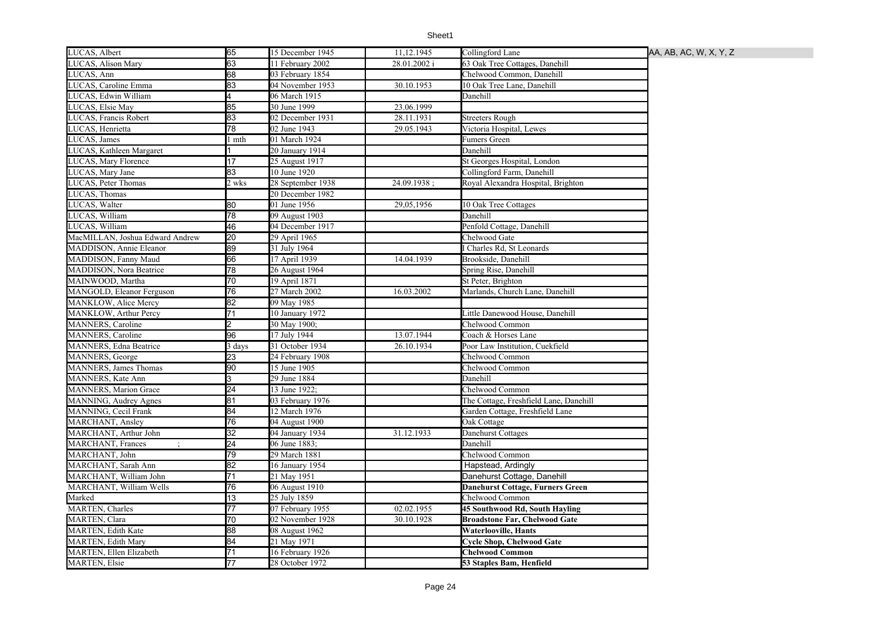| LUCAS, Albert                   | 65              | 15 December 1945  | 11, 12. 1945 | Collingford Lane                       | AA, AB, AC, W, X, Y, Z |
|---------------------------------|-----------------|-------------------|--------------|----------------------------------------|------------------------|
| LUCAS, Alison Mary              | 63              | 11 February 2002  | 28.01.2002 i | 63 Oak Tree Cottages, Danehill         |                        |
| LUCAS, Ann                      | 68              | 03 February 1854  |              | Chelwood Common, Danehill              |                        |
| LUCAS, Caroline Emma            | 83              | 04 November 1953  | 30.10.1953   | 10 Oak Tree Lane, Danehill             |                        |
| LUCAS, Edwin William            | 4               | 06 March 1915     |              | Danehill                               |                        |
| LUCAS, Elsie May                | 85              | 30 June 1999      | 23.06.1999   |                                        |                        |
| LUCAS, Francis Robert           | 83              | 02 December 1931  | 28.11.1931   | Streeters Rough                        |                        |
| LUCAS, Henrietta                | 78              | 02 June 1943      | 29.05.1943   | Victoria Hospital, Lewes               |                        |
| LUCAS, James                    | l mth           | 01 March 1924     |              | Fumers Green                           |                        |
| LUCAS, Kathleen Margaret        |                 | 20 January 1914   |              | Danehill                               |                        |
| LUCAS, Mary Florence            | 17              | 25 August 1917    |              | St Georges Hospital, London            |                        |
| LUCAS, Mary Jane                | 83              | 10 June 1920      |              | Collingford Farm, Danehill             |                        |
| LUCAS, Peter Thomas             | 2 wks           | 28 September 1938 | 24.09.1938;  | Royal Alexandra Hospital, Brighton     |                        |
| LUCAS, Thomas                   |                 | 20 December 1982  |              |                                        |                        |
| LUCAS, Walter                   | $\overline{80}$ | 01 June 1956      | 29,05,1956   | 10 Oak Tree Cottages                   |                        |
| LUCAS, William                  | 78              | 09 August 1903    |              | Danehill                               |                        |
| LUCAS, William                  | 46              | 04 December 1917  |              | Penfold Cottage, Danehill              |                        |
| MacMILLAN, Joshua Edward Andrew | $\overline{20}$ | 29 April 1965     |              | Chelwood Gate                          |                        |
| MADDISON, Annie Eleanor         | 89              | 31 July 1964      |              | Charles Rd, St Leonards                |                        |
| MADDISON, Fanny Maud            | 66              | 17 April 1939     | 14.04.1939   | Brookside, Danehill                    |                        |
| MADDISON, Nora Beatrice         | 78              | 26 August 1964    |              | Spring Rise, Danehill                  |                        |
| MAINWOOD, Martha                | $\overline{70}$ | 19 April 1871     |              | St Peter, Brighton                     |                        |
| MANGOLD, Eleanor Ferguson       | 76              | 27 March 2002     | 16.03.2002   | Marlands, Church Lane, Danehill        |                        |
| MANKLOW, Alice Mercy            | 82              | 09 May 1985       |              |                                        |                        |
| MANKLOW, Arthur Percy           | 71              | 10 January 1972   |              | Little Danewood House, Danehill        |                        |
| <b>MANNERS, Caroline</b>        |                 | 30 May 1900;      |              | Chelwood Common                        |                        |
| <b>MANNERS</b> , Caroline       | 96              | 17 July 1944      | 13.07.1944   | Coach & Horses Lane                    |                        |
| MANNERS, Edna Beatrice          | 3 days          | 31 October 1934   | 26.10.1934   | Poor Law Institution, Cuekfield        |                        |
| MANNERS, George                 | 23              | 24 February 1908  |              | Chelwood Common                        |                        |
| <b>MANNERS</b> , James Thomas   | 90              | 15 June 1905      |              | Chelwood Common                        |                        |
| <b>MANNERS</b> , Kate Ann       | 3               | 29 June 1884      |              | Danehill                               |                        |
| <b>MANNERS, Marion Grace</b>    | 24              | 13 June 1922;     |              | Chelwood Common                        |                        |
| MANNING, Audrey Agnes           | 81              | 03 February 1976  |              | The Cottage, Freshfield Lane, Danehill |                        |
| MANNING, Cecil Frank            | 84              | 12 March 1976     |              | Garden Cottage, Freshfield Lane        |                        |
| MARCHANT, Ansley                | $\overline{76}$ | 04 August 1900    |              | Oak Cottage                            |                        |
| MARCHANT, Arthur John           | 32              | 04 January 1934   | 31.12.1933   | Danehurst Cottages                     |                        |
| <b>MARCHANT</b> , Frances       | 24              | 06 June 1883;     |              | Danehill                               |                        |
| MARCHANT, John                  | 79              | 29 March 1881     |              | Chelwood Common                        |                        |
| MARCHANT, Sarah Ann             | $\overline{82}$ | 16 January 1954   |              | Hapstead, Ardingly                     |                        |
| MARCHANT, William John          | $\overline{71}$ | 21 May 1951       |              | Danehurst Cottage, Danehill            |                        |
| MARCHANT, William Wells         | 76              | 06 August 1910    |              | Danehurst Cottage, Furners Green       |                        |
| Marked                          | 13              | 25 July 1859      |              | Chelwood Common                        |                        |
| MARTEN, Charles                 | 77              | 07 February 1955  | 02.02.1955   | 45 Southwood Rd, South Hayling         |                        |
| MARTEN, Clara                   | 70              | 02 November 1928  | 30.10.1928   | <b>Broadstone Far, Chelwood Gate</b>   |                        |
| <b>MARTEN, Edith Kate</b>       | 88              | 08 August 1962    |              | <b>Waterlooville, Hants</b>            |                        |
| <b>MARTEN, Edith Mary</b>       | 84              | 21 May 1971       |              | <b>Cycle Shop, Chelwood Gate</b>       |                        |
| MARTEN, Ellen Elizabeth         | 71              | 16 February 1926  |              | <b>Chelwood Common</b>                 |                        |
| <b>MARTEN, Elsie</b>            | 77              | 28 October 1972   |              | 53 Staples Bam, Henfield               |                        |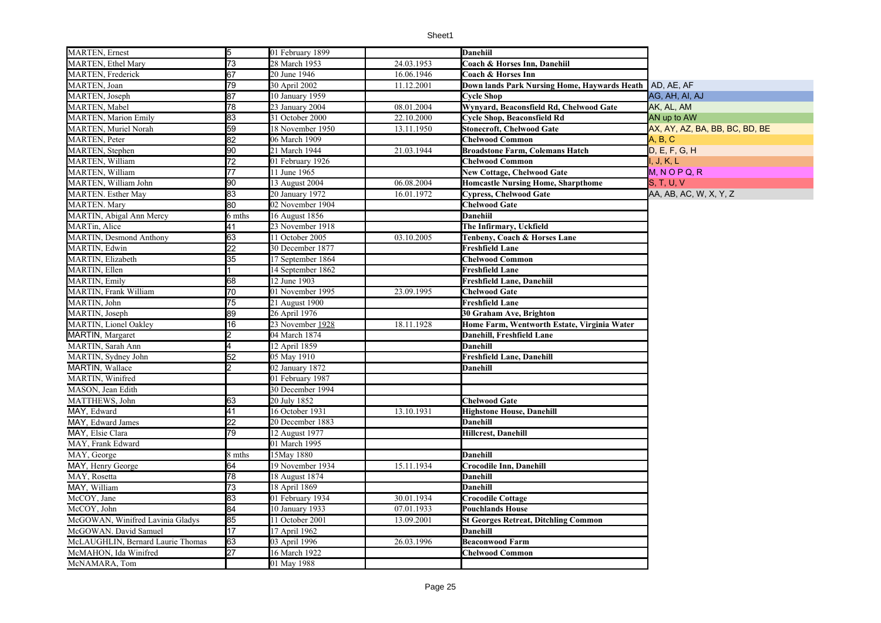| <b>MARTEN</b> , Ethel Mary<br>73<br>28 March 1953<br>24.03.1953<br>Coach & Horses Inn, Danehiil<br>67<br><b>MARTEN, Frederick</b><br>20 June 1946<br>16.06.1946<br><b>Coach &amp; Horses Inn</b><br>MARTEN, Joan<br>79<br>30 April 2002<br>11.12.2001<br>Down lands Park Nursing Home, Haywards Heath<br>AD, AE, AF<br>87<br>MARTEN, Joseph<br>10 January 1959<br>AG, AH, AI, AJ<br><b>Cycle Shop</b><br><b>MARTEN</b> , Mabel<br>78<br>08.01.2004<br>Wynyard, Beaconsfield Rd, Chelwood Gate<br>AK, AL, AM<br>23 January 2004<br>83<br>31 October 2000<br>22.10.2000<br><b>Cycle Shop, Beaconsfield Rd</b><br>AN up to AW<br><b>MARTEN, Marion Emily</b><br>59<br><b>MARTEN</b> , Muriel Norah<br>18 November 1950<br>13.11.1950<br><b>Stonecroft, Chelwood Gate</b><br>AX, AY, AZ, BA, BB, BC, BD, BE<br>82<br><b>MARTEN, Peter</b><br>06 March 1909<br><b>Chelwood Common</b><br>A, B, C<br>90<br>MARTEN, Stephen<br>21 March 1944<br>21.03.1944<br><b>Broadstone Farm, Colemans Hatch</b><br>D, E, F, G, H<br>$\overline{72}$<br><b>MARTEN, William</b><br>I, J, K, L<br>01 February 1926<br><b>Chelwood Common</b> |  |
|-------------------------------------------------------------------------------------------------------------------------------------------------------------------------------------------------------------------------------------------------------------------------------------------------------------------------------------------------------------------------------------------------------------------------------------------------------------------------------------------------------------------------------------------------------------------------------------------------------------------------------------------------------------------------------------------------------------------------------------------------------------------------------------------------------------------------------------------------------------------------------------------------------------------------------------------------------------------------------------------------------------------------------------------------------------------------------------------------------------------------|--|
|                                                                                                                                                                                                                                                                                                                                                                                                                                                                                                                                                                                                                                                                                                                                                                                                                                                                                                                                                                                                                                                                                                                         |  |
|                                                                                                                                                                                                                                                                                                                                                                                                                                                                                                                                                                                                                                                                                                                                                                                                                                                                                                                                                                                                                                                                                                                         |  |
|                                                                                                                                                                                                                                                                                                                                                                                                                                                                                                                                                                                                                                                                                                                                                                                                                                                                                                                                                                                                                                                                                                                         |  |
|                                                                                                                                                                                                                                                                                                                                                                                                                                                                                                                                                                                                                                                                                                                                                                                                                                                                                                                                                                                                                                                                                                                         |  |
|                                                                                                                                                                                                                                                                                                                                                                                                                                                                                                                                                                                                                                                                                                                                                                                                                                                                                                                                                                                                                                                                                                                         |  |
|                                                                                                                                                                                                                                                                                                                                                                                                                                                                                                                                                                                                                                                                                                                                                                                                                                                                                                                                                                                                                                                                                                                         |  |
|                                                                                                                                                                                                                                                                                                                                                                                                                                                                                                                                                                                                                                                                                                                                                                                                                                                                                                                                                                                                                                                                                                                         |  |
|                                                                                                                                                                                                                                                                                                                                                                                                                                                                                                                                                                                                                                                                                                                                                                                                                                                                                                                                                                                                                                                                                                                         |  |
|                                                                                                                                                                                                                                                                                                                                                                                                                                                                                                                                                                                                                                                                                                                                                                                                                                                                                                                                                                                                                                                                                                                         |  |
|                                                                                                                                                                                                                                                                                                                                                                                                                                                                                                                                                                                                                                                                                                                                                                                                                                                                                                                                                                                                                                                                                                                         |  |
| $\overline{77}$<br>$M, N$ O P Q, R<br>MARTEN, William<br>11 June 1965<br><b>New Cottage, Chelwood Gate</b>                                                                                                                                                                                                                                                                                                                                                                                                                                                                                                                                                                                                                                                                                                                                                                                                                                                                                                                                                                                                              |  |
| MARTEN, William John<br>90<br>13 August 2004<br>06.08.2004<br><b>Homcastle Nursing Home, Sharpthome</b><br><b>S, T, U, V</b>                                                                                                                                                                                                                                                                                                                                                                                                                                                                                                                                                                                                                                                                                                                                                                                                                                                                                                                                                                                            |  |
| 83<br>20 January 1972<br>16.01.1972<br>AA, AB, AC, W, X, Y, Z<br><b>MARTEN.</b> Esther May<br><b>Cypress, Chelwood Gate</b>                                                                                                                                                                                                                                                                                                                                                                                                                                                                                                                                                                                                                                                                                                                                                                                                                                                                                                                                                                                             |  |
| MARTEN. Mary<br>80<br>02 November 1904<br><b>Chelwood Gate</b>                                                                                                                                                                                                                                                                                                                                                                                                                                                                                                                                                                                                                                                                                                                                                                                                                                                                                                                                                                                                                                                          |  |
| MARTIN, Abigal Ann Mercy<br>6 mths<br>16 August 1856<br>Danehiil                                                                                                                                                                                                                                                                                                                                                                                                                                                                                                                                                                                                                                                                                                                                                                                                                                                                                                                                                                                                                                                        |  |
| MARTin, Alice<br>41<br>23 November 1918<br>The Infirmary, Uckfield                                                                                                                                                                                                                                                                                                                                                                                                                                                                                                                                                                                                                                                                                                                                                                                                                                                                                                                                                                                                                                                      |  |
| 63<br><b>MARTIN, Desmond Anthony</b><br>03.10.2005<br>11 October 2005<br>Tenbeny, Coach & Horses Lane                                                                                                                                                                                                                                                                                                                                                                                                                                                                                                                                                                                                                                                                                                                                                                                                                                                                                                                                                                                                                   |  |
| MARTIN, Edwin<br>$\overline{22}$<br>30 December 1877<br><b>Freshfield Lane</b>                                                                                                                                                                                                                                                                                                                                                                                                                                                                                                                                                                                                                                                                                                                                                                                                                                                                                                                                                                                                                                          |  |
| $35\overline{}$<br>MARTIN, Elizabeth<br><b>Chelwood Common</b><br>17 September 1864                                                                                                                                                                                                                                                                                                                                                                                                                                                                                                                                                                                                                                                                                                                                                                                                                                                                                                                                                                                                                                     |  |
| MARTIN, Ellen<br>14 September 1862<br><b>Freshfield Lane</b>                                                                                                                                                                                                                                                                                                                                                                                                                                                                                                                                                                                                                                                                                                                                                                                                                                                                                                                                                                                                                                                            |  |
| <b>MARTIN, Emily</b><br>68<br>12 June 1903<br>Freshfield Lane, Danehiil                                                                                                                                                                                                                                                                                                                                                                                                                                                                                                                                                                                                                                                                                                                                                                                                                                                                                                                                                                                                                                                 |  |
| 70<br><b>MARTIN, Frank William</b><br>01 November 1995<br>23.09.1995<br><b>Chelwood Gate</b>                                                                                                                                                                                                                                                                                                                                                                                                                                                                                                                                                                                                                                                                                                                                                                                                                                                                                                                                                                                                                            |  |
| MARTIN, John<br>$\overline{75}$<br>21 August 1900<br><b>Freshfield Lane</b>                                                                                                                                                                                                                                                                                                                                                                                                                                                                                                                                                                                                                                                                                                                                                                                                                                                                                                                                                                                                                                             |  |
| 89<br>MARTIN, Joseph<br>26 April 1976<br>30 Graham Ave, Brighton                                                                                                                                                                                                                                                                                                                                                                                                                                                                                                                                                                                                                                                                                                                                                                                                                                                                                                                                                                                                                                                        |  |
| <b>MARTIN</b> , Lionel Oakley<br>16<br>23 November 1928<br>18.11.1928<br>Home Farm, Wentworth Estate, Virginia Water                                                                                                                                                                                                                                                                                                                                                                                                                                                                                                                                                                                                                                                                                                                                                                                                                                                                                                                                                                                                    |  |
| <b>MARTIN</b> , Margaret<br>04 March 1874<br>Danehill, Freshfield Lane                                                                                                                                                                                                                                                                                                                                                                                                                                                                                                                                                                                                                                                                                                                                                                                                                                                                                                                                                                                                                                                  |  |
| MARTIN, Sarah Ann<br>12 April 1859<br><b>Danehill</b>                                                                                                                                                                                                                                                                                                                                                                                                                                                                                                                                                                                                                                                                                                                                                                                                                                                                                                                                                                                                                                                                   |  |
| 52<br>MARTIN, Sydney John<br>05 May 1910<br><b>Freshfield Lane, Danehill</b>                                                                                                                                                                                                                                                                                                                                                                                                                                                                                                                                                                                                                                                                                                                                                                                                                                                                                                                                                                                                                                            |  |
| MARTIN, Wallace<br>02 January 1872<br><b>Danehill</b>                                                                                                                                                                                                                                                                                                                                                                                                                                                                                                                                                                                                                                                                                                                                                                                                                                                                                                                                                                                                                                                                   |  |
| MARTIN, Winifred<br>01 February 1987                                                                                                                                                                                                                                                                                                                                                                                                                                                                                                                                                                                                                                                                                                                                                                                                                                                                                                                                                                                                                                                                                    |  |
| MASON, Jean Edith<br>30 December 1994                                                                                                                                                                                                                                                                                                                                                                                                                                                                                                                                                                                                                                                                                                                                                                                                                                                                                                                                                                                                                                                                                   |  |
| 63<br>MATTHEWS, John<br>20 July 1852<br><b>Chelwood Gate</b>                                                                                                                                                                                                                                                                                                                                                                                                                                                                                                                                                                                                                                                                                                                                                                                                                                                                                                                                                                                                                                                            |  |
| 41<br>MAY, Edward<br>16 October 1931<br>13.10.1931<br><b>Highstone House, Danehill</b>                                                                                                                                                                                                                                                                                                                                                                                                                                                                                                                                                                                                                                                                                                                                                                                                                                                                                                                                                                                                                                  |  |
| 22<br>MAY, Edward James<br>20 December 1883<br>Danehill                                                                                                                                                                                                                                                                                                                                                                                                                                                                                                                                                                                                                                                                                                                                                                                                                                                                                                                                                                                                                                                                 |  |
| 79<br>MAY, Elsie Clara<br>12 August 1977<br>Hillcrest, Danehill                                                                                                                                                                                                                                                                                                                                                                                                                                                                                                                                                                                                                                                                                                                                                                                                                                                                                                                                                                                                                                                         |  |
| MAY, Frank Edward<br>01 March 1995                                                                                                                                                                                                                                                                                                                                                                                                                                                                                                                                                                                                                                                                                                                                                                                                                                                                                                                                                                                                                                                                                      |  |
| 15May 1880<br><b>Danehill</b><br>MAY, George<br>8 mths                                                                                                                                                                                                                                                                                                                                                                                                                                                                                                                                                                                                                                                                                                                                                                                                                                                                                                                                                                                                                                                                  |  |
| MAY, Henry George<br>64<br>19 November 1934<br>15.11.1934<br><b>Crocodile Inn, Danehill</b>                                                                                                                                                                                                                                                                                                                                                                                                                                                                                                                                                                                                                                                                                                                                                                                                                                                                                                                                                                                                                             |  |
| 78<br>MAY, Rosetta<br>18 August 1874<br>Danehill                                                                                                                                                                                                                                                                                                                                                                                                                                                                                                                                                                                                                                                                                                                                                                                                                                                                                                                                                                                                                                                                        |  |
| 73<br>Danehill<br>MAY. William<br>18 April 1869                                                                                                                                                                                                                                                                                                                                                                                                                                                                                                                                                                                                                                                                                                                                                                                                                                                                                                                                                                                                                                                                         |  |
| 83<br>McCOY, Jane<br>30.01.1934<br>01 February 1934<br><b>Crocodile Cottage</b>                                                                                                                                                                                                                                                                                                                                                                                                                                                                                                                                                                                                                                                                                                                                                                                                                                                                                                                                                                                                                                         |  |
| 84<br>McCOY, John<br>10 January 1933<br>07.01.1933<br>Pouchlands House                                                                                                                                                                                                                                                                                                                                                                                                                                                                                                                                                                                                                                                                                                                                                                                                                                                                                                                                                                                                                                                  |  |
| 85<br>McGOWAN, Winifred Lavinia Gladys<br>11 October 2001<br>13.09.2001<br><b>St Georges Retreat, Ditchling Common</b>                                                                                                                                                                                                                                                                                                                                                                                                                                                                                                                                                                                                                                                                                                                                                                                                                                                                                                                                                                                                  |  |
| 17<br>McGOWAN. David Samuel<br>17 April 1962<br>Danehill                                                                                                                                                                                                                                                                                                                                                                                                                                                                                                                                                                                                                                                                                                                                                                                                                                                                                                                                                                                                                                                                |  |
| 63<br>McLAUGHLIN, Bernard Laurie Thomas<br>03 April 1996<br>26.03.1996<br><b>Beaconwood Farm</b>                                                                                                                                                                                                                                                                                                                                                                                                                                                                                                                                                                                                                                                                                                                                                                                                                                                                                                                                                                                                                        |  |
| 27<br>McMAHON, Ida Winifred<br>16 March 1922<br><b>Chelwood Common</b>                                                                                                                                                                                                                                                                                                                                                                                                                                                                                                                                                                                                                                                                                                                                                                                                                                                                                                                                                                                                                                                  |  |
| 01 May 1988<br>McNAMARA, Tom                                                                                                                                                                                                                                                                                                                                                                                                                                                                                                                                                                                                                                                                                                                                                                                                                                                                                                                                                                                                                                                                                            |  |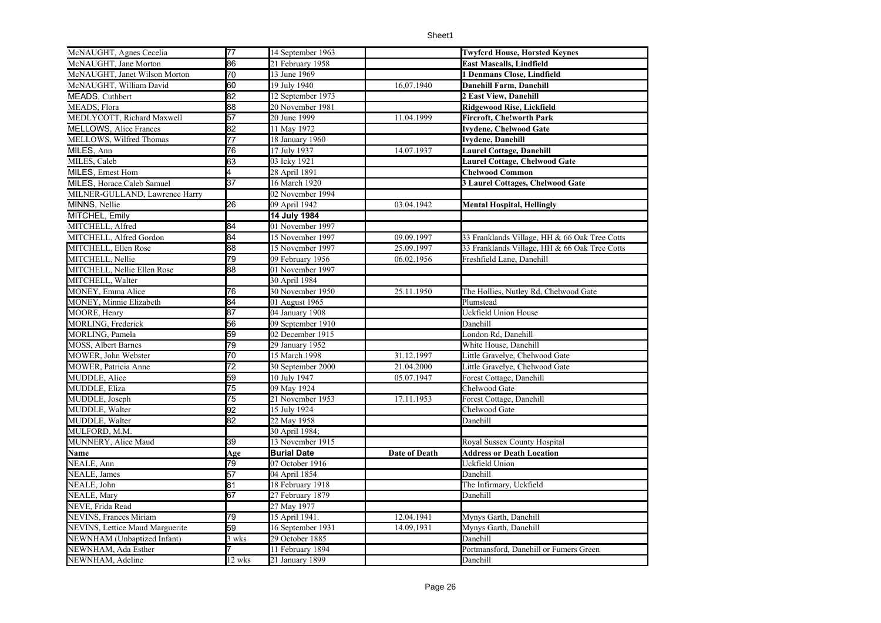| McNAUGHT, Agnes Cecelia         | 77              | 14 September 1963  |               | <b>Twyfcrd House, Horsted Keynes</b>          |
|---------------------------------|-----------------|--------------------|---------------|-----------------------------------------------|
| McNAUGHT, Jane Morton           | 86              | 21 February 1958   |               | East Mascalls, Lindfield                      |
| McNAUGHT, Janet Wilson Morton   | 70              | 13 June 1969       |               | 1 Denmans Close, Lindfield                    |
| McNAUGHT, William David         | 60              | 19 July 1940       | 16,07.1940    | Danehill Farm, Danehill                       |
| MEADS, Cuthbert                 | 82              | 12 September 1973  |               | 2 East View, Danehill                         |
| MEADS, Flora                    | 88              | 20 November 1981   |               | Ridgewood Rise, Lickfield                     |
| MEDLYCOTT, Richard Maxwell      | 57              | 20 June 1999       | 11.04.1999    | Fircroft, Che!worth Park                      |
| <b>MELLOWS, Alice Frances</b>   | 82              | 11 May 1972        |               | <b>Ivydene, Chelwood Gate</b>                 |
| MELLOWS, Wilfred Thomas         | 77              | 18 January 1960    |               | Ivydene, Danehill                             |
| MILES, Ann                      | 76              | 17 July 1937       | 14.07.1937    | Laurel Cottage, Danehill                      |
| MILES, Caleb                    | 63              | 03 Icky 1921       |               | <b>Laurel Cottage, Chelwood Gate</b>          |
| MILES, Ernest Hom               | 4               | 28 April 1891      |               | <b>Chelwood Common</b>                        |
| MILES, Horace Caleb Samuel      | $\overline{37}$ | 16 March 1920      |               | 3 Laurel Cottages, Chelwood Gate              |
| MILNER-GULLAND, Lawrence Harry  |                 | 02 November 1994   |               |                                               |
| MINNS, Nellie                   | 26              | 09 April 1942      | 03.04.1942    | <b>Mental Hospital, Hellingly</b>             |
| MITCHEL, Emily                  |                 | 14 July 1984       |               |                                               |
| MITCHELL, Alfred                | 84              | 01 November 1997   |               |                                               |
| MITCHELL, Alfred Gordon         | 84              | 15 November 1997   | 09.09.1997    | 33 Franklands Village, HH & 66 Oak Tree Cotts |
| MITCHELL, Ellen Rose            | 88              | 15 November 1997   | 25.09.1997    | 33 Franklands Village, HH & 66 Oak Tree Cotts |
| MITCHELL, Nellie                | 79              | 09 February 1956   | 06.02.1956    | Freshfield Lane, Danehill                     |
| MITCHELL, Nellie Ellen Rose     | 88              | 01 November 1997   |               |                                               |
| MITCHELL, Walter                |                 | 30 April 1984      |               |                                               |
| MONEY, Emma Alice               | 76              | 30 November 1950   | 25.11.1950    | The Hollies, Nutley Rd, Chelwood Gate         |
| MONEY, Minnie Elizabeth         | 84              | 01 August 1965     |               | Plumstead                                     |
| MOORE, Henry                    | 87              | 04 January 1908    |               | Uckfield Union House                          |
| MORLING, Frederick              | 56              | 09 September 1910  |               | Danehill                                      |
| MORLING, Pamela                 | 59              | 02 December 1915   |               | London Rd, Danehill                           |
| <b>MOSS, Albert Barnes</b>      | 79              | 29 January 1952    |               | White House, Danehill                         |
| MOWER, John Webster             | 70              | 15 March 1998      | 31.12.1997    | Little Gravelye, Chelwood Gate                |
| MOWER, Patricia Anne            | $\overline{72}$ | 30 September 2000  | 21.04.2000    | Little Gravelye, Chelwood Gate                |
| MUDDLE, Alice                   | 59              | 10 July 1947       | 05.07.1947    | Forest Cottage, Danehill                      |
| MUDDLE, Eliza                   | 75              | 09 May 1924        |               | Chelwood Gate                                 |
| MUDDLE, Joseph                  | $\overline{75}$ | 21 November 1953   | 17.11.1953    | Forest Cottage, Danehill                      |
| MUDDLE, Walter                  | 92              | 15 July 1924       |               | Chelwood Gate                                 |
| MUDDLE, Walter                  | 82              | 22 May 1958        |               | Danehill                                      |
| MULFORD, M.M.                   |                 | 30 April 1984;     |               |                                               |
| MUNNERY, Alice Maud             | 39              | 13 November 1915   |               | Royal Sussex County Hospital                  |
| Name                            | Age             | <b>Burial Date</b> | Date of Death | <b>Address or Death Location</b>              |
| NEALE, Ann                      | 79              | 07 October 1916    |               | Uckfield Union                                |
| NEALE, James                    | 57              | 04 April 1854      |               | Danehill                                      |
| NEALE, John                     | 81              | 18 February 1918   |               | The Infirmary, Uckfield                       |
| NEALE, Mary                     | 67              | 27 February 1879   |               | Danehill                                      |
| NEVE, Frida Read                |                 | 27 May 1977        |               |                                               |
| NEVINS, Frances Miriam          | 79              | 15 April 1941.     | 12.04.1941    | Mynys Garth, Danehill                         |
| NEVINS, Lettice Maud Marguerite | 59              | 16 September 1931  | 14.09,1931    | Mynys Garth, Danehill                         |
| NEWNHAM (Unbaptized Infant)     | 3 wks           | 29 October 1885    |               | Danehill                                      |
| NEWNHAM, Ada Esther             |                 | 11 February 1894   |               | Portmansford, Danehill or Fumers Green        |
| NEWNHAM, Adeline                | 12 wks          | 21 January 1899    |               | Danehill                                      |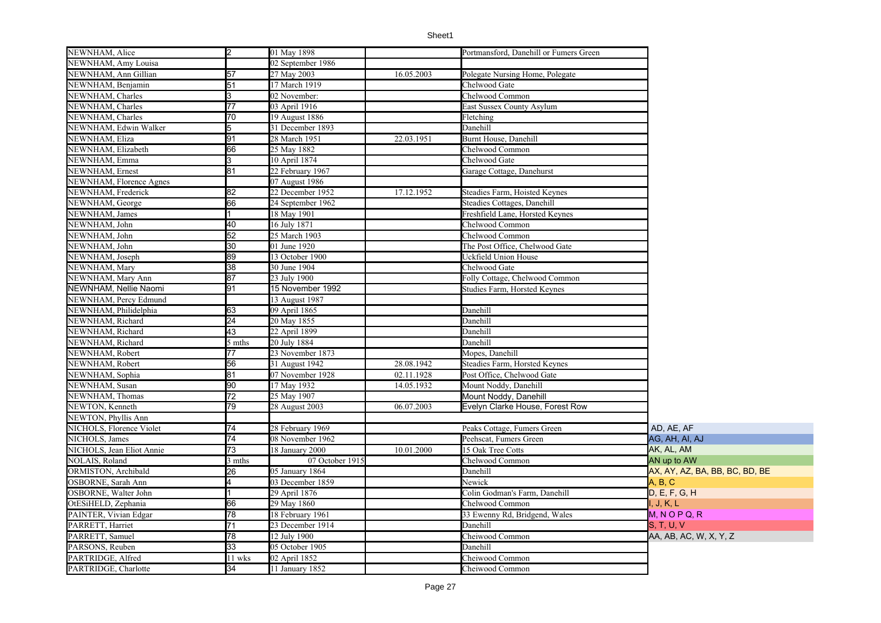| NEWNHAM, Alice            | l2              | 01 May 1898       |            | Portmansford, Danehill or Fumers Green |                                |
|---------------------------|-----------------|-------------------|------------|----------------------------------------|--------------------------------|
| NEWNHAM, Amy Louisa       |                 | 02 September 1986 |            |                                        |                                |
| NEWNHAM, Ann Gillian      | 57              | 27 May 2003       | 16.05.2003 | Polegate Nursing Home, Polegate        |                                |
| NEWNHAM, Benjamin         | 51              | 17 March 1919     |            | Chelwood Gate                          |                                |
| NEWNHAM, Charles          | 3               | 02 November:      |            | Chelwood Common                        |                                |
| NEWNHAM, Charles          | 77              | 03 April 1916     |            | East Sussex County Asylum              |                                |
| NEWNHAM, Charles          | 70              | 19 August 1886    |            | Fletching                              |                                |
| NEWNHAM, Edwin Walker     | 5               | 31 December 1893  |            | Danehill                               |                                |
| NEWNHAM, Eliza            | 91              | 28 March 1951     | 22.03.1951 | Burnt House, Danehill                  |                                |
| NEWNHAM, Elizabeth        | 66              | 25 May 1882       |            | Chelwood Common                        |                                |
| NEWNHAM, Emma             |                 | 10 April 1874     |            | Chelwood Gate                          |                                |
| NEWNHAM, Ernest           | 81              | 22 February 1967  |            | Garage Cottage, Danehurst              |                                |
| NEWNHAM, Florence Agnes   |                 | 07 August 1986    |            |                                        |                                |
| NEWNHAM, Frederick        | 82              | 22 December 1952  | 17.12.1952 | Steadies Farm, Hoisted Keynes          |                                |
| NEWNHAM, George           | 66              | 24 September 1962 |            | Steadies Cottages, Danehill            |                                |
| NEWNHAM, James            |                 | 18 May 1901       |            | Freshfield Lane, Horsted Keynes        |                                |
| NEWNHAM, John             | 40              | 16 July 1871      |            | Chelwood Common                        |                                |
| NEWNHAM, John             | 52              | 25 March 1903     |            | Chelwood Common                        |                                |
| NEWNHAM, John             | 30              | 01 June 1920      |            | The Post Office, Chelwood Gate         |                                |
| NEWNHAM, Joseph           | 89              | 13 October 1900   |            | Uckfield Union House                   |                                |
| NEWNHAM, Mary             | 38              | 30 June 1904      |            | Chelwood Gate                          |                                |
| NEWNHAM, Mary Ann         | 87              | 23 July 1900      |            | Folly Cottage, Chelwood Common         |                                |
| NEWNHAM, Nellie Naomi     | 91              | 15 November 1992  |            | Studies Farm, Horsted Keynes           |                                |
| NEWNHAM, Percy Edmund     |                 | 13 August 1987    |            |                                        |                                |
| NEWNHAM, Philidelphia     | 63              | 09 April 1865     |            | Danehill                               |                                |
| NEWNHAM, Richard          | 24              | 20 May 1855       |            | Danehill                               |                                |
| NEWNHAM, Richard          | 43              | 22 April 1899     |            | Danehill                               |                                |
| NEWNHAM, Richard          | 5 mths          | 20 July 1884      |            | Danehill                               |                                |
| NEWNHAM, Robert           | 77              | 23 November 1873  |            | Mopes, Danehill                        |                                |
| NEWNHAM, Robert           | 56              | 31 August 1942    | 28.08.1942 | Steadies Farm, Horsted Keynes          |                                |
| NEWNHAM, Sophia           | 81              | 07 November 1928  | 02.11.1928 | Post Office, Chelwood Gate             |                                |
| NEWNHAM, Susan            | 90              | 17 May 1932       | 14.05.1932 | Mount Noddy, Danehill                  |                                |
| NEWNHAM, Thomas           | 72              | 25 May 1907       |            | Mount Noddy, Danehill                  |                                |
| NEWTON, Kenneth           | 79              | 28 August 2003    | 06.07.2003 | Evelyn Clarke House, Forest Row        |                                |
| NEWTON, Phyllis Ann       |                 |                   |            |                                        |                                |
| NICHOLS, Florence Violet  | 74              | 28 February 1969  |            | Peaks Cottage, Fumers Green            | AD, AE, AF                     |
| NICHOLS, James            | $\overline{74}$ | 08 November 1962  |            | Peehscat, Fumers Green                 | AG, AH, AI, AJ                 |
| NICHOLS, Jean Eliot Annie | $\overline{73}$ | 18 January 2000   | 10.01.2000 | 15 Oak Tree Cotts                      | AK, AL, AM                     |
| NOLAIS, Roland            | 3 mths          | 07 October 1915   |            | Chelwood Common                        | AN up to AW                    |
| ORMISTON, Archibald       | 26              | 05 January 1864   |            | Danehill                               | AX, AY, AZ, BA, BB, BC, BD, BE |
| OSBORNE, Sarah Ann        |                 | 03 December 1859  |            | Newick                                 | A, B, C                        |
| OSBORNE, Walter John      |                 | 29 April 1876     |            | Colin Godman's Farm, Danehill          | D, E, F, G, H                  |
| OtESiHELD, Zephania       | 66              | 29 May 1860       |            | Chelwood Common                        | I, J, K, L                     |
| PAINTER, Vivian Edgar     | 78              | 18 February 1961  |            | 33 Ewenny Rd, Bridgend, Wales          | $M, N$ O P Q, R                |
| PARRETT, Harriet          | 71              | 23 December 1914  |            | Danehill                               | S, T, U, V                     |
| PARRETT, Samuel           | 78              | 12 July 1900      |            | Cheiwood Common                        | AA, AB, AC, W, X, Y, Z         |
| PARSONS, Reuben           | 33              | 05 October 1905   |            | Danehill                               |                                |
| PARTRIDGE, Alfred         | 11 wks          | 02 April 1852     |            | Cheiwood Common                        |                                |
| PARTRIDGE, Charlotte      | 34              | 11 January 1852   |            | Cheiwood Common                        |                                |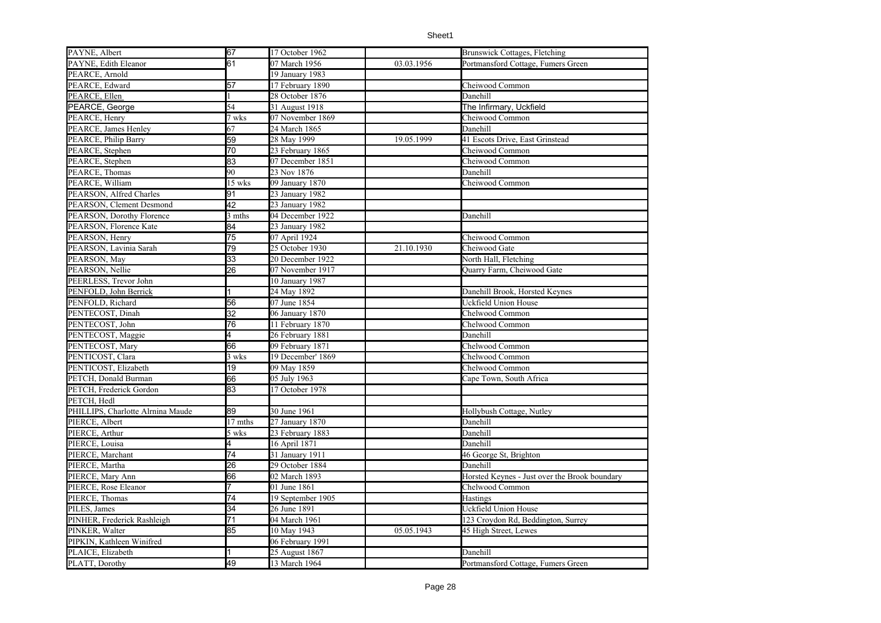|                                   | 67              |                   |            |                                               |
|-----------------------------------|-----------------|-------------------|------------|-----------------------------------------------|
| PAYNE, Albert                     |                 | 17 October 1962   |            | Brunswick Cottages, Fletching                 |
| PAYNE, Edith Eleanor              | 61              | 07 March 1956     | 03.03.1956 | Portmansford Cottage, Fumers Green            |
| PEARCE, Arnold                    |                 | 19 January 1983   |            |                                               |
| PEARCE, Edward                    | 57              | 17 February 1890  |            | Cheiwood Common                               |
| PEARCE, Ellen                     |                 | 28 October 1876   |            | Danehill                                      |
| PEARCE, George                    | 54              | 31 August 1918    |            | The Infirmary, Uckfield                       |
| PEARCE, Henry                     | 7 wks           | 07 November 1869  |            | Cheiwood Common                               |
| PEARCE, James Henley              | 67              | 24 March 1865     |            | Danehill                                      |
| PEARCE, Philip Barry              | 59              | 28 May 1999       | 19.05.1999 | 41 Escots Drive, East Grinstead               |
| PEARCE, Stephen                   | 70              | 23 February 1865  |            | Cheiwood Common                               |
| PEARCE, Stephen                   | 83              | 07 December 1851  |            | Cheiwood Common                               |
| PEARCE, Thomas                    | 90              | 23 Nov 1876       |            | Danehill                                      |
| PEARCE, William                   | 15 wks          | 09 January 1870   |            | Cheiwood Common                               |
| PEARSON, Alfred Charles           | 91              | 23 January 1982   |            |                                               |
| PEARSON, Clement Desmond          | $\overline{42}$ | 23 January 1982   |            |                                               |
| PEARSON, Dorothy Florence         | 3 mths          | 04 December 1922  |            | Danehill                                      |
| PEARSON, Florence Kate            | 84              | 23 January 1982   |            |                                               |
| PEARSON, Henry                    | 75              | 07 April 1924     |            | Cheiwood Common                               |
| PEARSON, Lavinia Sarah            | 79              | 25 October 1930   | 21.10.1930 | Cheiwood Gate                                 |
| PEARSON, May                      | 33              | 20 December 1922  |            | North Hall, Fletching                         |
| PEARSON, Nellie                   | 26              | 07 November 1917  |            | <b>Ouarry Farm, Cheiwood Gate</b>             |
| PEERLESS, Trevor John             |                 | 10 January 1987   |            |                                               |
| PENFOLD, John Berrick             |                 | 24 May 1892       |            | Danehill Brook, Horsted Keynes                |
| PENFOLD, Richard                  | 56              | 07 June 1854      |            | Uckfield Union House                          |
| PENTECOST, Dinah                  | $\overline{32}$ | 06 January 1870   |            | Chelwood Common                               |
| PENTECOST, John                   | 76              | 11 February 1870  |            | Chelwood Common                               |
| PENTECOST, Maggie                 | 4               | 26 February 1881  |            | Danehill                                      |
| PENTECOST, Mary                   | 66              | 09 February 1871  |            | Chelwood Common                               |
| PENTICOST, Clara                  | 3 wks           | 19 December' 1869 |            | Chelwood Common                               |
| PENTICOST, Elizabeth              | 19              | 09 May 1859       |            | Chelwood Common                               |
| PETCH, Donald Burman              | 66              | 05 July 1963      |            | Cape Town, South Africa                       |
| PETCH, Frederick Gordon           | 83              | 17 October 1978   |            |                                               |
| PETCH, Hedl                       |                 |                   |            |                                               |
| PHILLIPS, Charlotte Alrnina Maude | 89              | 30 June 1961      |            | Hollybush Cottage, Nutley                     |
| PIERCE, Albert                    | 17 mths         | 27 January 1870   |            | Danehill                                      |
| PIERCE, Arthur                    | 5 wks           | 23 February 1883  |            | Danehill                                      |
| PIERCE, Louisa                    | 4               | 16 April 1871     |            | Danehill                                      |
| PIERCE, Marchant                  | 74              | 31 January 1911   |            | 46 George St, Brighton                        |
| PIERCE, Martha                    | 26              | 29 October 1884   |            | Danehill                                      |
| PIERCE, Mary Ann                  | 66              | 02 March 1893     |            | Horsted Keynes - Just over the Brook boundary |
| PIERCE, Rose Eleanor              |                 | 01 June 1861      |            | Chelwood Common                               |
| PIERCE, Thomas                    | 74              | 19 September 1905 |            | Hastings                                      |
| PILES, James                      | 34              | 26 June 1891      |            | Uckfield Union House                          |
|                                   |                 |                   |            |                                               |
| PINHER, Frederick Rashleigh       | 71              | 04 March 1961     |            | 123 Croydon Rd, Beddington, Surrey            |
| PINKER, Walter                    | 85              | 10 May 1943       | 05.05.1943 | 45 High Street, Lewes                         |
| PIPKIN, Kathleen Winifred         |                 | 06 February 1991  |            |                                               |
| PLAICE, Elizabeth                 |                 | 25 August 1867    |            | Danehill                                      |
| PLATT, Dorothy                    | 49              | 13 March 1964     |            | Portmansford Cottage, Fumers Green            |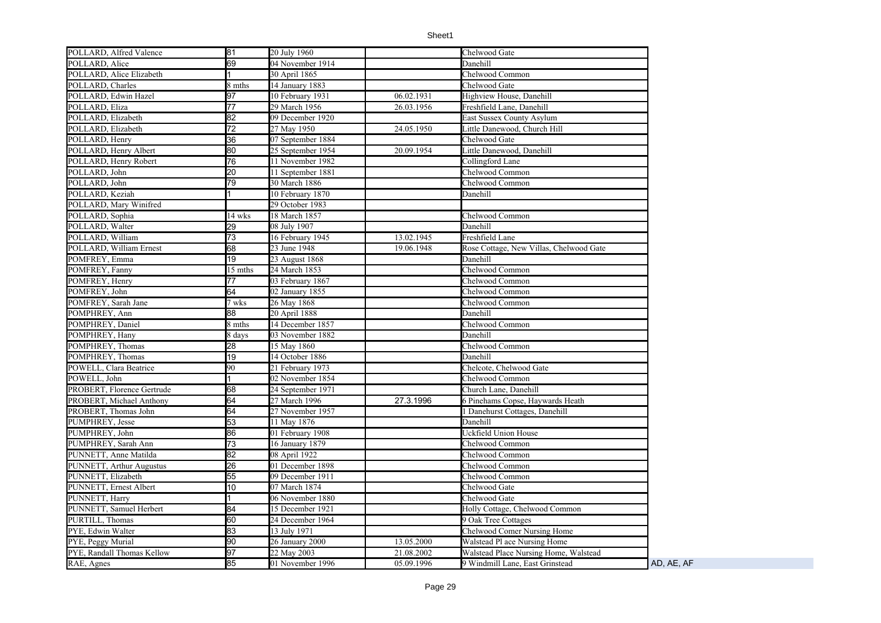| POLLARD, Alfred Valence    | 81              | 20 July 1960      |            | Chelwood Gate                           |            |
|----------------------------|-----------------|-------------------|------------|-----------------------------------------|------------|
| POLLARD, Alice             | 69              | 04 November 1914  |            | Danehill                                |            |
| POLLARD, Alice Elizabeth   |                 | 30 April 1865     |            | Chelwood Common                         |            |
| POLLARD, Charles           | 8 mths          | 14 January 1883   |            | Chelwood Gate                           |            |
| POLLARD, Edwin Hazel       | 97              | 10 February 1931  | 06.02.1931 | Highview House, Danehill                |            |
| POLLARD, Eliza             | 77              | 29 March 1956     | 26.03.1956 | Freshfield Lane, Danehill               |            |
| POLLARD, Elizabeth         | 82              | 09 December 1920  |            | East Sussex County Asylum               |            |
| POLLARD, Elizabeth         | $\overline{72}$ | 27 May 1950       | 24.05.1950 | Little Danewood, Church Hill            |            |
| POLLARD, Henry             | 36              | 07 September 1884 |            | Chelwood Gate                           |            |
| POLLARD, Henry Albert      | 80              | 25 September 1954 | 20.09.1954 | Little Danewood, Danehill               |            |
| POLLARD, Henry Robert      | 76              | 11 November 1982  |            | Collingford Lane                        |            |
| POLLARD, John              | 20              | 11 September 1881 |            | Chelwood Common                         |            |
| POLLARD, John              | 79              | 30 March 1886     |            | Chelwood Common                         |            |
| POLLARD, Keziah            |                 | 10 February 1870  |            | Danehill                                |            |
| POLLARD, Mary Winifred     |                 | 29 October 1983   |            |                                         |            |
| POLLARD, Sophia            | 14 wks          | 18 March 1857     |            | Chelwood Common                         |            |
| POLLARD, Walter            | 29              | 08 July 1907      |            | Danehill                                |            |
| POLLARD, William           | 73              | 16 February 1945  | 13.02.1945 | Freshfield Lane                         |            |
| POLLARD, William Ernest    | 68              | 23 June 1948      | 19.06.1948 | Rose Cottage, New Villas, Chelwood Gate |            |
| POMFREY, Emma              | 19              | 23 August 1868    |            | Danehill                                |            |
| POMFREY, Fanny             | 15 mths         | 24 March 1853     |            | Chelwood Common                         |            |
| POMFREY, Henry             | 77              | 03 February 1867  |            | Chelwood Common                         |            |
| POMFREY, John              | 64              | 02 January 1855   |            | Chelwood Common                         |            |
| POMFREY, Sarah Jane        | 7 wks           | 26 May 1868       |            | Chelwood Common                         |            |
| POMPHREY, Ann              | 88              | 20 April 1888     |            | Danehill                                |            |
| POMPHREY, Daniel           | 8 mths          | 14 December 1857  |            | Chelwood Common                         |            |
| POMPHREY, Hany             | 8 days          | 03 November 1882  |            | Danehill                                |            |
| POMPHREY, Thomas           | 28              | 15 May 1860       |            | Chelwood Common                         |            |
| POMPHREY, Thomas           | 19              | 14 October 1886   |            | Danehill                                |            |
| POWELL, Clara Beatrice     | 90              | 21 February 1973  |            | Chelcote, Chelwood Gate                 |            |
| POWELL, John               |                 | 02 November 1854  |            | Chelwood Common                         |            |
| PROBERT, Florence Gertrude | 68              | 24 September 1971 |            | Church Lane, Danehill                   |            |
| PROBERT, Michael Anthony   | 64              | 27 March 1996     | 27.3.1996  | 6 Pinehams Copse, Haywards Heath        |            |
| PROBERT, Thomas John       | 64              | 27 November 1957  |            | 1 Danehurst Cottages, Danehill          |            |
| PUMPHREY, Jesse            | 53              | 11 May 1876       |            | Danehill                                |            |
| PUMPHREY, John             | 86              | 01 February 1908  |            | Uckfield Union House                    |            |
| PUMPHREY, Sarah Ann        | 73              | 16 January 1879   |            | Chelwood Common                         |            |
| PUNNETT, Anne Matilda      | 82              | 08 April 1922     |            | Chelwood Common                         |            |
| PUNNETT, Arthur Augustus   | 26              | 01 December 1898  |            | Chelwood Common                         |            |
| PUNNETT, Elizabeth         | 55              | 09 December 1911  |            | Chelwood Common                         |            |
| PUNNETT, Ernest Albert     | 10              | 07 March 1874     |            | Chelwood Gate                           |            |
| PUNNETT, Harry             |                 | 06 November 1880  |            | Chelwood Gate                           |            |
| PUNNETT, Samuel Herbert    | 84              | 15 December 1921  |            | Holly Cottage, Chelwood Common          |            |
| PURTILL, Thomas            | 60              | 24 December 1964  |            | 9 Oak Tree Cottages                     |            |
| PYE, Edwin Walter          | 83              | 13 July 1971      |            | <b>Chelwood Comer Nursing Home</b>      |            |
| PYE, Peggy Murial          | 90              | 26 January 2000   | 13.05.2000 | Walstead Pl ace Nursing Home            |            |
| PYE, Randall Thomas Kellow | 97              | 22 May 2003       | 21.08.2002 | Walstead Place Nursing Home, Walstead   |            |
| RAE, Agnes                 | 85              | 01 November 1996  | 05.09.1996 | 9 Windmill Lane, East Grinstead         | AD, AE, AF |
|                            |                 |                   |            |                                         |            |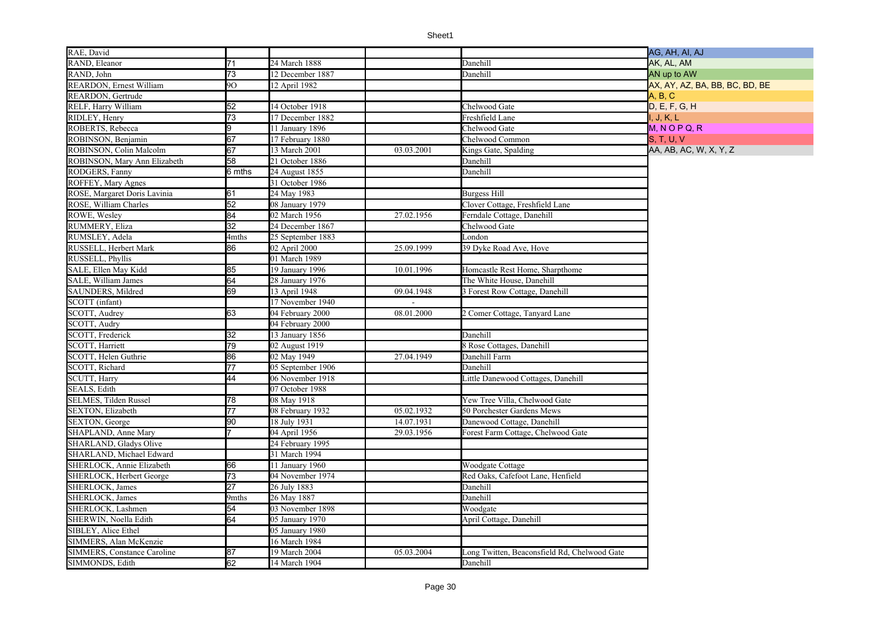| RAE, David                         |                  |                   |            |                                              | AG, AH, AI, AJ                 |
|------------------------------------|------------------|-------------------|------------|----------------------------------------------|--------------------------------|
| RAND, Eleanor                      | 71               | 24 March 1888     |            | Danehill                                     | AK, AL, AM                     |
| RAND, John                         | $\overline{73}$  | 12 December 1887  |            | Danehill                                     | AN up to AW                    |
| <b>REARDON, Ernest William</b>     | 90               | 12 April 1982     |            |                                              | AX, AY, AZ, BA, BB, BC, BD, BE |
| REARDON, Gertrude                  |                  |                   |            |                                              | A, B, C                        |
| RELF, Harry William                | 52               | 14 October 1918   |            | Chelwood Gate                                | D, E, F, G, H                  |
| RIDLEY, Henry                      | 73               | 17 December 1882  |            | Freshfield Lane                              | I, J, K, L                     |
| ROBERTS, Rebecca                   | g.               | 11 January 1896   |            | Chelwood Gate                                | $M, N$ O P Q, R                |
| ROBINSON, Benjamin                 | 67               | 17 February 1880  |            | Chelwood Common                              | <b>S. T. U. V</b>              |
| ROBINSON, Colin Malcolm            | 67               | 13 March 2001     | 03.03.2001 | Kings Gate, Spalding                         | AA, AB, AC, W, X, Y, Z         |
| ROBINSON, Mary Ann Elizabeth       | 58               | 21 October 1886   |            | Danehill                                     |                                |
| RODGERS, Fanny                     | 6 mths           | 24 August 1855    |            | Danehill                                     |                                |
| ROFFEY, Mary Agnes                 |                  | 31 October 1986   |            |                                              |                                |
| ROSE, Margaret Doris Lavinia       | 61               | 24 May 1983       |            | <b>Burgess Hill</b>                          |                                |
| ROSE, William Charles              | 52               | 08 January 1979   |            | Clover Cottage, Freshfield Lane              |                                |
| ROWE, Wesley                       | 84               | 02 March 1956     | 27.02.1956 | Ferndale Cottage, Danehill                   |                                |
| RUMMERY, Eliza                     | $32\overline{)}$ | 24 December 1867  |            | Chelwood Gate                                |                                |
| RUMSLEY, Adela                     | 4mths            | 25 September 1883 |            | London                                       |                                |
| RUSSELL, Herbert Mark              | 86               | 02 April 2000     | 25.09.1999 | 39 Dyke Road Ave, Hove                       |                                |
| RUSSELL, Phyllis                   |                  | 01 March 1989     |            |                                              |                                |
| SALE, Ellen May Kidd               | 85               | 19 January 1996   | 10.01.1996 | Homcastle Rest Home, Sharpthome              |                                |
| SALE, William James                | 64               | 28 January 1976   |            | The White House, Danehill                    |                                |
| SAUNDERS, Mildred                  | 69               | 13 April 1948     | 09.04.1948 | 3 Forest Row Cottage, Danehill               |                                |
| SCOTT (infant)                     |                  | 17 November 1940  |            |                                              |                                |
| SCOTT, Audrey                      | 63               | 04 February 2000  | 08.01.2000 | 2 Comer Cottage, Tanyard Lane                |                                |
| SCOTT, Audry                       |                  | 04 February 2000  |            |                                              |                                |
| SCOTT, Frederick                   | 32               | 13 January 1856   |            | Danehill                                     |                                |
| SCOTT, Harriett                    | 79               | 02 August 1919    |            | 8 Rose Cottages, Danehill                    |                                |
| SCOTT, Helen Guthrie               | 86               | 02 May 1949       | 27.04.1949 | Danehill Farm                                |                                |
| SCOTT, Richard                     | $\overline{77}$  | 05 September 1906 |            | Danehill                                     |                                |
| SCUTT, Harry                       | 44               | 06 November 1918  |            | Little Danewood Cottages, Danehill           |                                |
| <b>SEALS, Edith</b>                |                  | 07 October 1988   |            |                                              |                                |
| SELMES, Tilden Russel              | 78               | 08 May 1918       |            | Yew Tree Villa, Chelwood Gate                |                                |
| SEXTON, Elizabeth                  | 77               | 08 February 1932  | 05.02.1932 | 50 Porchester Gardens Mews                   |                                |
| SEXTON, George                     | 90               | 18 July 1931      | 14.07.1931 | Danewood Cottage, Danehill                   |                                |
| SHAPLAND, Anne Mary                |                  | 04 April 1956     | 29.03.1956 | Forest Farm Cottage, Chelwood Gate           |                                |
| SHARLAND, Gladys Olive             |                  | 24 February 1995  |            |                                              |                                |
| SHARLAND, Michael Edward           |                  | 31 March 1994     |            |                                              |                                |
| SHERLOCK, Annie Elizabeth          | 66               | 11 January 1960   |            | Woodgate Cottage                             |                                |
| SHERLOCK, Herbert George           | 73               | 04 November 1974  |            | Red Oaks, Cafefoot Lane, Henfield            |                                |
| <b>SHERLOCK, James</b>             | $\overline{27}$  | 26 July 1883      |            | Danehill                                     |                                |
| <b>SHERLOCK</b> , James            | 9mths            | 26 May 1887       |            | Danehill                                     |                                |
| SHERLOCK, Lashmen                  | 54               | 03 November 1898  |            | Woodgate                                     |                                |
| SHERWIN, Noella Edith              | 64               | 05 January 1970   |            | April Cottage, Danehill                      |                                |
| SIBLEY, Alice Ethel                |                  | 05 January 1980   |            |                                              |                                |
| SIMMERS, Alan McKenzie             |                  | 16 March 1984     |            |                                              |                                |
| <b>SIMMERS, Constance Caroline</b> | 87               | 19 March 2004     | 05.03.2004 | Long Twitten, Beaconsfield Rd, Chelwood Gate |                                |
| SIMMONDS, Edith                    | 62               | 14 March 1904     |            | Danehill                                     |                                |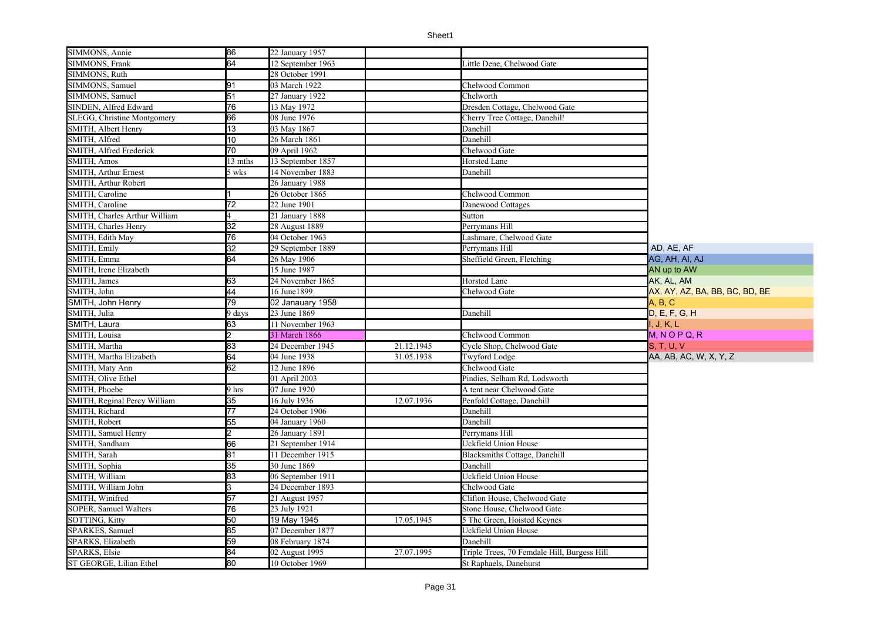| SIMMONS, Frank<br>12 September 1963<br>Little Dene, Chelwood Gate<br>SIMMONS, Ruth<br>28 October 1991<br>91<br>03 March 1922<br>Chelwood Common<br>SIMMONS, Samuel<br>51<br>SIMMONS, Samuel<br>27 January 1922<br>Chelworth<br>76<br>Dresden Cottage, Chelwood Gate<br>SINDEN, Alfred Edward<br>13 May 1972<br>66<br>SLEGG, Christine Montgomery<br>08 June 1976<br>Cherry Tree Cottage, Danehil!<br>13<br>SMITH, Albert Henry<br>03 May 1867<br>Danehill<br>10<br>SMITH, Alfred<br>26 March 1861<br>Danehill<br>70<br>SMITH, Alfred Frederick<br>09 April 1962<br>Chelwood Gate<br>SMITH, Amos<br>13 mths<br>13 September 1857<br>Horsted Lane<br><b>SMITH, Arthur Ernest</b><br>14 November 1883<br>Danehill<br>5 wks<br>SMITH, Arthur Robert<br>26 January 1988<br>SMITH, Caroline<br>Chelwood Common<br>26 October 1865<br>$\overline{72}$<br>SMITH, Caroline<br>22 June 1901<br>Danewood Cottages<br>SMITH, Charles Arthur William<br>21 January 1888<br>Sutton<br>32<br>Perrymans Hill<br>SMITH, Charles Henry<br>28 August 1889<br>76<br>04 October 1963<br>Lashmare, Chelwood Gate<br>SMITH, Edith May<br>$\overline{32}$<br>SMITH, Emily<br>29 September 1889<br>AD, AE, AF<br>Perrymans Hill<br>64<br>SMITH, Emma<br>Sheffield Green, Fletching<br>26 May 1906<br>AG, AH, AI, AJ<br>SMITH, Irene Elizabeth<br>15 June 1987<br>AN up to AW<br>SMITH, James<br>63<br>Horsted Lane<br>24 November 1865<br>AK, AL, AM<br>44<br>SMITH, John<br>AX, AY, AZ, BA, BB, BC, BD, BE<br>16 June1899<br>Chelwood Gate<br>79<br>SMITH, John Henry<br>02 Janauary 1958<br>A, B, C<br>23 June 1869<br>D, E, F, G, H<br>SMITH, Julia<br>Danehill<br>9 days<br>SMITH, Laura<br>63<br>11 November 1963<br>I., J., K., L<br>SMITH, Louisa<br>31 March 1866<br>Chelwood Common<br>$M, N$ O P Q, R<br>83<br>SMITH, Martha<br>24 December 1945<br>21.12.1945<br><b>S. T. U. V</b><br>Cycle Shop, Chelwood Gate<br>64<br>SMITH, Martha Elizabeth<br>04 June 1938<br>31.05.1938<br>Twyford Lodge<br>AA, AB, AC, W, X, Y, Z<br>62<br>SMITH, Maty Ann<br>12 June 1896<br>Chelwood Gate<br>SMITH, Olive Ethel<br>Pindies, Selham Rd, Lodsworth<br>01 April 2003<br>SMITH, Phoebe<br>07 June 1920<br>9 hrs<br>A tent near Chelwood Gate<br>$\overline{35}$<br>SMITH, Reginal Percy William<br>16 July 1936<br>12.07.1936<br>Penfold Cottage, Danehill<br>SMITH, Richard<br>77<br>24 October 1906<br>Danehill<br>SMITH, Robert<br>55<br>04 January 1960<br>Danehill<br>SMITH, Samuel Henry<br>Perrymans Hill<br>26 January 1891<br>66<br><b>Uckfield Union House</b><br>SMITH, Sandham<br>21 September 1914<br>$\overline{81}$<br>SMITH, Sarah<br><b>Blacksmiths Cottage, Danehill</b><br>11 December 1915<br>35<br>SMITH, Sophia<br>30 June 1869<br>Danehill<br>83<br>SMITH, William<br>06 September 1911<br>Uckfield Union House<br>SMITH, William John<br>З<br>24 December 1893<br>Chelwood Gate<br>57<br>Clifton House, Chelwood Gate<br>SMITH. Winifred<br>21 August 1957<br>SOPER, Samuel Walters<br>76<br>23 July 1921<br>Stone House, Chelwood Gate<br>SOTTING, Kitty<br>50<br>19 May 1945<br>17.05.1945<br>5 The Green, Hoisted Keynes<br>85<br>SPARKES, Samuel<br>07 December 1877<br>Uckfield Union House<br>59<br>SPARKS, Elizabeth<br>08 February 1874<br>Danehill<br>84<br>SPARKS, Elsie<br>27.07.1995<br>Triple Trees, 70 Femdale Hill, Burgess Hill<br>02 August 1995<br>80<br>ST GEORGE, Lilian Ethel<br>10 October 1969<br>St Raphaels, Danehurst | SIMMONS, Annie | 86              | 22 January 1957 |  |  |
|-------------------------------------------------------------------------------------------------------------------------------------------------------------------------------------------------------------------------------------------------------------------------------------------------------------------------------------------------------------------------------------------------------------------------------------------------------------------------------------------------------------------------------------------------------------------------------------------------------------------------------------------------------------------------------------------------------------------------------------------------------------------------------------------------------------------------------------------------------------------------------------------------------------------------------------------------------------------------------------------------------------------------------------------------------------------------------------------------------------------------------------------------------------------------------------------------------------------------------------------------------------------------------------------------------------------------------------------------------------------------------------------------------------------------------------------------------------------------------------------------------------------------------------------------------------------------------------------------------------------------------------------------------------------------------------------------------------------------------------------------------------------------------------------------------------------------------------------------------------------------------------------------------------------------------------------------------------------------------------------------------------------------------------------------------------------------------------------------------------------------------------------------------------------------------------------------------------------------------------------------------------------------------------------------------------------------------------------------------------------------------------------------------------------------------------------------------------------------------------------------------------------------------------------------------------------------------------------------------------------------------------------------------------------------------------------------------------------------------------------------------------------------------------------------------------------------------------------------------------------------------------------------------------------------------------------------------------------------------------------------------------------------------------------------------------------------------------------------------------------------------------------------------------------------------------------------------------------------------------------------------------------------------------------------------------------------------------------------------------------------------------------------------------------------------------------------|----------------|-----------------|-----------------|--|--|
|                                                                                                                                                                                                                                                                                                                                                                                                                                                                                                                                                                                                                                                                                                                                                                                                                                                                                                                                                                                                                                                                                                                                                                                                                                                                                                                                                                                                                                                                                                                                                                                                                                                                                                                                                                                                                                                                                                                                                                                                                                                                                                                                                                                                                                                                                                                                                                                                                                                                                                                                                                                                                                                                                                                                                                                                                                                                                                                                                                                                                                                                                                                                                                                                                                                                                                                                                                                                                                                 |                | $\overline{64}$ |                 |  |  |
|                                                                                                                                                                                                                                                                                                                                                                                                                                                                                                                                                                                                                                                                                                                                                                                                                                                                                                                                                                                                                                                                                                                                                                                                                                                                                                                                                                                                                                                                                                                                                                                                                                                                                                                                                                                                                                                                                                                                                                                                                                                                                                                                                                                                                                                                                                                                                                                                                                                                                                                                                                                                                                                                                                                                                                                                                                                                                                                                                                                                                                                                                                                                                                                                                                                                                                                                                                                                                                                 |                |                 |                 |  |  |
|                                                                                                                                                                                                                                                                                                                                                                                                                                                                                                                                                                                                                                                                                                                                                                                                                                                                                                                                                                                                                                                                                                                                                                                                                                                                                                                                                                                                                                                                                                                                                                                                                                                                                                                                                                                                                                                                                                                                                                                                                                                                                                                                                                                                                                                                                                                                                                                                                                                                                                                                                                                                                                                                                                                                                                                                                                                                                                                                                                                                                                                                                                                                                                                                                                                                                                                                                                                                                                                 |                |                 |                 |  |  |
|                                                                                                                                                                                                                                                                                                                                                                                                                                                                                                                                                                                                                                                                                                                                                                                                                                                                                                                                                                                                                                                                                                                                                                                                                                                                                                                                                                                                                                                                                                                                                                                                                                                                                                                                                                                                                                                                                                                                                                                                                                                                                                                                                                                                                                                                                                                                                                                                                                                                                                                                                                                                                                                                                                                                                                                                                                                                                                                                                                                                                                                                                                                                                                                                                                                                                                                                                                                                                                                 |                |                 |                 |  |  |
|                                                                                                                                                                                                                                                                                                                                                                                                                                                                                                                                                                                                                                                                                                                                                                                                                                                                                                                                                                                                                                                                                                                                                                                                                                                                                                                                                                                                                                                                                                                                                                                                                                                                                                                                                                                                                                                                                                                                                                                                                                                                                                                                                                                                                                                                                                                                                                                                                                                                                                                                                                                                                                                                                                                                                                                                                                                                                                                                                                                                                                                                                                                                                                                                                                                                                                                                                                                                                                                 |                |                 |                 |  |  |
|                                                                                                                                                                                                                                                                                                                                                                                                                                                                                                                                                                                                                                                                                                                                                                                                                                                                                                                                                                                                                                                                                                                                                                                                                                                                                                                                                                                                                                                                                                                                                                                                                                                                                                                                                                                                                                                                                                                                                                                                                                                                                                                                                                                                                                                                                                                                                                                                                                                                                                                                                                                                                                                                                                                                                                                                                                                                                                                                                                                                                                                                                                                                                                                                                                                                                                                                                                                                                                                 |                |                 |                 |  |  |
|                                                                                                                                                                                                                                                                                                                                                                                                                                                                                                                                                                                                                                                                                                                                                                                                                                                                                                                                                                                                                                                                                                                                                                                                                                                                                                                                                                                                                                                                                                                                                                                                                                                                                                                                                                                                                                                                                                                                                                                                                                                                                                                                                                                                                                                                                                                                                                                                                                                                                                                                                                                                                                                                                                                                                                                                                                                                                                                                                                                                                                                                                                                                                                                                                                                                                                                                                                                                                                                 |                |                 |                 |  |  |
|                                                                                                                                                                                                                                                                                                                                                                                                                                                                                                                                                                                                                                                                                                                                                                                                                                                                                                                                                                                                                                                                                                                                                                                                                                                                                                                                                                                                                                                                                                                                                                                                                                                                                                                                                                                                                                                                                                                                                                                                                                                                                                                                                                                                                                                                                                                                                                                                                                                                                                                                                                                                                                                                                                                                                                                                                                                                                                                                                                                                                                                                                                                                                                                                                                                                                                                                                                                                                                                 |                |                 |                 |  |  |
|                                                                                                                                                                                                                                                                                                                                                                                                                                                                                                                                                                                                                                                                                                                                                                                                                                                                                                                                                                                                                                                                                                                                                                                                                                                                                                                                                                                                                                                                                                                                                                                                                                                                                                                                                                                                                                                                                                                                                                                                                                                                                                                                                                                                                                                                                                                                                                                                                                                                                                                                                                                                                                                                                                                                                                                                                                                                                                                                                                                                                                                                                                                                                                                                                                                                                                                                                                                                                                                 |                |                 |                 |  |  |
|                                                                                                                                                                                                                                                                                                                                                                                                                                                                                                                                                                                                                                                                                                                                                                                                                                                                                                                                                                                                                                                                                                                                                                                                                                                                                                                                                                                                                                                                                                                                                                                                                                                                                                                                                                                                                                                                                                                                                                                                                                                                                                                                                                                                                                                                                                                                                                                                                                                                                                                                                                                                                                                                                                                                                                                                                                                                                                                                                                                                                                                                                                                                                                                                                                                                                                                                                                                                                                                 |                |                 |                 |  |  |
|                                                                                                                                                                                                                                                                                                                                                                                                                                                                                                                                                                                                                                                                                                                                                                                                                                                                                                                                                                                                                                                                                                                                                                                                                                                                                                                                                                                                                                                                                                                                                                                                                                                                                                                                                                                                                                                                                                                                                                                                                                                                                                                                                                                                                                                                                                                                                                                                                                                                                                                                                                                                                                                                                                                                                                                                                                                                                                                                                                                                                                                                                                                                                                                                                                                                                                                                                                                                                                                 |                |                 |                 |  |  |
|                                                                                                                                                                                                                                                                                                                                                                                                                                                                                                                                                                                                                                                                                                                                                                                                                                                                                                                                                                                                                                                                                                                                                                                                                                                                                                                                                                                                                                                                                                                                                                                                                                                                                                                                                                                                                                                                                                                                                                                                                                                                                                                                                                                                                                                                                                                                                                                                                                                                                                                                                                                                                                                                                                                                                                                                                                                                                                                                                                                                                                                                                                                                                                                                                                                                                                                                                                                                                                                 |                |                 |                 |  |  |
|                                                                                                                                                                                                                                                                                                                                                                                                                                                                                                                                                                                                                                                                                                                                                                                                                                                                                                                                                                                                                                                                                                                                                                                                                                                                                                                                                                                                                                                                                                                                                                                                                                                                                                                                                                                                                                                                                                                                                                                                                                                                                                                                                                                                                                                                                                                                                                                                                                                                                                                                                                                                                                                                                                                                                                                                                                                                                                                                                                                                                                                                                                                                                                                                                                                                                                                                                                                                                                                 |                |                 |                 |  |  |
|                                                                                                                                                                                                                                                                                                                                                                                                                                                                                                                                                                                                                                                                                                                                                                                                                                                                                                                                                                                                                                                                                                                                                                                                                                                                                                                                                                                                                                                                                                                                                                                                                                                                                                                                                                                                                                                                                                                                                                                                                                                                                                                                                                                                                                                                                                                                                                                                                                                                                                                                                                                                                                                                                                                                                                                                                                                                                                                                                                                                                                                                                                                                                                                                                                                                                                                                                                                                                                                 |                |                 |                 |  |  |
|                                                                                                                                                                                                                                                                                                                                                                                                                                                                                                                                                                                                                                                                                                                                                                                                                                                                                                                                                                                                                                                                                                                                                                                                                                                                                                                                                                                                                                                                                                                                                                                                                                                                                                                                                                                                                                                                                                                                                                                                                                                                                                                                                                                                                                                                                                                                                                                                                                                                                                                                                                                                                                                                                                                                                                                                                                                                                                                                                                                                                                                                                                                                                                                                                                                                                                                                                                                                                                                 |                |                 |                 |  |  |
|                                                                                                                                                                                                                                                                                                                                                                                                                                                                                                                                                                                                                                                                                                                                                                                                                                                                                                                                                                                                                                                                                                                                                                                                                                                                                                                                                                                                                                                                                                                                                                                                                                                                                                                                                                                                                                                                                                                                                                                                                                                                                                                                                                                                                                                                                                                                                                                                                                                                                                                                                                                                                                                                                                                                                                                                                                                                                                                                                                                                                                                                                                                                                                                                                                                                                                                                                                                                                                                 |                |                 |                 |  |  |
|                                                                                                                                                                                                                                                                                                                                                                                                                                                                                                                                                                                                                                                                                                                                                                                                                                                                                                                                                                                                                                                                                                                                                                                                                                                                                                                                                                                                                                                                                                                                                                                                                                                                                                                                                                                                                                                                                                                                                                                                                                                                                                                                                                                                                                                                                                                                                                                                                                                                                                                                                                                                                                                                                                                                                                                                                                                                                                                                                                                                                                                                                                                                                                                                                                                                                                                                                                                                                                                 |                |                 |                 |  |  |
|                                                                                                                                                                                                                                                                                                                                                                                                                                                                                                                                                                                                                                                                                                                                                                                                                                                                                                                                                                                                                                                                                                                                                                                                                                                                                                                                                                                                                                                                                                                                                                                                                                                                                                                                                                                                                                                                                                                                                                                                                                                                                                                                                                                                                                                                                                                                                                                                                                                                                                                                                                                                                                                                                                                                                                                                                                                                                                                                                                                                                                                                                                                                                                                                                                                                                                                                                                                                                                                 |                |                 |                 |  |  |
|                                                                                                                                                                                                                                                                                                                                                                                                                                                                                                                                                                                                                                                                                                                                                                                                                                                                                                                                                                                                                                                                                                                                                                                                                                                                                                                                                                                                                                                                                                                                                                                                                                                                                                                                                                                                                                                                                                                                                                                                                                                                                                                                                                                                                                                                                                                                                                                                                                                                                                                                                                                                                                                                                                                                                                                                                                                                                                                                                                                                                                                                                                                                                                                                                                                                                                                                                                                                                                                 |                |                 |                 |  |  |
|                                                                                                                                                                                                                                                                                                                                                                                                                                                                                                                                                                                                                                                                                                                                                                                                                                                                                                                                                                                                                                                                                                                                                                                                                                                                                                                                                                                                                                                                                                                                                                                                                                                                                                                                                                                                                                                                                                                                                                                                                                                                                                                                                                                                                                                                                                                                                                                                                                                                                                                                                                                                                                                                                                                                                                                                                                                                                                                                                                                                                                                                                                                                                                                                                                                                                                                                                                                                                                                 |                |                 |                 |  |  |
|                                                                                                                                                                                                                                                                                                                                                                                                                                                                                                                                                                                                                                                                                                                                                                                                                                                                                                                                                                                                                                                                                                                                                                                                                                                                                                                                                                                                                                                                                                                                                                                                                                                                                                                                                                                                                                                                                                                                                                                                                                                                                                                                                                                                                                                                                                                                                                                                                                                                                                                                                                                                                                                                                                                                                                                                                                                                                                                                                                                                                                                                                                                                                                                                                                                                                                                                                                                                                                                 |                |                 |                 |  |  |
|                                                                                                                                                                                                                                                                                                                                                                                                                                                                                                                                                                                                                                                                                                                                                                                                                                                                                                                                                                                                                                                                                                                                                                                                                                                                                                                                                                                                                                                                                                                                                                                                                                                                                                                                                                                                                                                                                                                                                                                                                                                                                                                                                                                                                                                                                                                                                                                                                                                                                                                                                                                                                                                                                                                                                                                                                                                                                                                                                                                                                                                                                                                                                                                                                                                                                                                                                                                                                                                 |                |                 |                 |  |  |
|                                                                                                                                                                                                                                                                                                                                                                                                                                                                                                                                                                                                                                                                                                                                                                                                                                                                                                                                                                                                                                                                                                                                                                                                                                                                                                                                                                                                                                                                                                                                                                                                                                                                                                                                                                                                                                                                                                                                                                                                                                                                                                                                                                                                                                                                                                                                                                                                                                                                                                                                                                                                                                                                                                                                                                                                                                                                                                                                                                                                                                                                                                                                                                                                                                                                                                                                                                                                                                                 |                |                 |                 |  |  |
|                                                                                                                                                                                                                                                                                                                                                                                                                                                                                                                                                                                                                                                                                                                                                                                                                                                                                                                                                                                                                                                                                                                                                                                                                                                                                                                                                                                                                                                                                                                                                                                                                                                                                                                                                                                                                                                                                                                                                                                                                                                                                                                                                                                                                                                                                                                                                                                                                                                                                                                                                                                                                                                                                                                                                                                                                                                                                                                                                                                                                                                                                                                                                                                                                                                                                                                                                                                                                                                 |                |                 |                 |  |  |
|                                                                                                                                                                                                                                                                                                                                                                                                                                                                                                                                                                                                                                                                                                                                                                                                                                                                                                                                                                                                                                                                                                                                                                                                                                                                                                                                                                                                                                                                                                                                                                                                                                                                                                                                                                                                                                                                                                                                                                                                                                                                                                                                                                                                                                                                                                                                                                                                                                                                                                                                                                                                                                                                                                                                                                                                                                                                                                                                                                                                                                                                                                                                                                                                                                                                                                                                                                                                                                                 |                |                 |                 |  |  |
|                                                                                                                                                                                                                                                                                                                                                                                                                                                                                                                                                                                                                                                                                                                                                                                                                                                                                                                                                                                                                                                                                                                                                                                                                                                                                                                                                                                                                                                                                                                                                                                                                                                                                                                                                                                                                                                                                                                                                                                                                                                                                                                                                                                                                                                                                                                                                                                                                                                                                                                                                                                                                                                                                                                                                                                                                                                                                                                                                                                                                                                                                                                                                                                                                                                                                                                                                                                                                                                 |                |                 |                 |  |  |
|                                                                                                                                                                                                                                                                                                                                                                                                                                                                                                                                                                                                                                                                                                                                                                                                                                                                                                                                                                                                                                                                                                                                                                                                                                                                                                                                                                                                                                                                                                                                                                                                                                                                                                                                                                                                                                                                                                                                                                                                                                                                                                                                                                                                                                                                                                                                                                                                                                                                                                                                                                                                                                                                                                                                                                                                                                                                                                                                                                                                                                                                                                                                                                                                                                                                                                                                                                                                                                                 |                |                 |                 |  |  |
|                                                                                                                                                                                                                                                                                                                                                                                                                                                                                                                                                                                                                                                                                                                                                                                                                                                                                                                                                                                                                                                                                                                                                                                                                                                                                                                                                                                                                                                                                                                                                                                                                                                                                                                                                                                                                                                                                                                                                                                                                                                                                                                                                                                                                                                                                                                                                                                                                                                                                                                                                                                                                                                                                                                                                                                                                                                                                                                                                                                                                                                                                                                                                                                                                                                                                                                                                                                                                                                 |                |                 |                 |  |  |
|                                                                                                                                                                                                                                                                                                                                                                                                                                                                                                                                                                                                                                                                                                                                                                                                                                                                                                                                                                                                                                                                                                                                                                                                                                                                                                                                                                                                                                                                                                                                                                                                                                                                                                                                                                                                                                                                                                                                                                                                                                                                                                                                                                                                                                                                                                                                                                                                                                                                                                                                                                                                                                                                                                                                                                                                                                                                                                                                                                                                                                                                                                                                                                                                                                                                                                                                                                                                                                                 |                |                 |                 |  |  |
|                                                                                                                                                                                                                                                                                                                                                                                                                                                                                                                                                                                                                                                                                                                                                                                                                                                                                                                                                                                                                                                                                                                                                                                                                                                                                                                                                                                                                                                                                                                                                                                                                                                                                                                                                                                                                                                                                                                                                                                                                                                                                                                                                                                                                                                                                                                                                                                                                                                                                                                                                                                                                                                                                                                                                                                                                                                                                                                                                                                                                                                                                                                                                                                                                                                                                                                                                                                                                                                 |                |                 |                 |  |  |
|                                                                                                                                                                                                                                                                                                                                                                                                                                                                                                                                                                                                                                                                                                                                                                                                                                                                                                                                                                                                                                                                                                                                                                                                                                                                                                                                                                                                                                                                                                                                                                                                                                                                                                                                                                                                                                                                                                                                                                                                                                                                                                                                                                                                                                                                                                                                                                                                                                                                                                                                                                                                                                                                                                                                                                                                                                                                                                                                                                                                                                                                                                                                                                                                                                                                                                                                                                                                                                                 |                |                 |                 |  |  |
|                                                                                                                                                                                                                                                                                                                                                                                                                                                                                                                                                                                                                                                                                                                                                                                                                                                                                                                                                                                                                                                                                                                                                                                                                                                                                                                                                                                                                                                                                                                                                                                                                                                                                                                                                                                                                                                                                                                                                                                                                                                                                                                                                                                                                                                                                                                                                                                                                                                                                                                                                                                                                                                                                                                                                                                                                                                                                                                                                                                                                                                                                                                                                                                                                                                                                                                                                                                                                                                 |                |                 |                 |  |  |
|                                                                                                                                                                                                                                                                                                                                                                                                                                                                                                                                                                                                                                                                                                                                                                                                                                                                                                                                                                                                                                                                                                                                                                                                                                                                                                                                                                                                                                                                                                                                                                                                                                                                                                                                                                                                                                                                                                                                                                                                                                                                                                                                                                                                                                                                                                                                                                                                                                                                                                                                                                                                                                                                                                                                                                                                                                                                                                                                                                                                                                                                                                                                                                                                                                                                                                                                                                                                                                                 |                |                 |                 |  |  |
|                                                                                                                                                                                                                                                                                                                                                                                                                                                                                                                                                                                                                                                                                                                                                                                                                                                                                                                                                                                                                                                                                                                                                                                                                                                                                                                                                                                                                                                                                                                                                                                                                                                                                                                                                                                                                                                                                                                                                                                                                                                                                                                                                                                                                                                                                                                                                                                                                                                                                                                                                                                                                                                                                                                                                                                                                                                                                                                                                                                                                                                                                                                                                                                                                                                                                                                                                                                                                                                 |                |                 |                 |  |  |
|                                                                                                                                                                                                                                                                                                                                                                                                                                                                                                                                                                                                                                                                                                                                                                                                                                                                                                                                                                                                                                                                                                                                                                                                                                                                                                                                                                                                                                                                                                                                                                                                                                                                                                                                                                                                                                                                                                                                                                                                                                                                                                                                                                                                                                                                                                                                                                                                                                                                                                                                                                                                                                                                                                                                                                                                                                                                                                                                                                                                                                                                                                                                                                                                                                                                                                                                                                                                                                                 |                |                 |                 |  |  |
|                                                                                                                                                                                                                                                                                                                                                                                                                                                                                                                                                                                                                                                                                                                                                                                                                                                                                                                                                                                                                                                                                                                                                                                                                                                                                                                                                                                                                                                                                                                                                                                                                                                                                                                                                                                                                                                                                                                                                                                                                                                                                                                                                                                                                                                                                                                                                                                                                                                                                                                                                                                                                                                                                                                                                                                                                                                                                                                                                                                                                                                                                                                                                                                                                                                                                                                                                                                                                                                 |                |                 |                 |  |  |
|                                                                                                                                                                                                                                                                                                                                                                                                                                                                                                                                                                                                                                                                                                                                                                                                                                                                                                                                                                                                                                                                                                                                                                                                                                                                                                                                                                                                                                                                                                                                                                                                                                                                                                                                                                                                                                                                                                                                                                                                                                                                                                                                                                                                                                                                                                                                                                                                                                                                                                                                                                                                                                                                                                                                                                                                                                                                                                                                                                                                                                                                                                                                                                                                                                                                                                                                                                                                                                                 |                |                 |                 |  |  |
|                                                                                                                                                                                                                                                                                                                                                                                                                                                                                                                                                                                                                                                                                                                                                                                                                                                                                                                                                                                                                                                                                                                                                                                                                                                                                                                                                                                                                                                                                                                                                                                                                                                                                                                                                                                                                                                                                                                                                                                                                                                                                                                                                                                                                                                                                                                                                                                                                                                                                                                                                                                                                                                                                                                                                                                                                                                                                                                                                                                                                                                                                                                                                                                                                                                                                                                                                                                                                                                 |                |                 |                 |  |  |
|                                                                                                                                                                                                                                                                                                                                                                                                                                                                                                                                                                                                                                                                                                                                                                                                                                                                                                                                                                                                                                                                                                                                                                                                                                                                                                                                                                                                                                                                                                                                                                                                                                                                                                                                                                                                                                                                                                                                                                                                                                                                                                                                                                                                                                                                                                                                                                                                                                                                                                                                                                                                                                                                                                                                                                                                                                                                                                                                                                                                                                                                                                                                                                                                                                                                                                                                                                                                                                                 |                |                 |                 |  |  |
|                                                                                                                                                                                                                                                                                                                                                                                                                                                                                                                                                                                                                                                                                                                                                                                                                                                                                                                                                                                                                                                                                                                                                                                                                                                                                                                                                                                                                                                                                                                                                                                                                                                                                                                                                                                                                                                                                                                                                                                                                                                                                                                                                                                                                                                                                                                                                                                                                                                                                                                                                                                                                                                                                                                                                                                                                                                                                                                                                                                                                                                                                                                                                                                                                                                                                                                                                                                                                                                 |                |                 |                 |  |  |
|                                                                                                                                                                                                                                                                                                                                                                                                                                                                                                                                                                                                                                                                                                                                                                                                                                                                                                                                                                                                                                                                                                                                                                                                                                                                                                                                                                                                                                                                                                                                                                                                                                                                                                                                                                                                                                                                                                                                                                                                                                                                                                                                                                                                                                                                                                                                                                                                                                                                                                                                                                                                                                                                                                                                                                                                                                                                                                                                                                                                                                                                                                                                                                                                                                                                                                                                                                                                                                                 |                |                 |                 |  |  |
|                                                                                                                                                                                                                                                                                                                                                                                                                                                                                                                                                                                                                                                                                                                                                                                                                                                                                                                                                                                                                                                                                                                                                                                                                                                                                                                                                                                                                                                                                                                                                                                                                                                                                                                                                                                                                                                                                                                                                                                                                                                                                                                                                                                                                                                                                                                                                                                                                                                                                                                                                                                                                                                                                                                                                                                                                                                                                                                                                                                                                                                                                                                                                                                                                                                                                                                                                                                                                                                 |                |                 |                 |  |  |
|                                                                                                                                                                                                                                                                                                                                                                                                                                                                                                                                                                                                                                                                                                                                                                                                                                                                                                                                                                                                                                                                                                                                                                                                                                                                                                                                                                                                                                                                                                                                                                                                                                                                                                                                                                                                                                                                                                                                                                                                                                                                                                                                                                                                                                                                                                                                                                                                                                                                                                                                                                                                                                                                                                                                                                                                                                                                                                                                                                                                                                                                                                                                                                                                                                                                                                                                                                                                                                                 |                |                 |                 |  |  |
|                                                                                                                                                                                                                                                                                                                                                                                                                                                                                                                                                                                                                                                                                                                                                                                                                                                                                                                                                                                                                                                                                                                                                                                                                                                                                                                                                                                                                                                                                                                                                                                                                                                                                                                                                                                                                                                                                                                                                                                                                                                                                                                                                                                                                                                                                                                                                                                                                                                                                                                                                                                                                                                                                                                                                                                                                                                                                                                                                                                                                                                                                                                                                                                                                                                                                                                                                                                                                                                 |                |                 |                 |  |  |
|                                                                                                                                                                                                                                                                                                                                                                                                                                                                                                                                                                                                                                                                                                                                                                                                                                                                                                                                                                                                                                                                                                                                                                                                                                                                                                                                                                                                                                                                                                                                                                                                                                                                                                                                                                                                                                                                                                                                                                                                                                                                                                                                                                                                                                                                                                                                                                                                                                                                                                                                                                                                                                                                                                                                                                                                                                                                                                                                                                                                                                                                                                                                                                                                                                                                                                                                                                                                                                                 |                |                 |                 |  |  |
|                                                                                                                                                                                                                                                                                                                                                                                                                                                                                                                                                                                                                                                                                                                                                                                                                                                                                                                                                                                                                                                                                                                                                                                                                                                                                                                                                                                                                                                                                                                                                                                                                                                                                                                                                                                                                                                                                                                                                                                                                                                                                                                                                                                                                                                                                                                                                                                                                                                                                                                                                                                                                                                                                                                                                                                                                                                                                                                                                                                                                                                                                                                                                                                                                                                                                                                                                                                                                                                 |                |                 |                 |  |  |
|                                                                                                                                                                                                                                                                                                                                                                                                                                                                                                                                                                                                                                                                                                                                                                                                                                                                                                                                                                                                                                                                                                                                                                                                                                                                                                                                                                                                                                                                                                                                                                                                                                                                                                                                                                                                                                                                                                                                                                                                                                                                                                                                                                                                                                                                                                                                                                                                                                                                                                                                                                                                                                                                                                                                                                                                                                                                                                                                                                                                                                                                                                                                                                                                                                                                                                                                                                                                                                                 |                |                 |                 |  |  |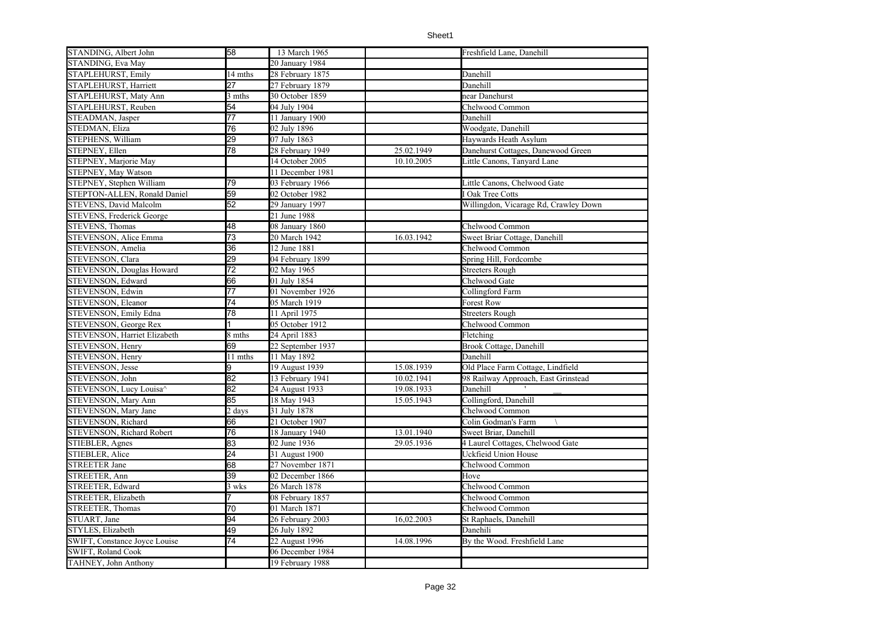| STANDING, Albert John            | 58              | 13 March 1965     |            | Freshfield Lane, Danehill             |
|----------------------------------|-----------------|-------------------|------------|---------------------------------------|
| STANDING, Eva May                |                 | 20 January 1984   |            |                                       |
| STAPLEHURST, Emily               | 14 mths         | 28 February 1875  |            | Danehill                              |
| STAPLEHURST, Harriett            | 27              | 27 February 1879  |            | Danehill                              |
| STAPLEHURST, Maty Ann            | 3 mths          | 30 October 1859   |            | near Danehurst                        |
| STAPLEHURST, Reuben              | 54              | 04 July 1904      |            | Chelwood Common                       |
| STEADMAN, Jasper                 | 77              | 11 January 1900   |            | Danehill                              |
| STEDMAN, Eliza                   | 76              | 02 July 1896      |            | Woodgate, Danehill                    |
| STEPHENS, William                | 29              | 07 July 1863      |            | Haywards Heath Asylum                 |
| STEPNEY, Ellen                   | 78              | 28 February 1949  | 25.02.1949 | Danehurst Cottages, Danewood Green    |
| STEPNEY, Marjorie May            |                 | 14 October 2005   | 10.10.2005 | Little Canons, Tanyard Lane           |
| STEPNEY, May Watson              |                 | 11 December 1981  |            |                                       |
| STEPNEY, Stephen William         | 79              | 03 February 1966  |            | Little Canons, Chelwood Gate          |
| STEPTON-ALLEN, Ronald Daniel     | 59              | 02 October 1982   |            | I Oak Tree Cotts                      |
| <b>STEVENS, David Malcolm</b>    | 52              | 29 January 1997   |            | Willingdon, Vicarage Rd, Crawley Down |
| STEVENS, Frederick George        |                 | 21 June 1988      |            |                                       |
| <b>STEVENS, Thomas</b>           | 48              | 08 January $1860$ |            | Chelwood Common                       |
| STEVENSON, Alice Emma            | 73              | 20 March 1942     | 16.03.1942 | Sweet Briar Cottage, Danehill         |
| STEVENSON, Amelia                | 36              | 12 June 1881      |            | Chelwood Common                       |
| STEVENSON, Clara                 | 29              | 04 February 1899  |            | Spring Hill, Fordcombe                |
| <b>STEVENSON, Douglas Howard</b> | 72              | 02 May 1965       |            | <b>Streeters Rough</b>                |
| STEVENSON, Edward                | 66              | 01 July 1854      |            | Chelwood Gate                         |
| STEVENSON, Edwin                 | $\overline{77}$ | 01 November 1926  |            | Collingford Farm                      |
| STEVENSON, Eleanor               | $\overline{74}$ | 05 March 1919     |            | <b>Forest Row</b>                     |
| STEVENSON, Emily Edna            | 78              | 11 April 1975     |            | <b>Streeters Rough</b>                |
| STEVENSON, George Rex            |                 | 05 October 1912   |            | Chelwood Common                       |
| STEVENSON, Harriet Elizabeth     | 8 mths          | 24 April 1883     |            | Fletching                             |
| STEVENSON, Henry                 | 69              | 22 September 1937 |            | <b>Brook Cottage</b> , Danehill       |
| STEVENSON, Henry                 | 11 mths         | 11 May 1892       |            | Danehill                              |
| <b>STEVENSON</b> , Jesse         | 9               | 19 August 1939    | 15.08.1939 | Old Place Farm Cottage, Lindfield     |
| STEVENSON, John                  | 82              | 13 February 1941  | 10.02.1941 | 98 Railway Approach, East Grinstead   |
| STEVENSON, Lucy Louisa^          | 82              | 24 August 1933    | 19.08.1933 | Danehill                              |
| <b>STEVENSON, Mary Ann</b>       | 85              | 18 May 1943       | 15.05.1943 | Collingford, Danehill                 |
| STEVENSON, Mary Jane             | 2 days          | 31 July 1878      |            | Chelwood Common                       |
| STEVENSON, Richard               | 66              | 21 October 1907   |            | Colin Godman's Farm                   |
| STEVENSON, Richard Robert        | 76              | 18 January 1940   | 13.01.1940 | Sweet Briar, Danehill                 |
| STIEBLER, Agnes                  | 83              | 02 June 1936      | 29.05.1936 | 4 Laurel Cottages, Chelwood Gate      |
| STIEBLER, Alice                  | 24              | 31 August 1900    |            | Uckfieid Union House                  |
| <b>STREETER Jane</b>             | 68              | 27 November 1871  |            | Chelwood Common                       |
| STREETER, Ann                    | 39              | 02 December 1866  |            | Hove                                  |
| STREETER, Edward                 | 3 wks           | 26 March 1878     |            | Chelwood Common                       |
| STREETER, Elizabeth              |                 | 08 February 1857  |            | Chelwood Common                       |
| STREETER, Thomas                 | 70              | 01 March 1871     |            | Chelwood Common                       |
| STUART, Jane                     | 94              | 26 February 2003  | 16,02.2003 | St Raphaels, Danehill                 |
| STYLES, Elizabeth                | 49              | 26 July 1892      |            | Danehili                              |
| SWIFT, Constance Joyce Louise    | 74              | 22 August 1996    | 14.08.1996 | By the Wood. Freshfield Lane          |
| SWIFT, Roland Cook               |                 | 06 December 1984  |            |                                       |
| TAHNEY, John Anthony             |                 | 19 February 1988  |            |                                       |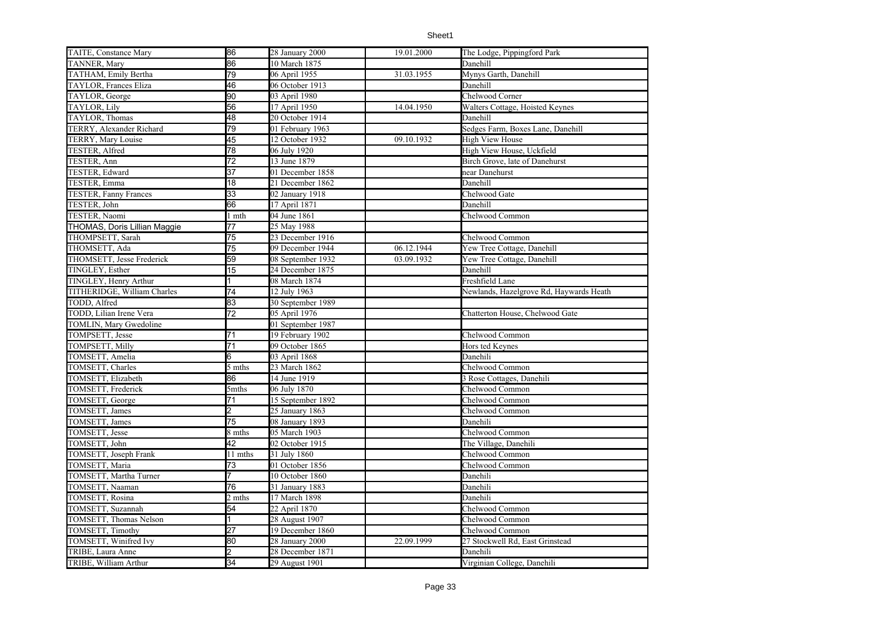| TAITE, Constance Mary        | 86              | 28 January 2000   | 19.01.2000 | The Lodge, Pippingford Park             |
|------------------------------|-----------------|-------------------|------------|-----------------------------------------|
| TANNER, Mary                 | 86              | 10 March 1875     |            | Danehill                                |
| TATHAM, Emily Bertha         | 79              | 06 April 1955     | 31.03.1955 | Mynys Garth, Danehill                   |
| <b>TAYLOR, Frances Eliza</b> | 46              | 06 October 1913   |            | Danehill                                |
| TAYLOR, George               | 90              | 03 April 1980     |            | Chelwood Corner                         |
| TAYLOR, Lily                 | 56              | 17 April 1950     | 14.04.1950 | Walters Cottage, Hoisted Keynes         |
| <b>TAYLOR.</b> Thomas        | 48              | 20 October 1914   |            | Danehill                                |
| TERRY, Alexander Richard     | 79              | 01 February 1963  |            | Sedges Farm, Boxes Lane, Danehill       |
| TERRY, Mary Louise           | 45              | 12 October 1932   | 09.10.1932 | <b>High View House</b>                  |
| TESTER, Alfred               | 78              | 06 July 1920      |            | High View House, Uckfield               |
| TESTER, Ann                  | 72              | 13 June 1879      |            | Birch Grove, late of Danehurst          |
| <b>TESTER, Edward</b>        | 37              | 01 December 1858  |            | near Danehurst                          |
| TESTER, Emma                 | 18              | 21 December 1862  |            | Danehill                                |
| <b>TESTER, Fanny Frances</b> | $\overline{33}$ | 02 January 1918   |            | Chelwood Gate                           |
| TESTER, John                 | 66              | 17 April 1871     |            | Danehill                                |
| TESTER, Naomi                | l mth           | 04 June 1861      |            | Chelwood Common                         |
| THOMAS, Doris Lillian Maggie | 77              | 25 May 1988       |            |                                         |
| THOMPSETT, Sarah             | 75              | 23 December 1916  |            | Chelwood Common                         |
| THOMSETT, Ada                | 75              | 09 December 1944  | 06.12.1944 | Yew Tree Cottage, Danehill              |
| THOMSETT, Jesse Frederick    | 59              | 08 September 1932 | 03.09.1932 | Yew Tree Cottage, Danehill              |
| TINGLEY, Esther              | 15              | 24 December 1875  |            | Danehill                                |
| TINGLEY, Henry Arthur        | 1               | 08 March 1874     |            | Freshfield Lane                         |
| TITHERIDGE, William Charles  | 74              | 12 July 1963      |            | Newlands, Hazelgrove Rd, Haywards Heath |
| TODD, Alfred                 | 83              | 30 September 1989 |            |                                         |
| TODD, Lilian Irene Vera      | $\overline{72}$ | 05 April 1976     |            | Chatterton House, Chelwood Gate         |
| TOMLIN, Mary Gwedoline       |                 | 01 September 1987 |            |                                         |
| TOMPSETT, Jesse              | 71              | 19 February 1902  |            | Chelwood Common                         |
| TOMPSETT, Milly              | 71              | 09 October 1865   |            | Hors ted Keynes                         |
| TOMSETT, Amelia              | 6               | 03 April 1868     |            | Danehili                                |
| TOMSETT, Charles             | 5 mths          | 23 March 1862     |            | Chelwood Common                         |
| TOMSETT, Elizabeth           | 86              | 14 June 1919      |            | 3 Rose Cottages, Danehili               |
| TOMSETT, Frederick           | 5mths           | 06 July 1870      |            | Chelwood Common                         |
| TOMSETT, George              | 71              | 15 September 1892 |            | Chelwood Common                         |
| TOMSETT, James               | 2               | 25 January 1863   |            | Chelwood Common                         |
| TOMSETT, James               | 75              | 08 January 1893   |            | Danehili                                |
| TOMSETT, Jesse               | 8 mths          | 05 March 1903     |            | Chelwood Common                         |
| TOMSETT, John                | 42              | 02 October 1915   |            | The Village, Danehili                   |
| TOMSETT, Joseph Frank        | 11 mths         | 31 July 1860      |            | Chelwood Common                         |
| TOMSETT, Maria               | 73              | 01 October 1856   |            | Chelwood Common                         |
| TOMSETT, Martha Turner       |                 | 10 October 1860   |            | Danehili                                |
| TOMSETT, Naaman              | 76              | 31 January 1883   |            | Danehili                                |
| TOMSETT, Rosina              | 2 mths          | 17 March 1898     |            | Danehili                                |
| TOMSETT, Suzannah            | 54              | 22 April 1870     |            | Chelwood Common                         |
| TOMSETT, Thomas Nelson       |                 | 28 August 1907    |            | Chelwood Common                         |
| TOMSETT, Timothy             | 27              | 19 December 1860  |            | Chelwood Common                         |
| TOMSETT, Winifred Ivy        | 80              | 28 January 2000   | 22.09.1999 | 27 Stockwell Rd, East Grinstead         |
| TRIBE, Laura Anne            |                 | 28 December 1871  |            | Danehili                                |
| TRIBE, William Arthur        | 34              | 29 August 1901    |            | Virginian College, Danehili             |
|                              |                 |                   |            |                                         |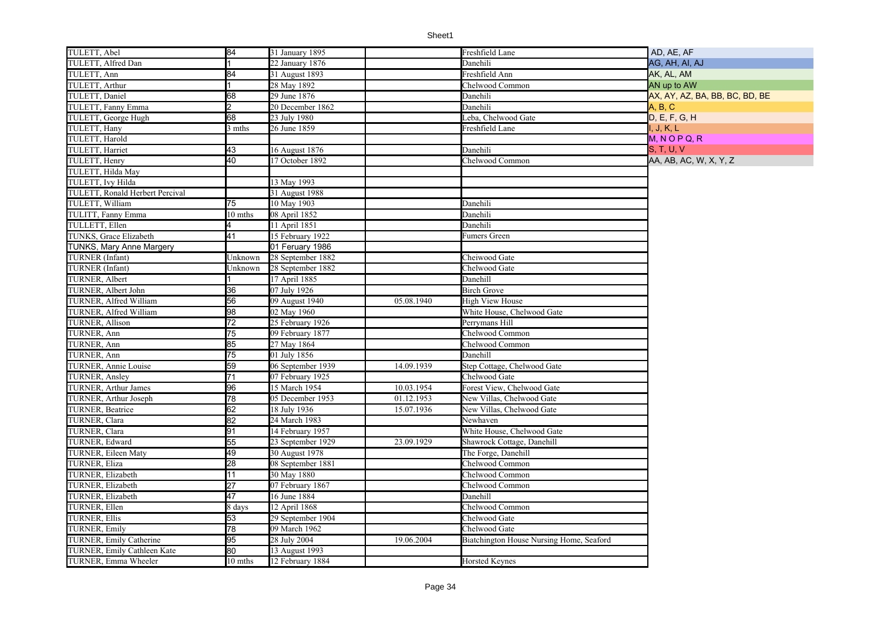| TULETT, Abel                    | 84              | 31 January 1895   |            | Freshfield Lane                          | AD, AE, AF                     |
|---------------------------------|-----------------|-------------------|------------|------------------------------------------|--------------------------------|
| TULETT, Alfred Dan              |                 | 22 January 1876   |            | Danehili                                 | AG, AH, AI, AJ                 |
| TULETT, Ann                     | 84              | 31 August 1893    |            | Freshfield Ann                           | AK, AL, AM                     |
| TULETT, Arthur                  |                 | 28 May 1892       |            | Chelwood Common                          | AN up to AW                    |
| TULETT, Daniel                  | 68              | 29 June 1876      |            | Danehili                                 | AX, AY, AZ, BA, BB, BC, BD, BE |
| TULETT, Fanny Emma              | 2               | 20 December 1862  |            | Danehili                                 | A. B. C                        |
| TULETT, George Hugh             | 68              | 23 July 1980      |            | Leba, Chelwood Gate                      | D, E, F, G, H                  |
| TULETT, Hany                    | 3 mths          | 26 June 1859      |            | Freshfield Lane                          | I, J, K, L                     |
| TULETT, Harold                  |                 |                   |            |                                          | $M, N$ O P Q, R                |
| TULETT, Harriet                 | 43              | 16 August 1876    |            | Danehili                                 | <b>S. T. U. V.</b>             |
| TULETT, Henry                   | 40              | 17 October 1892   |            | Chelwood Common                          | AA, AB, AC, W, X, Y, Z         |
| TULETT, Hilda May               |                 |                   |            |                                          |                                |
| TULETT, Ivy Hilda               |                 | 13 May 1993       |            |                                          |                                |
| TULETT, Ronald Herbert Percival |                 | 31 August 1988    |            |                                          |                                |
| TULETT, William                 | 75              | 10 May 1903       |            | Danehili                                 |                                |
| TULITT, Fanny Emma              | 10 mths         | 08 April 1852     |            | Danehili                                 |                                |
| TULLETT, Ellen                  |                 | 11 April 1851     |            | Danehili                                 |                                |
| TUNKS, Grace Elizabeth          | 41              | 15 February 1922  |            | Fumers Green                             |                                |
| <b>TUNKS, Mary Anne Margery</b> |                 | 01 Feruary 1986   |            |                                          |                                |
| <b>TURNER</b> (Infant)          | Unknown         | 28 September 1882 |            | Cheiwood Gate                            |                                |
| TURNER (Infant)                 | Unknown         | 28 September 1882 |            | Chelwood Gate                            |                                |
| TURNER, Albert                  |                 | 17 April 1885     |            | Danehill                                 |                                |
| TURNER, Albert John             | 36              | 07 July 1926      |            | <b>Birch Grove</b>                       |                                |
| TURNER, Alfred William          | 56              | 09 August 1940    | 05.08.1940 | <b>High View House</b>                   |                                |
| TURNER, Alfred William          | 98              | 02 May 1960       |            | White House, Chelwood Gate               |                                |
| <b>TURNER, Allison</b>          | 72              | 25 February 1926  |            | Perrymans Hill                           |                                |
| TURNER, Ann                     | 75              | 09 February 1877  |            | Chelwood Common                          |                                |
| TURNER, Ann                     | 85              | 27 May 1864       |            | Chelwood Common                          |                                |
| TURNER, Ann                     | 75              | 01 July 1856      |            | Danehill                                 |                                |
| <b>TURNER, Annie Louise</b>     | 59              | 06 September 1939 | 14.09.1939 | Step Cottage, Chelwood Gate              |                                |
| <b>TURNER, Ansley</b>           | 71              | 07 February 1925  |            | Chelwood Gate                            |                                |
| <b>TURNER, Arthur James</b>     | 96              | 15 March 1954     | 10.03.1954 | Forest View, Chelwood Gate               |                                |
| TURNER, Arthur Joseph           | $\overline{78}$ | 05 December 1953  | 01.12.1953 | New Villas, Chelwood Gate                |                                |
| TURNER, Beatrice                | 62              | 18 July 1936      | 15.07.1936 | New Villas, Chelwood Gate                |                                |
| TURNER, Clara                   | 82              | 24 March 1983     |            | Newhaven                                 |                                |
| TURNER, Clara                   | 91              | 14 February 1957  |            | White House, Chelwood Gate               |                                |
| TURNER, Edward                  | 55              | 23 September 1929 | 23.09.1929 | Shawrock Cottage, Danehill               |                                |
| TURNER, Eileen Maty             | 49              | 30 August 1978    |            | The Forge, Danehill                      |                                |
| TURNER, Eliza                   | 28              | 08 September 1881 |            | Chelwood Common                          |                                |
| TURNER, Elizabeth               | $\overline{11}$ | 30 May 1880       |            | Chelwood Common                          |                                |
| TURNER, Elizabeth               | 27              | 07 February 1867  |            | Chelwood Common                          |                                |
| TURNER, Elizabeth               | 47              | 16 June 1884      |            | Danehill                                 |                                |
| TURNER, Ellen                   | 8 days          | 12 April 1868     |            | Chelwood Common                          |                                |
| <b>TURNER, Ellis</b>            | 53              | 29 September 1904 |            | Chelwood Gate                            |                                |
| <b>TURNER, Emily</b>            | 78              | 09 March 1962     |            | Chelwood Gate                            |                                |
| TURNER, Emily Catherine         | 95              | 28 July 2004      | 19.06.2004 | Biatchington House Nursing Home, Seaford |                                |
| TURNER, Emily Cathleen Kate     | 80              | 13 August 1993    |            |                                          |                                |
| TURNER, Emma Wheeler            | 10 mths         | 12 February 1884  |            | <b>Horsted Keynes</b>                    |                                |
|                                 |                 |                   |            |                                          |                                |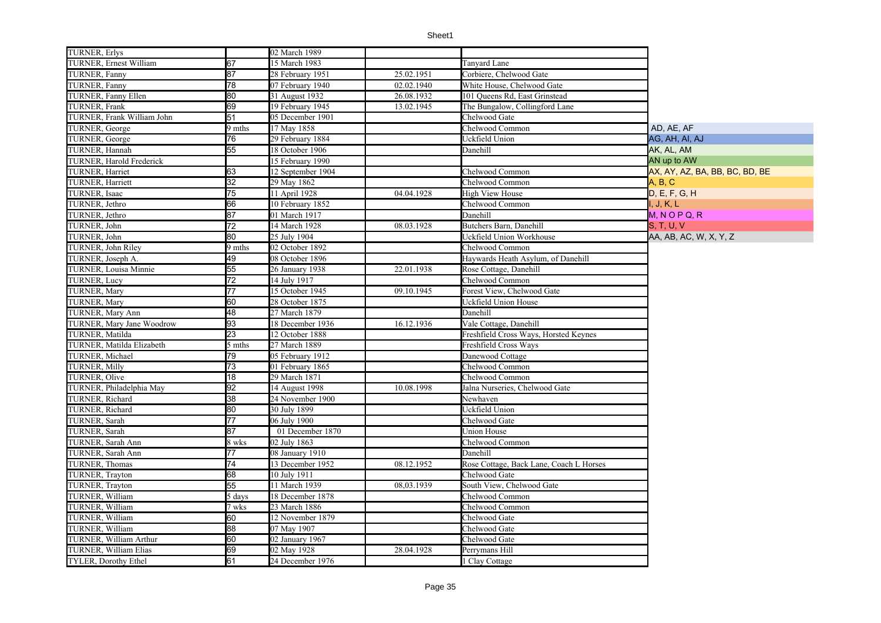| <b>TURNER, Erlys</b>            |                 | 02 March 1989     |            |                                         |                                |
|---------------------------------|-----------------|-------------------|------------|-----------------------------------------|--------------------------------|
| <b>TURNER, Ernest William</b>   | 67              | 15 March 1983     |            | Tanyard Lane                            |                                |
| TURNER, Fanny                   | 87              | 28 February 1951  | 25.02.1951 | Corbiere, Chelwood Gate                 |                                |
| TURNER, Fanny                   | 78              | 07 February 1940  | 02.02.1940 | White House, Chelwood Gate              |                                |
| TURNER, Fanny Ellen             | 80              | 31 August 1932    | 26.08.1932 | 101 Queens Rd, East Grinstead           |                                |
| TURNER, Frank                   | 69              | 19 February 1945  | 13.02.1945 | The Bungalow, Collingford Lane          |                                |
| TURNER, Frank William John      | 51              | 05 December 1901  |            | Chelwood Gate                           |                                |
| TURNER, George                  | 9 mths          | 17 May 1858       |            | Chelwood Common                         | AD. AE. AF                     |
| TURNER, George                  | 76              | 29 February 1884  |            | Uckfield Union                          | AG, AH, AI, AJ                 |
| TURNER, Hannah                  | 55              | 18 October 1906   |            | Danehill                                | AK, AL, AM                     |
| <b>TURNER.</b> Harold Frederick |                 | 15 February 1990  |            |                                         | AN up to AW                    |
| TURNER, Harriet                 | 63              | 12 September 1904 |            | Chelwood Common                         | AX, AY, AZ, BA, BB, BC, BD, BE |
| <b>TURNER, Harriett</b>         | $\overline{32}$ | 29 May 1862       |            | Chelwood Common                         | A, B, C                        |
| TURNER, Isaac                   | 75              | 11 April 1928     | 04.04.1928 | High View House                         | D, E, F, G, H                  |
| TURNER, Jethro                  | 66              | 10 February 1852  |            | Chelwood Common                         | I. J. K. L                     |
| TURNER, Jethro                  | 87              | 01 March 1917     |            | Danehill                                | $M, N$ O P Q, R                |
| TURNER, John                    | 72              | 14 March 1928     | 08.03.1928 | Butchers Barn, Danehill                 | <b>S. T. U. V</b>              |
| TURNER, John                    | 80              | 25 July 1904      |            | Uckfield Union Workhouse                | AA, AB, AC, W, X, Y, Z         |
| TURNER, John Riley              | 9 mths          | 02 October 1892   |            | Chelwood Common                         |                                |
| TURNER. Joseph A.               | 49              | 08 October 1896   |            | Haywards Heath Asylum, of Danehill      |                                |
| TURNER, Louisa Minnie           | 55              | 26 January 1938   | 22.01.1938 | Rose Cottage, Danehill                  |                                |
| <b>TURNER, Lucy</b>             | $\overline{72}$ | 14 July 1917      |            | Chelwood Common                         |                                |
| <b>TURNER, Mary</b>             | $\overline{77}$ | 15 October 1945   | 09.10.1945 | Forest View, Chelwood Gate              |                                |
| <b>TURNER, Mary</b>             | 60              | 28 October 1875   |            | Uckfield Union House                    |                                |
| TURNER, Mary Ann                | 48              | 27 March 1879     |            | Danehill                                |                                |
| TURNER, Mary Jane Woodrow       | 93              | 18 December 1936  | 16.12.1936 | Vale Cottage, Danehill                  |                                |
| TURNER, Matilda                 | 23              | 12 October 1888   |            | Freshfield Cross Ways, Horsted Keynes   |                                |
| TURNER, Matilda Elizabeth       | 5 mths          | 27 March 1889     |            | Freshfield Cross Ways                   |                                |
| TURNER, Michael                 | 79              | 05 February 1912  |            | Danewood Cottage                        |                                |
| <b>TURNER, Milly</b>            | 73              | 01 February 1865  |            | Chelwood Common                         |                                |
| TURNER, Olive                   | $\overline{18}$ | 29 March 1871     |            | Chelwood Common                         |                                |
| TURNER, Philadelphia May        | 92              | 14 August 1998    | 10.08.1998 | Jalna Nurseries, Chelwood Gate          |                                |
| TURNER, Richard                 | 38              | 24 November 1900  |            | Newhaven                                |                                |
| TURNER, Richard                 | 80              | 30 July 1899      |            | Uckfield Union                          |                                |
| TURNER, Sarah                   | $\overline{77}$ | 06 July 1900      |            | Chelwood Gate                           |                                |
| TURNER, Sarah                   | 87              | 01 December 1870  |            | Union House                             |                                |
| TURNER, Sarah Ann               | 8 wks           | 02 July 1863      |            | Chelwood Common                         |                                |
| TURNER, Sarah Ann               | 77              | 08 January 1910   |            | Danehill                                |                                |
| TURNER, Thomas                  | 74              | 13 December 1952  | 08.12.1952 | Rose Cottage, Back Lane, Coach L Horses |                                |
| TURNER, Trayton                 | 68              | 10 July 1911      |            | Chelwood Gate                           |                                |
| TURNER, Trayton                 | 55              | 11 March 1939     | 08,03.1939 | South View, Chelwood Gate               |                                |
| TURNER, William                 | 5 days          | 18 December 1878  |            | Chelwood Common                         |                                |
| TURNER, William                 | 7 wks           | 23 March 1886     |            | Chelwood Common                         |                                |
| TURNER, William                 | 60              | 12 November 1879  |            | Chelwood Gate                           |                                |
| TURNER, William                 | 88              | 07 May 1907       |            | Chelwood Gate                           |                                |
| TURNER, William Arthur          | 60              | 02 January 1967   |            | Chelwood Gate                           |                                |
| TURNER, William Elias           | 69              | 02 May 1928       | 28.04.1928 | Perrymans Hill                          |                                |
| TYLER, Dorothy Ethel            | 61              | 24 December 1976  |            | 1 Clay Cottage                          |                                |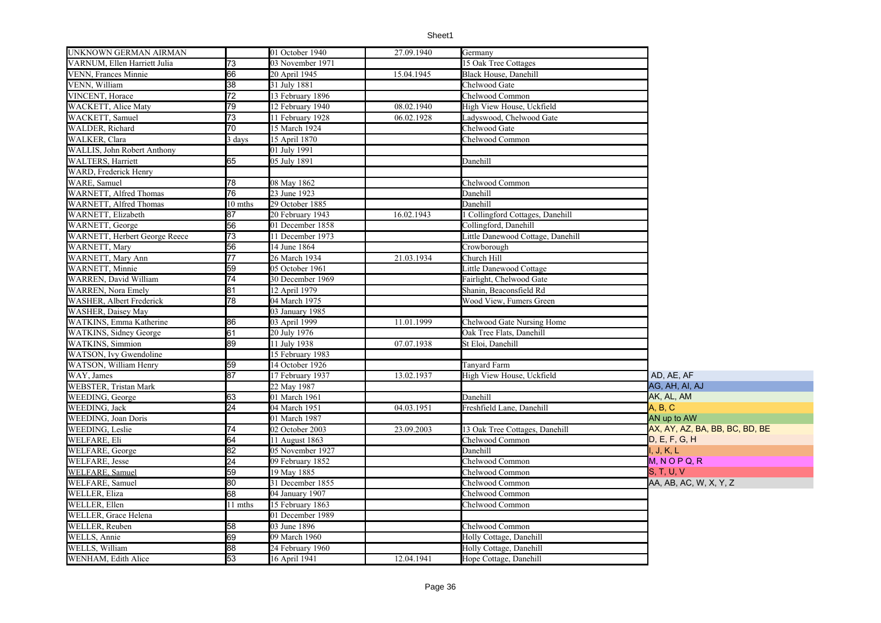| UNKNOWN GERMAN AIRMAN          |                 | 01 October $19\overline{40}$ | 27.09.1940 | Germany                           |                                |
|--------------------------------|-----------------|------------------------------|------------|-----------------------------------|--------------------------------|
| VARNUM, Ellen Harriett Julia   | 73              | 03 November 1971             |            | 15 Oak Tree Cottages              |                                |
| VENN, Frances Minnie           | 66              | 20 April 1945                | 15.04.1945 | Black House, Danehill             |                                |
| VENN, William                  | 38              | 31 July 1881                 |            | Chelwood Gate                     |                                |
| VINCENT, Horace                | 72              | 13 February 1896             |            | Chelwood Common                   |                                |
| WACKETT, Alice Maty            | 79              | 12 February 1940             | 08.02.1940 | High View House, Uckfield         |                                |
| WACKETT, Samuel                | 73              | 11 February 1928             | 06.02.1928 | Ladyswood, Chelwood Gate          |                                |
| WALDER, Richard                | 70              | 15 March 1924                |            | Chelwood Gate                     |                                |
| WALKER, Clara                  | days            | 15 April 1870                |            | Chelwood Common                   |                                |
| WALLIS, John Robert Anthony    |                 | 01 July 1991                 |            |                                   |                                |
| <b>WALTERS, Harriett</b>       | 65              | 05 July 1891                 |            | Danehill                          |                                |
| WARD, Frederick Henry          |                 |                              |            |                                   |                                |
| WARE, Samuel                   | 78              | 08 May 1862                  |            | Chelwood Common                   |                                |
| WARNETT, Alfred Thomas         | 76              | 23 June 1923                 |            | Danehill                          |                                |
| WARNETT, Alfred Thomas         | 10 mths         | 29 October 1885              |            | Danehill                          |                                |
| WARNETT, Elizabeth             | 87              | 20 February 1943             | 16.02.1943 | l Collingford Cottages, Danehill  |                                |
| <b>WARNETT, George</b>         | 56              | 01 December 1858             |            | Collingford, Danehill             |                                |
| WARNETT, Herbert George Reece  | 73              | 11 December 1973             |            | Little Danewood Cottage, Danehill |                                |
| <b>WARNETT, Mary</b>           | 56              | 14 June 1864                 |            | Crowborough                       |                                |
| WARNETT, Mary Ann              | $\overline{77}$ | 26 March 1934                | 21.03.1934 | Church Hill                       |                                |
| WARNETT, Minnie                | 59              | 05 October 1961              |            | Little Danewood Cottage           |                                |
| WARREN, David William          | 74              | 30 December 1969             |            | Fairlight, Chelwood Gate          |                                |
| <b>WARREN</b> , Nora Emely     | 81              | 12 April 1979                |            | Shanin, Beaconsfield Rd           |                                |
| WASHER, Albert Frederick       | 78              | 04 March 1975                |            | Wood View, Fumers Green           |                                |
| WASHER, Daisey May             |                 | 03 January 1985              |            |                                   |                                |
| WATKINS, Emma Katherine        | 86              | 03 April 1999                | 11.01.1999 | Chelwood Gate Nursing Home        |                                |
| <b>WATKINS</b> , Sidney George | 61              | 20 July 1976                 |            | Oak Tree Flats, Danehill          |                                |
| <b>WATKINS</b> , Simmion       | 89              | 11 July 1938                 | 07.07.1938 | St Eloi, Danehill                 |                                |
| WATSON, Ivy Gwendoline         |                 | 15 February 1983             |            |                                   |                                |
| WATSON, William Henry          | 59              | 14 October 1926              |            | Tanyard Farm                      |                                |
| WAY, James                     | 87              | 17 February 1937             | 13.02.1937 | High View House, Uckfield         | AD, AE, AF                     |
| <b>WEBSTER, Tristan Mark</b>   |                 | 22 May 1987                  |            |                                   | AG, AH, AI, AJ                 |
| WEEDING, George                | 63              | 01 March 1961                |            | Danehill                          | AK, AL, AM                     |
| WEEDING, Jack                  | 24              | 04 March 1951                | 04.03.1951 | Freshfield Lane, Danehill         | A, B, C                        |
| <b>WEEDING, Joan Doris</b>     |                 | 01 March 1987                |            |                                   | AN up to AW                    |
| WEEDING, Leslie                | 74              | 02 October 2003              | 23.09.2003 | 13 Oak Tree Cottages, Danehill    | AX, AY, AZ, BA, BB, BC, BD, BE |
| WELFARE, Eli                   | 64              | 11 August 1863               |            | Chelwood Common                   | D. E. F. G. H                  |
| WELFARE, George                | 82              | 05 November 1927             |            | Danehill                          | I, J, K, L                     |
| <b>WELFARE, Jesse</b>          | $\overline{24}$ | 09 February 1852             |            | Chelwood Common                   | $M, N$ O P Q, R                |
| WELFARE, Samuel                | 59              | 19 May 1885                  |            | Chelwood Common                   | S, T, U, V                     |
| WELFARE, Samuel                | 80              | 31 December 1855             |            | Chelwood Common                   | AA, AB, AC, W, X, Y, Z         |
| <b>WELLER, Eliza</b>           | 68              | 04 January 1907              |            | Chelwood Common                   |                                |
| WELLER, Ellen                  | 11 mths         | 15 February 1863             |            | Chelwood Common                   |                                |
| WELLER, Grace Helena           |                 | 01 December 1989             |            |                                   |                                |
| WELLER, Reuben                 | 58              | 03 June 1896                 |            | Chelwood Common                   |                                |
| WELLS, Annie                   | 69              | 09 March 1960                |            | Holly Cottage, Danehill           |                                |
| WELLS, William                 | 88              | 24 February 1960             |            | Holly Cottage, Danehill           |                                |
| WENHAM, Edith Alice            | 53              | 16 April 1941                | 12.04.1941 | Hope Cottage, Danehill            |                                |
|                                |                 |                              |            |                                   |                                |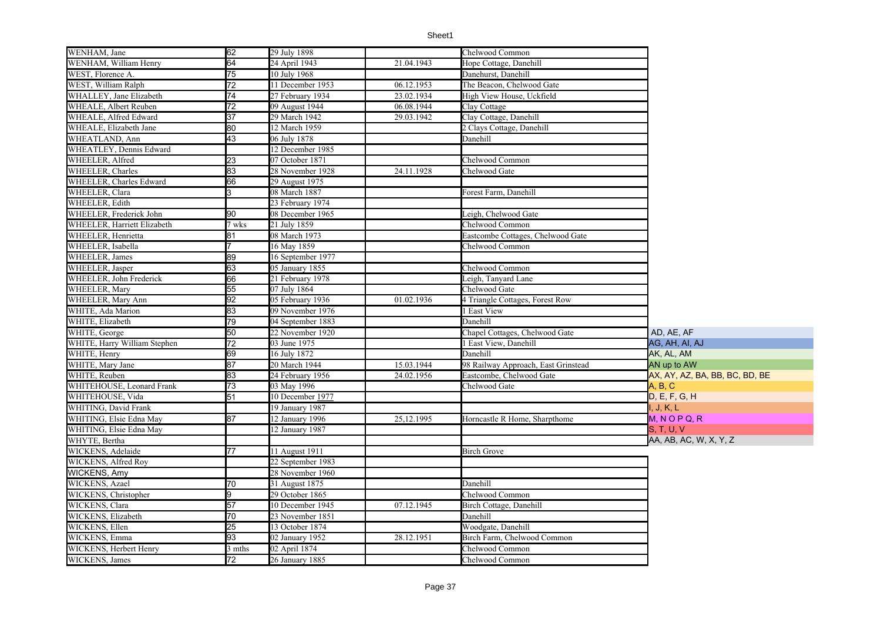| WENHAM, Jane                 | 62              | 29 July 1898                |            | Chelwood Common                     |                                |
|------------------------------|-----------------|-----------------------------|------------|-------------------------------------|--------------------------------|
| WENHAM, William Henry        | 64              | 24 April 1943               | 21.04.1943 | Hope Cottage, Danehill              |                                |
| WEST, Florence A.            | 75              | 10 July 1968                |            | Danehurst, Danehill                 |                                |
| WEST, William Ralph          | 72              | 11 December 1953            | 06.12.1953 | The Beacon, Chelwood Gate           |                                |
| WHALLEY, Jane Elizabeth      | 74              | 27 February 1934            | 23.02.1934 | High View House, Uckfield           |                                |
| WHEALE, Albert Reuben        | 72              | 09 August 1944              | 06.08.1944 | Clay Cottage                        |                                |
| WHEALE, Alfred Edward        | $\overline{37}$ | 29 March 1942               | 29.03.1942 | Clay Cottage, Danehill              |                                |
| WHEALE, Elizabeth Jane       | 80              | 12 March 1959               |            | 2 Clays Cottage, Danehill           |                                |
| WHEATLAND, Ann               | 43              | 06 July 1878                |            | Danehill                            |                                |
| WHEATLEY, Dennis Edward      |                 | 12 December 1985            |            |                                     |                                |
| WHEELER, Alfred              | 23              | 07 October 1871             |            | Chelwood Common                     |                                |
| WHEELER, Charles             | 83              | 28 November 1928            | 24.11.1928 | Chelwood Gate                       |                                |
| WHEELER, Charles Edward      | 66              | 29 August 1975              |            |                                     |                                |
| WHEELER, Clara               |                 | 08 March 1887               |            | Forest Farm, Danehill               |                                |
| WHEELER, Edith               |                 | 23 February 1974            |            |                                     |                                |
| WHEELER, Frederick John      | 90              | 08 December 1965            |            | Leigh, Chelwood Gate                |                                |
| WHEELER, Harriett Elizabeth  | 7 wks           | 21 July 1859                |            | Chelwood Common                     |                                |
| WHEELER, Henrietta           | 81              | 08 March 1973               |            | Eastcombe Cottages, Chelwood Gate   |                                |
| WHEELER, Isabella            |                 | 16 May 1859                 |            | Chelwood Common                     |                                |
| WHEELER, James               | 89              | 16 September 1977           |            |                                     |                                |
| WHEELER, Jasper              | 63              | 05 January 1855             |            | Chelwood Common                     |                                |
| WHEELER, John Frederick      | 66              | 21 February 1978            |            | Leigh, Tanyard Lane                 |                                |
| WHEELER, Mary                | 55              | 07 July 1864                |            | Chelwood Gate                       |                                |
| WHEELER, Mary Ann            | 92              | 05 February 1936            | 01.02.1936 | 4 Triangle Cottages, Forest Row     |                                |
| WHITE, Ada Marion            | 83              | 09 November 1976            |            | 1 East View                         |                                |
| WHITE, Elizabeth             | 79              | 04 September 1883           |            | Danehill                            |                                |
| WHITE, George                | 50              | 22 November 1920            |            | Chapel Cottages, Chelwood Gate      | AD, AE, AF                     |
| WHITE, Harry William Stephen | $\overline{72}$ | 03 June 1975                |            | 1 East View, Danehill               | AG, AH, AI, AJ                 |
| WHITE, Henry                 | 69              | 16 July 1872                |            | Danehill                            | AK, AL, AM                     |
| WHITE, Mary Jane             | 87              | 20 March 1944               | 15.03.1944 | 98 Railway Approach, East Grinstead | AN up to AW                    |
| WHITE, Reuben                | 83              | 24 February 1956            | 24.02.1956 | Eastcombe, Chelwood Gate            | AX, AY, AZ, BA, BB, BC, BD, BE |
| WHITEHOUSE, Leonard Frank    | 73              | 03 May 1996                 |            | Chelwood Gate                       | A, B, C                        |
| WHITEHOUSE, Vida             | 51              | 10 December 1977            |            |                                     | D, E, F, G, H                  |
| WHITING, David Frank         |                 | 19 January 1987             |            |                                     | I, J, K, L                     |
| WHITING, Elsie Edna May      | 87              | 12 January 1996             | 25,12.1995 | Horncastle R Home, Sharpthome       | $M, N$ O P Q, R                |
| WHITING, Elsie Edna May      |                 | 12 January 1987             |            |                                     | S, T, U, V                     |
| WHYTE, Bertha                |                 |                             |            |                                     | AA, AB, AC, W, X, Y, Z         |
| WICKENS, Adelaide            | 77              | 11 August 1911              |            | <b>Birch Grove</b>                  |                                |
| WICKENS, Alfred Roy          |                 | 22 September 1983           |            |                                     |                                |
| <b>WICKENS, Amy</b>          |                 | 28 November 1960            |            |                                     |                                |
| WICKENS, Azael               | 70              | $\overline{31}$ August 1875 |            | Danehill                            |                                |
| WICKENS, Christopher         |                 | 29 October 1865             |            | Chelwood Common                     |                                |
| WICKENS, Clara               | 57              | 10 December 1945            | 07.12.1945 | Birch Cottage, Danehill             |                                |
| WICKENS, Elizabeth           | 70              | 23 November 1851            |            | Danehill                            |                                |
| WICKENS, Ellen               | 25              | 13 October 1874             |            | Woodgate, Danehill                  |                                |
| WICKENS, Emma                | 93              | 02 January 1952             | 28.12.1951 | Birch Farm, Chelwood Common         |                                |
| WICKENS, Herbert Henry       | 3 mths          | 02 April 1874               |            | Chelwood Common                     |                                |
| WICKENS, James               | 72              | 26 January 1885             |            | Chelwood Common                     |                                |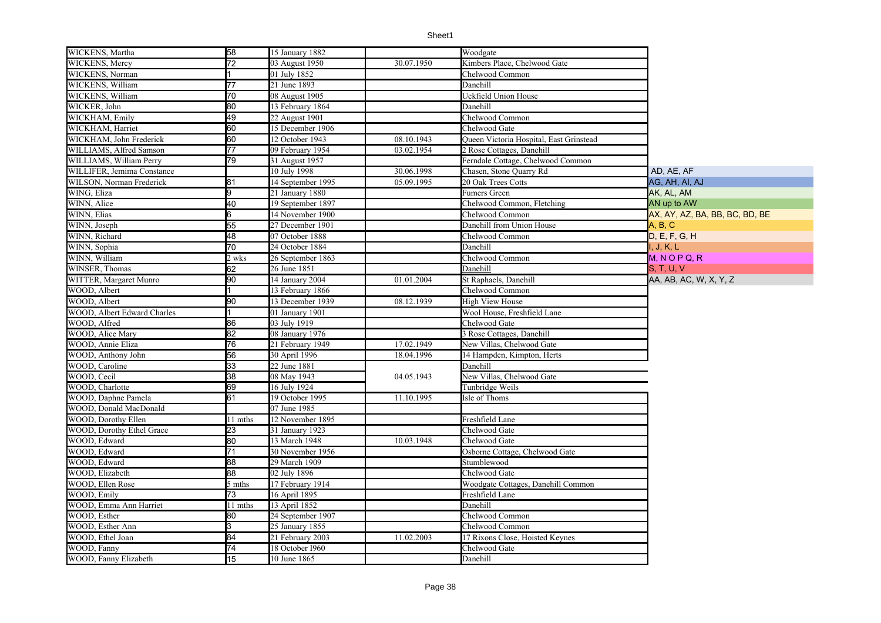| WICKENS, Martha               | 58              | 15 January 1882   |            | Woodgate                                |                                |
|-------------------------------|-----------------|-------------------|------------|-----------------------------------------|--------------------------------|
| WICKENS, Mercy                | $\overline{72}$ | 03 August 1950    | 30.07.1950 | Kimbers Place, Chelwood Gate            |                                |
| WICKENS, Norman               |                 | 01 July 1852      |            | Chelwood Common                         |                                |
| WICKENS, William              | 77              | 21 June 1893      |            | Danehill                                |                                |
| WICKENS, William              | 70              | 08 August 1905    |            | Uckfield Union House                    |                                |
| WICKER, John                  | 80              | 13 February 1864  |            | Danehill                                |                                |
| WICKHAM, Emily                | 49              | 22 August 1901    |            | Chelwood Common                         |                                |
| WICKHAM, Harriet              | 60              | 15 December 1906  |            | Chelwood Gate                           |                                |
| WICKHAM, John Frederick       | 60              | 12 October 1943   | 08.10.1943 | Queen Victoria Hospital, East Grinstead |                                |
| WILLIAMS, Alfred Samson       | 77              | 09 February 1954  | 03.02.1954 | 2 Rose Cottages, Danehill               |                                |
| WILLIAMS, William Perry       | 79              | 31 August 1957    |            | Ferndale Cottage, Chelwood Common       |                                |
| WILLIFER, Jemima Constance    |                 | 10 July 1998      | 30.06.1998 | Chasen, Stone Quarry Rd                 | AD, AE, AF                     |
| WILSON, Norman Frederick      | 81              | 14 September 1995 | 05.09.1995 | 20 Oak Trees Cotts                      | AG, AH, AI, AJ                 |
| WING, Eliza                   | 9               | 21 January 1880   |            | Fumers Green                            | AK, AL, AM                     |
| WINN, Alice                   | 40              | 19 September 1897 |            | Chelwood Common, Fletching              | AN up to AW                    |
| WINN, Elias                   | 6               | 14 November 1900  |            | Chelwood Common                         | AX, AY, AZ, BA, BB, BC, BD, BE |
| WINN, Joseph                  | 55              | 27 December 1901  |            | Danehill from Union House               | A, B, C                        |
| WINN, Richard                 | 48              | 07 October 1888   |            | Chelwood Common                         | D, E, F, G, H                  |
| WINN, Sophia                  | 70              | 24 October 1884   |            | Danehill                                | I, J, K, L                     |
| WINN, William                 | 2 wks           | 26 September 1863 |            | Chelwood Common                         | $M, N$ O P Q, R                |
| WINSER. Thomas                | 62              | 26 June 1851      |            | Danehill                                | <b>S. T. U. V</b>              |
| <b>WITTER, Margaret Munro</b> | 90              | 14 January 2004   | 01.01.2004 | St Raphaels, Danehill                   | AA, AB, AC, W, X, Y, Z         |
| WOOD, Albert                  |                 | 13 February 1866  |            | Chelwood Common                         |                                |
| WOOD, Albert                  | 90              | 13 December 1939  | 08.12.1939 | <b>High View House</b>                  |                                |
| WOOD, Albert Edward Charles   | 11              | 01 January 1901   |            | Wool House, Freshfield Lane             |                                |
| WOOD, Alfred                  | 86              | 03 July 1919      |            | Chelwood Gate                           |                                |
| WOOD, Alice Mary              | 82              | 08 January 1976   |            | <b>B</b> Rose Cottages, Danehill        |                                |
| WOOD, Annie Eliza             | 76              | 21 February 1949  | 17.02.1949 | New Villas, Chelwood Gate               |                                |
| WOOD, Anthony John            | 56              | 30 April 1996     | 18.04.1996 | 14 Hampden, Kimpton, Herts              |                                |
| WOOD, Caroline                | 33              | 22 June 1881      |            | Danehill                                |                                |
| WOOD, Cecil                   | 38              | 08 May 1943       | 04.05.1943 | New Villas, Chelwood Gate               |                                |
| WOOD, Charlotte               | 69              | 16 July 1924      |            | Tunbridge Weils                         |                                |
| WOOD, Daphne Pamela           | 61              | 19 October 1995   | 11.10.1995 | Isle of Thoms                           |                                |
| WOOD, Donald MacDonald        |                 | 07 June 1985      |            |                                         |                                |
| <b>WOOD, Dorothy Ellen</b>    | 11 mths         | 12 November 1895  |            | Freshfield Lane                         |                                |
| WOOD, Dorothy Ethel Grace     | 23              | 31 January 1923   |            | Chelwood Gate                           |                                |
| WOOD, Edward                  | 80              | 13 March 1948     | 10.03.1948 | Chelwood Gate                           |                                |
| WOOD, Edward                  | 71              | 30 November 1956  |            | Osborne Cottage, Chelwood Gate          |                                |
| WOOD, Edward                  | 88              | 29 March 1909     |            | Stumblewood                             |                                |
| WOOD, Elizabeth               | 88              | 02 July 1896      |            | Chelwood Gate                           |                                |
| WOOD, Ellen Rose              | 5 mths          | 17 February 1914  |            | Woodgate Cottages, Danehill Common      |                                |
| WOOD, Emily                   | 73              | 16 April 1895     |            | Freshfield Lane                         |                                |
| WOOD, Emma Ann Harriet        | 11 mths         | 13 April 1852     |            | Danehill                                |                                |
| WOOD, Esther                  | 80              | 24 September 1907 |            | Chelwood Common                         |                                |
| WOOD, Esther Ann              | $\overline{3}$  | 25 January 1855   |            | Chelwood Common                         |                                |
| WOOD, Ethel Joan              | 84              | 21 February 2003  | 11.02.2003 | 17 Rixons Close, Hoisted Keynes         |                                |
| WOOD, Fanny                   | 74              | 18 October 1960   |            | Chelwood Gate                           |                                |
| WOOD, Fanny Elizabeth         | 15              | 10 June 1865      |            | Danehill                                |                                |
|                               |                 |                   |            |                                         |                                |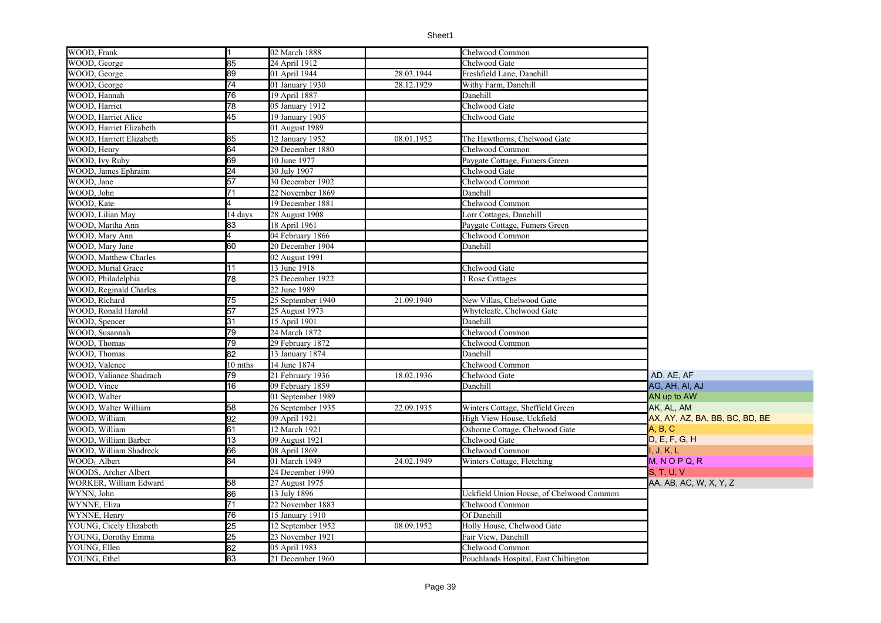| WOOD, Frank              | I1              | 02 March 1888     |            | Chelwood Common                          |                                |
|--------------------------|-----------------|-------------------|------------|------------------------------------------|--------------------------------|
| WOOD, George             | 85              | 24 April 1912     |            | Chelwood Gate                            |                                |
| WOOD, George             | 89              | 01 April 1944     | 28.03.1944 | Freshfield Lane, Danehill                |                                |
| WOOD, George             | $\overline{74}$ | 01 January 1930   | 28.12.1929 | Withy Farm, Danehill                     |                                |
| WOOD, Hannah             | 76              | 19 April 1887     |            | Danehill                                 |                                |
| WOOD, Harriet            | 78              | 05 January 1912   |            | Chelwood Gate                            |                                |
| WOOD, Harriet Alice      | 45              | 19 January 1905   |            | Chelwood Gate                            |                                |
| WOOD, Harriet Elizabeth  |                 | 01 August 1989    |            |                                          |                                |
| WOOD, Harriett Elizabeth | 85              | $12$ January 1952 | 08.01.1952 | The Hawthorns, Chelwood Gate             |                                |
| WOOD, Henry              | 64              | 29 December 1880  |            | Chelwood Common                          |                                |
| WOOD, Ivy Ruby           | 69              | 10 June 1977      |            | Paygate Cottage, Fumers Green            |                                |
| WOOD, James Ephraim      | 24              | 30 July 1907      |            | Chelwood Gate                            |                                |
| WOOD, Jane               | 57              | 30 December 1902  |            | Chelwood Common                          |                                |
| WOOD, John               | 71              | 22 November 1869  |            | Danehill                                 |                                |
| WOOD, Kate               |                 | 19 December 1881  |            | Chelwood Common                          |                                |
| WOOD, Lilian May         | 14 days         | 28 August 1908    |            | Lorr Cottages, Danehill                  |                                |
| WOOD, Martha Ann         | 83              | 8 April 1961      |            | Paygate Cottage, Fumers Green            |                                |
| WOOD, Mary Ann           |                 | 04 February 1866  |            | Chelwood Common                          |                                |
| WOOD, Mary Jane          | 60              | 20 December 1904  |            | Danehill                                 |                                |
| WOOD, Matthew Charles    |                 | 02 August 1991    |            |                                          |                                |
| WOOD, Murial Grace       | 11              | 13 June 1918      |            | Chelwood Gate                            |                                |
| WOOD, Philadelphia       | 78              | 23 December 1922  |            | Rose Cottages                            |                                |
| WOOD, Reginald Charles   |                 | 22 June 1989      |            |                                          |                                |
| WOOD, Richard            | 75              | 25 September 1940 | 21.09.1940 | New Villas, Chelwood Gate                |                                |
| WOOD, Ronald Harold      | 57              | 25 August 1973    |            | Whyteleafe, Chelwood Gate                |                                |
| WOOD, Spencer            | 31              | 15 April 1901     |            | Danehill                                 |                                |
| WOOD, Susannah           | 79              | 24 March 1872     |            | Chelwood Common                          |                                |
| WOOD, Thomas             | 79              | 29 February 1872  |            | Chelwood Common                          |                                |
| WOOD, Thomas             | 82              | 13 January 1874   |            | Danehill                                 |                                |
| WOOD, Valence            | 10 mths         | 14 June 1874      |            | Chelwood Common                          |                                |
| WOOD, Valiance Shadrach  | 79              | 21 February 1936  | 18.02.1936 | Chelwood Gate                            | AD, AE, AF                     |
| WOOD, Vince              | 16              | 09 February 1859  |            | Danehill                                 | AG, AH, AI, AJ                 |
| WOOD, Walter             |                 | 01 September 1989 |            |                                          | AN up to AW                    |
| WOOD, Walter William     | 58              | 26 September 1935 | 22.09.1935 | Winters Cottage, Sheffield Green         | ak, al, am                     |
| WOOD, William            | 92              | 09 April 1921     |            | High View House, Uckfield                | AX, AY, AZ, BA, BB, BC, BD, BE |
| WOOD, William            | 61              | 12 March 1921     |            | Osborne Cottage, Chelwood Gate           | A, B, C                        |
| WOOD, William Barber     | 13              | 09 August 1921    |            | Chelwood Gate                            | D, E, F, G, H                  |
| WOOD, William Shadreck   | 66              | 08 April 1869     |            | Chelwood Common                          | I, J, K, L                     |
| WOODL Albert             | 84              | 01 March 1949     | 24.02.1949 | Winters Cottage, Fletching               | $M, N$ O P Q, R                |
| WOODS, Archer Albert     |                 | 24 December 1990  |            |                                          | <b>S, T, U, V</b>              |
| WORKER, William Edward   | 58              | 27 August 1975    |            |                                          | AA, AB, AC, W, X, Y, Z         |
| WYNN, John               | 86              | 13 July 1896      |            | Uckfield Union House, of Chelwood Common |                                |
| WYNNE, Eliza             | 71              | 22 November 1883  |            | Chelwood Common                          |                                |
| WYNNE, Henry             | 76              | 15 January 1910   |            | Of Danehill                              |                                |
| YOUNG, Cicely Elizabeth  | $\overline{25}$ | 12 September 1952 | 08.09.1952 | Holly House, Chelwood Gate               |                                |
| YOUNG, Dorothy Emma      | 25              | 23 November 1921  |            | Fair View, Danehill                      |                                |
| YOUNG, Ellen             | 82              | 05 April 1983     |            | Chelwood Common                          |                                |
| YOUNG, Ethel             | 83              | 21 December 1960  |            | Pouchlands Hospital, East Chiltington    |                                |
|                          |                 |                   |            |                                          |                                |

Ξ